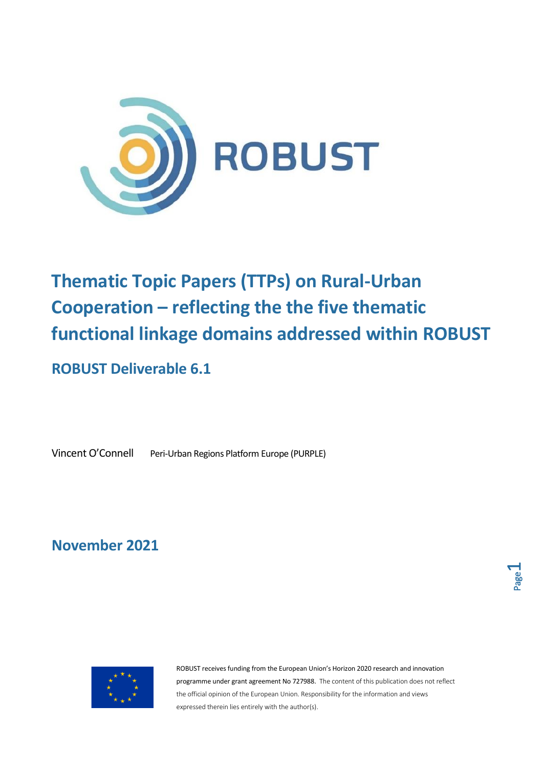

## **Thematic Topic Papers (TTPs) on Rural-Urban Cooperation – reflecting the the five thematic functional linkage domains addressed within ROBUST**

## **ROBUST Deliverable 6.1**

Vincent O'Connell Peri-Urban Regions Platform Europe (PURPLE)

**November 2021**



ROBUST receives funding from the European Union's Horizon 2020 research and innovation programme under grant agreement No 727988. The content of this publication does not reflect the official opinion of the European Union. Responsibility for the information and views expressed therein lies entirely with the author(s).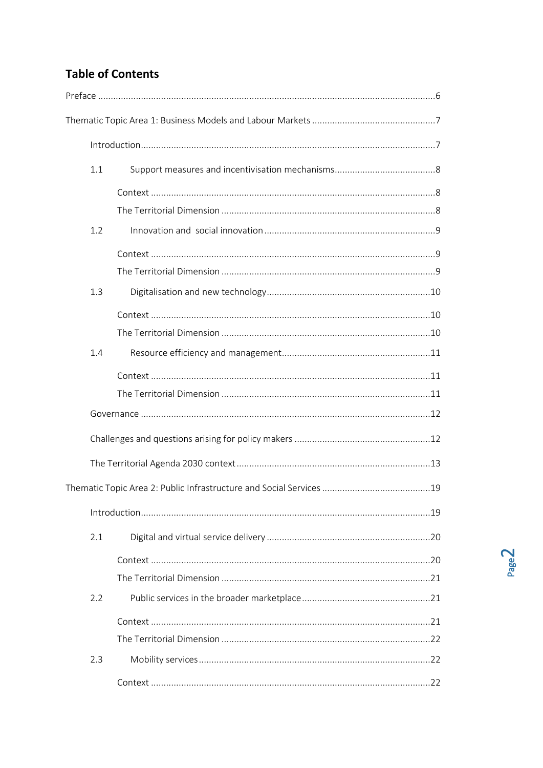## **Table of Contents**

| 1.1 |  |
|-----|--|
|     |  |
|     |  |
| 1.2 |  |
|     |  |
|     |  |
| 1.3 |  |
|     |  |
|     |  |
| 1.4 |  |
|     |  |
|     |  |
|     |  |
|     |  |
|     |  |
|     |  |
|     |  |
| 2.1 |  |
|     |  |
|     |  |
| 2.2 |  |
|     |  |
|     |  |
| 2.3 |  |
|     |  |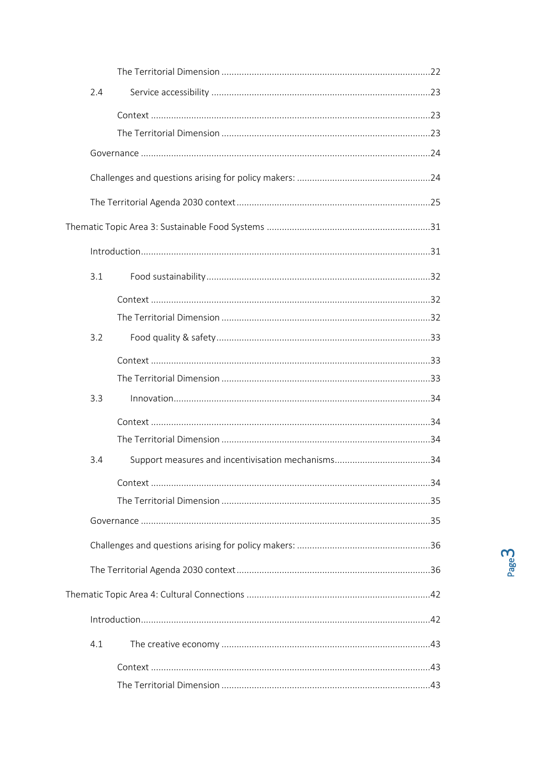| 2.4 |  |
|-----|--|
|     |  |
|     |  |
|     |  |
|     |  |
|     |  |
|     |  |
|     |  |
| 3.1 |  |
|     |  |
|     |  |
| 3.2 |  |
|     |  |
|     |  |
| 3.3 |  |
|     |  |
|     |  |
| 3.4 |  |
|     |  |
|     |  |
|     |  |
|     |  |
|     |  |
|     |  |
|     |  |
| 4.1 |  |
|     |  |
|     |  |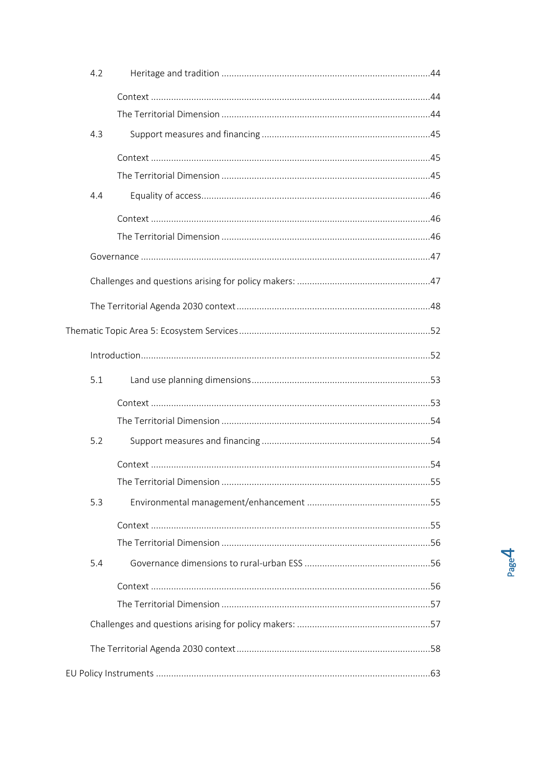|  | 4.2 |  |  |
|--|-----|--|--|
|  |     |  |  |
|  |     |  |  |
|  | 4.3 |  |  |
|  |     |  |  |
|  |     |  |  |
|  | 4.4 |  |  |
|  |     |  |  |
|  |     |  |  |
|  |     |  |  |
|  |     |  |  |
|  |     |  |  |
|  |     |  |  |
|  |     |  |  |
|  | 5.1 |  |  |
|  |     |  |  |
|  |     |  |  |
|  | 5.2 |  |  |
|  |     |  |  |
|  |     |  |  |
|  | 5.3 |  |  |
|  |     |  |  |
|  |     |  |  |
|  | 5.4 |  |  |
|  |     |  |  |
|  |     |  |  |
|  |     |  |  |
|  |     |  |  |
|  |     |  |  |
|  |     |  |  |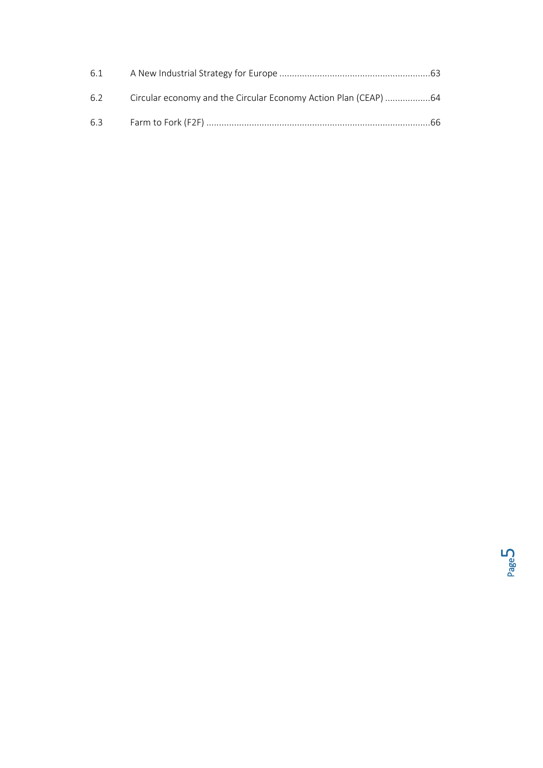| 6.1 |                                                                 |  |
|-----|-----------------------------------------------------------------|--|
| 6.2 | Circular economy and the Circular Economy Action Plan (CEAP) 64 |  |
| 6.3 |                                                                 |  |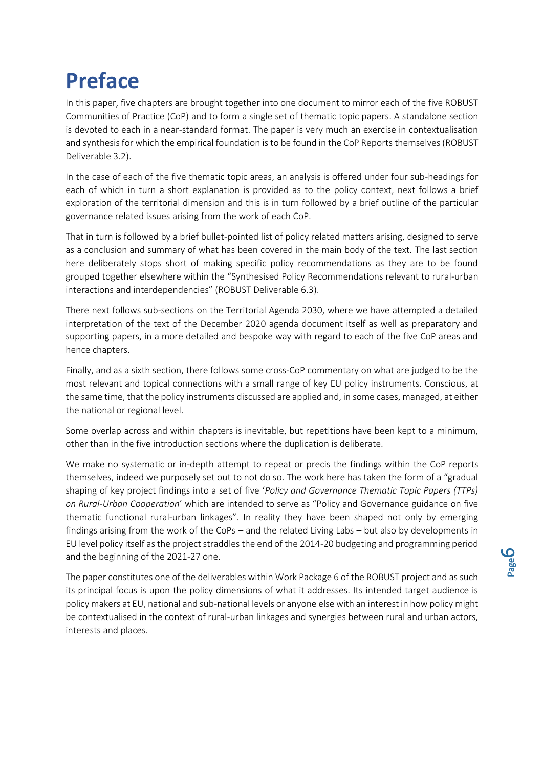# <span id="page-5-0"></span>**Preface**

In this paper, five chapters are brought together into one document to mirror each of the five ROBUST Communities of Practice (CoP) and to form a single set of thematic topic papers. A standalone section is devoted to each in a near-standard format. The paper is very much an exercise in contextualisation and synthesis for which the empirical foundation is to be found in the CoP Reports themselves (ROBUST Deliverable 3.2).

In the case of each of the five thematic topic areas, an analysis is offered under four sub-headings for each of which in turn a short explanation is provided as to the policy context, next follows a brief exploration of the territorial dimension and this is in turn followed by a brief outline of the particular governance related issues arising from the work of each CoP.

That in turn is followed by a brief bullet-pointed list of policy related matters arising, designed to serve as a conclusion and summary of what has been covered in the main body of the text. The last section here deliberately stops short of making specific policy recommendations as they are to be found grouped together elsewhere within the "Synthesised Policy Recommendations relevant to rural-urban interactions and interdependencies" (ROBUST Deliverable 6.3).

There next follows sub-sections on the Territorial Agenda 2030, where we have attempted a detailed interpretation of the text of the December 2020 agenda document itself as well as preparatory and supporting papers, in a more detailed and bespoke way with regard to each of the five CoP areas and hence chapters.

Finally, and as a sixth section, there follows some cross-CoP commentary on what are judged to be the most relevant and topical connections with a small range of key EU policy instruments. Conscious, at the same time, that the policy instruments discussed are applied and, in some cases, managed, at either the national or regional level.

Some overlap across and within chapters is inevitable, but repetitions have been kept to a minimum, other than in the five introduction sections where the duplication is deliberate.

We make no systematic or in-depth attempt to repeat or precis the findings within the CoP reports themselves, indeed we purposely set out to not do so. The work here has taken the form of a "gradual shaping of key project findings into a set of five '*Policy and Governance Thematic Topic Papers (TTPs) on Rural-Urban Cooperation*' which are intended to serve as "Policy and Governance guidance on five thematic functional rural-urban linkages". In reality they have been shaped not only by emerging findings arising from the work of the CoPs – and the related Living Labs – but also by developments in EU level policy itself as the project straddles the end of the 2014-20 budgeting and programming period and the beginning of the 2021-27 one.

The paper constitutes one of the deliverables within Work Package 6 of the ROBUST project and as such its principal focus is upon the policy dimensions of what it addresses. Its intended target audience is policy makers at EU, national and sub-national levels or anyone else with an interest in how policy might be contextualised in the context of rural-urban linkages and synergies between rural and urban actors, interests and places.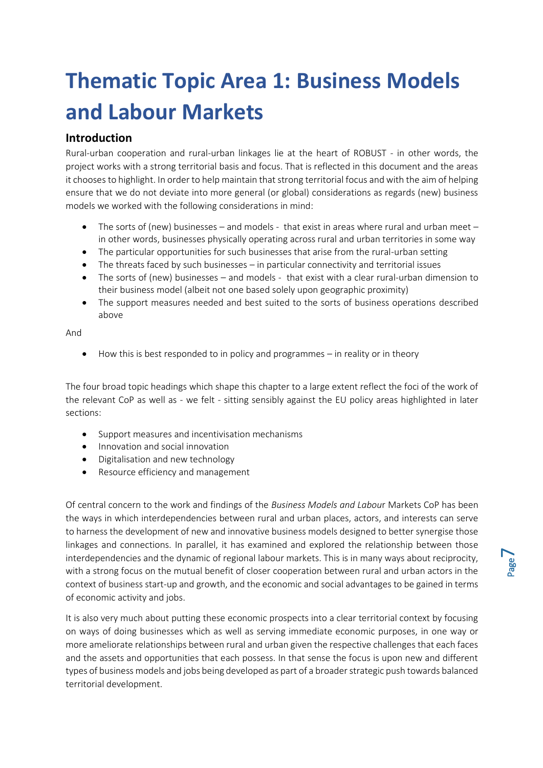# <span id="page-6-0"></span>**Thematic Topic Area 1: Business Models and Labour Markets**

## <span id="page-6-1"></span>**Introduction**

Rural-urban cooperation and rural-urban linkages lie at the heart of ROBUST - in other words, the project works with a strong territorial basis and focus. That is reflected in this document and the areas it chooses to highlight. In order to help maintain that strong territorial focus and with the aim of helping ensure that we do not deviate into more general (or global) considerations as regards (new) business models we worked with the following considerations in mind:

- The sorts of (new) businesses and models that exist in areas where rural and urban meet in other words, businesses physically operating across rural and urban territories in some way
- The particular opportunities for such businesses that arise from the rural-urban setting
- The threats faced by such businesses in particular connectivity and territorial issues
- The sorts of (new) businesses and models that exist with a clear rural-urban dimension to their business model (albeit not one based solely upon geographic proximity)
- The support measures needed and best suited to the sorts of business operations described above

#### And

• How this is best responded to in policy and programmes – in reality or in theory

The four broad topic headings which shape this chapter to a large extent reflect the foci of the work of the relevant CoP as well as - we felt - sitting sensibly against the EU policy areas highlighted in later sections:

- Support measures and incentivisation mechanisms
- Innovation and social innovation
- Digitalisation and new technology
- Resource efficiency and management

Of central concern to the work and findings of the *Business Models and Labou*r Markets CoP has been the ways in which interdependencies between rural and urban places, actors, and interests can serve to harness the development of new and innovative business models designed to better synergise those linkages and connections. In parallel, it has examined and explored the relationship between those interdependencies and the dynamic of regional labour markets. This is in many ways about reciprocity, with a strong focus on the mutual benefit of closer cooperation between rural and urban actors in the context of business start-up and growth, and the economic and social advantages to be gained in terms of economic activity and jobs.

It is also very much about putting these economic prospects into a clear territorial context by focusing on ways of doing businesses which as well as serving immediate economic purposes, in one way or more ameliorate relationships between rural and urban given the respective challenges that each faces and the assets and opportunities that each possess. In that sense the focus is upon new and different types of business models and jobs being developed as part of a broader strategic push towards balanced territorial development.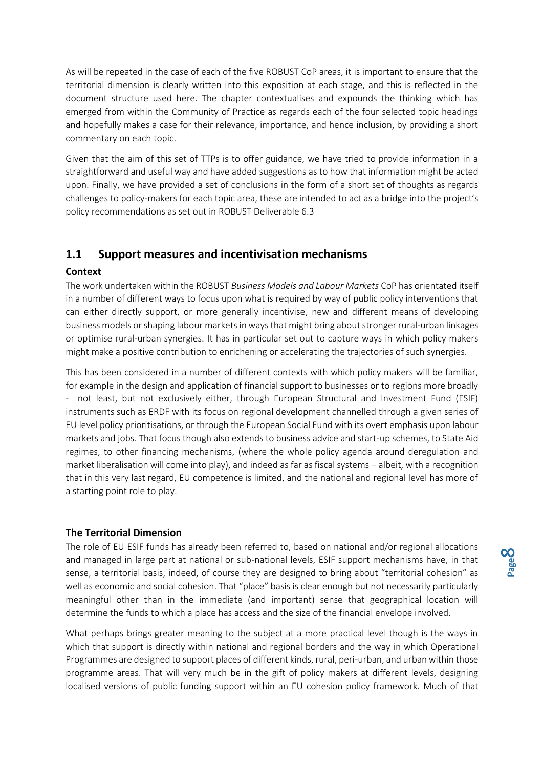As will be repeated in the case of each of the five ROBUST CoP areas, it is important to ensure that the territorial dimension is clearly written into this exposition at each stage, and this is reflected in the document structure used here. The chapter contextualises and expounds the thinking which has emerged from within the Community of Practice as regards each of the four selected topic headings and hopefully makes a case for their relevance, importance, and hence inclusion, by providing a short commentary on each topic.

Given that the aim of this set of TTPs is to offer guidance, we have tried to provide information in a straightforward and useful way and have added suggestions as to how that information might be acted upon. Finally, we have provided a set of conclusions in the form of a short set of thoughts as regards challenges to policy-makers for each topic area, these are intended to act as a bridge into the project's policy recommendations as set out in ROBUST Deliverable 6.3

### <span id="page-7-0"></span>**1.1 Support measures and incentivisation mechanisms**

#### <span id="page-7-1"></span>**Context**

The work undertaken within the ROBUST *Business Models and Labour Markets* CoP has orientated itself in a number of different ways to focus upon what is required by way of public policy interventions that can either directly support, or more generally incentivise, new and different means of developing business models or shaping labour markets in ways that might bring about stronger rural-urban linkages or optimise rural-urban synergies. It has in particular set out to capture ways in which policy makers might make a positive contribution to enrichening or accelerating the trajectories of such synergies.

This has been considered in a number of different contexts with which policy makers will be familiar, for example in the design and application of financial support to businesses or to regions more broadly - not least, but not exclusively either, through European Structural and Investment Fund (ESIF) instruments such as ERDF with its focus on regional development channelled through a given series of EU level policy prioritisations, or through the European Social Fund with its overt emphasis upon labour markets and jobs. That focus though also extends to business advice and start-up schemes, to State Aid regimes, to other financing mechanisms, (where the whole policy agenda around deregulation and market liberalisation will come into play), and indeed as far as fiscal systems – albeit, with a recognition that in this very last regard, EU competence is limited, and the national and regional level has more of a starting point role to play.

#### <span id="page-7-2"></span>**The Territorial Dimension**

The role of EU ESIF funds has already been referred to, based on national and/or regional allocations and managed in large part at national or sub-national levels, ESIF support mechanisms have, in that sense, a territorial basis, indeed, of course they are designed to bring about "territorial cohesion" as well as economic and social cohesion. That "place" basis is clear enough but not necessarily particularly meaningful other than in the immediate (and important) sense that geographical location will determine the funds to which a place has access and the size of the financial envelope involved.

What perhaps brings greater meaning to the subject at a more practical level though is the ways in which that support is directly within national and regional borders and the way in which Operational Programmes are designed to support places of different kinds, rural, peri-urban, and urban within those programme areas. That will very much be in the gift of policy makers at different levels, designing localised versions of public funding support within an EU cohesion policy framework. Much of that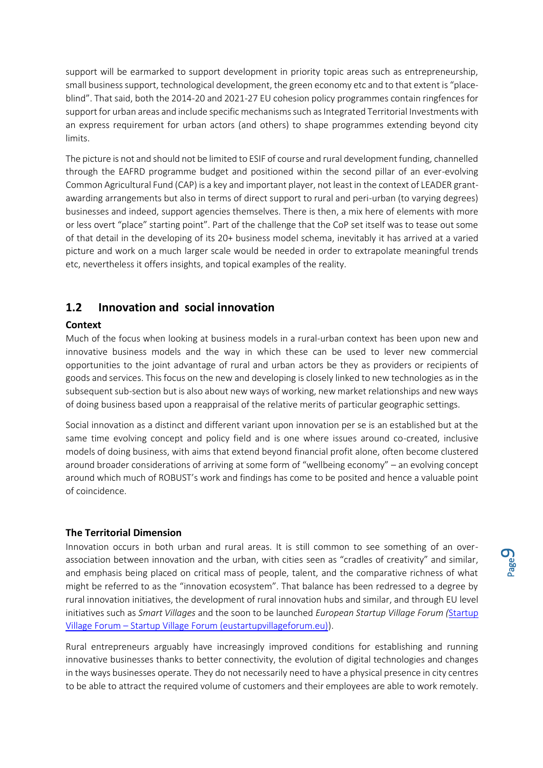support will be earmarked to support development in priority topic areas such as entrepreneurship, small business support, technological development, the green economy etc and to that extent is "placeblind". That said, both the 2014-20 and 2021-27 EU cohesion policy programmes contain ringfences for support for urban areas and include specific mechanisms such as Integrated Territorial Investments with an express requirement for urban actors (and others) to shape programmes extending beyond city limits.

The picture is not and should not be limited to ESIF of course and rural development funding, channelled through the EAFRD programme budget and positioned within the second pillar of an ever-evolving Common Agricultural Fund (CAP) is a key and important player, not least in the context of LEADER grantawarding arrangements but also in terms of direct support to rural and peri-urban (to varying degrees) businesses and indeed, support agencies themselves. There is then, a mix here of elements with more or less overt "place" starting point". Part of the challenge that the CoP set itself was to tease out some of that detail in the developing of its 20+ business model schema, inevitably it has arrived at a varied picture and work on a much larger scale would be needed in order to extrapolate meaningful trends etc, nevertheless it offers insights, and topical examples of the reality.

## <span id="page-8-0"></span>**1.2 Innovation and social innovation**

#### <span id="page-8-1"></span>**Context**

Much of the focus when looking at business models in a rural-urban context has been upon new and innovative business models and the way in which these can be used to lever new commercial opportunities to the joint advantage of rural and urban actors be they as providers or recipients of goods and services. This focus on the new and developing is closely linked to new technologies as in the subsequent sub-section but is also about new ways of working, new market relationships and new ways of doing business based upon a reappraisal of the relative merits of particular geographic settings.

Social innovation as a distinct and different variant upon innovation per se is an established but at the same time evolving concept and policy field and is one where issues around co-created, inclusive models of doing business, with aims that extend beyond financial profit alone, often become clustered around broader considerations of arriving at some form of "wellbeing economy" – an evolving concept around which much of ROBUST's work and findings has come to be posited and hence a valuable point of coincidence.

#### <span id="page-8-2"></span>**The Territorial Dimension**

Innovation occurs in both urban and rural areas. It is still common to see something of an overassociation between innovation and the urban, with cities seen as "cradles of creativity" and similar, and emphasis being placed on critical mass of people, talent, and the comparative richness of what might be referred to as the "innovation ecosystem". That balance has been redressed to a degree by rural innovation initiatives, the development of rural innovation hubs and similar, and through EU level initiatives such as *Smart Villages* and the soon to be launched *European Startup Village Forum (*[Startup](https://eustartupvillageforum.eu/)  Village Forum – [Startup Village Forum \(eustartupvillageforum.eu\)\)](https://eustartupvillageforum.eu/).

Rural entrepreneurs arguably have increasingly improved conditions for establishing and running innovative businesses thanks to better connectivity, the evolution of digital technologies and changes in the ways businesses operate. They do not necessarily need to have a physical presence in city centres to be able to attract the required volume of customers and their employees are able to work remotely.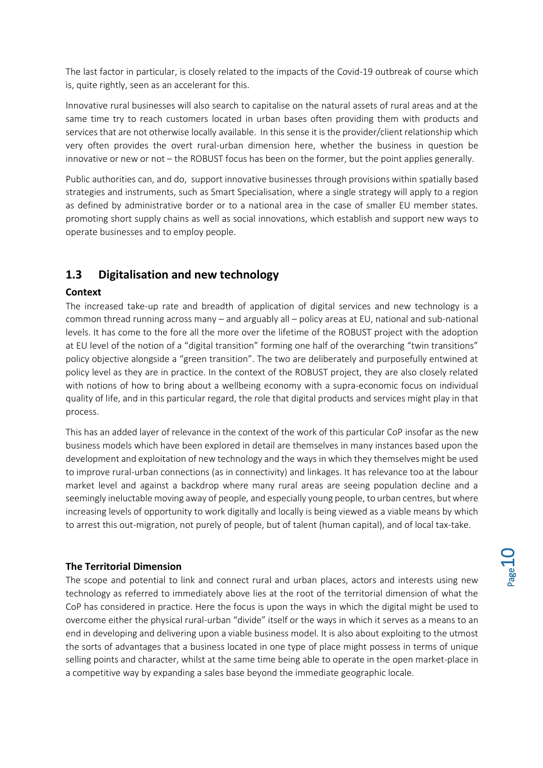The last factor in particular, is closely related to the impacts of the Covid-19 outbreak of course which is, quite rightly, seen as an accelerant for this.

Innovative rural businesses will also search to capitalise on the natural assets of rural areas and at the same time try to reach customers located in urban bases often providing them with products and services that are not otherwise locally available. In this sense it is the provider/client relationship which very often provides the overt rural-urban dimension here, whether the business in question be innovative or new or not – the ROBUST focus has been on the former, but the point applies generally.

Public authorities can, and do, support innovative businesses through provisions within spatially based strategies and instruments, such as Smart Specialisation, where a single strategy will apply to a region as defined by administrative border or to a national area in the case of smaller EU member states. promoting short supply chains as well as social innovations, which establish and support new ways to operate businesses and to employ people.

## <span id="page-9-0"></span>**1.3 Digitalisation and new technology**

#### <span id="page-9-1"></span>**Context**

The increased take-up rate and breadth of application of digital services and new technology is a common thread running across many – and arguably all – policy areas at EU, national and sub-national levels. It has come to the fore all the more over the lifetime of the ROBUST project with the adoption at EU level of the notion of a "digital transition" forming one half of the overarching "twin transitions" policy objective alongside a "green transition". The two are deliberately and purposefully entwined at policy level as they are in practice. In the context of the ROBUST project, they are also closely related with notions of how to bring about a wellbeing economy with a supra-economic focus on individual quality of life, and in this particular regard, the role that digital products and services might play in that process.

This has an added layer of relevance in the context of the work of this particular CoP insofar as the new business models which have been explored in detail are themselves in many instances based upon the development and exploitation of new technology and the ways in which they themselves might be used to improve rural-urban connections (as in connectivity) and linkages. It has relevance too at the labour market level and against a backdrop where many rural areas are seeing population decline and a seemingly ineluctable moving away of people, and especially young people, to urban centres, but where increasing levels of opportunity to work digitally and locally is being viewed as a viable means by which to arrest this out-migration, not purely of people, but of talent (human capital), and of local tax-take.

#### <span id="page-9-2"></span>**The Territorial Dimension**

The scope and potential to link and connect rural and urban places, actors and interests using new technology as referred to immediately above lies at the root of the territorial dimension of what the CoP has considered in practice. Here the focus is upon the ways in which the digital might be used to overcome either the physical rural-urban "divide" itself or the ways in which it serves as a means to an end in developing and delivering upon a viable business model. It is also about exploiting to the utmost the sorts of advantages that a business located in one type of place might possess in terms of unique selling points and character, whilst at the same time being able to operate in the open market-place in a competitive way by expanding a sales base beyond the immediate geographic locale.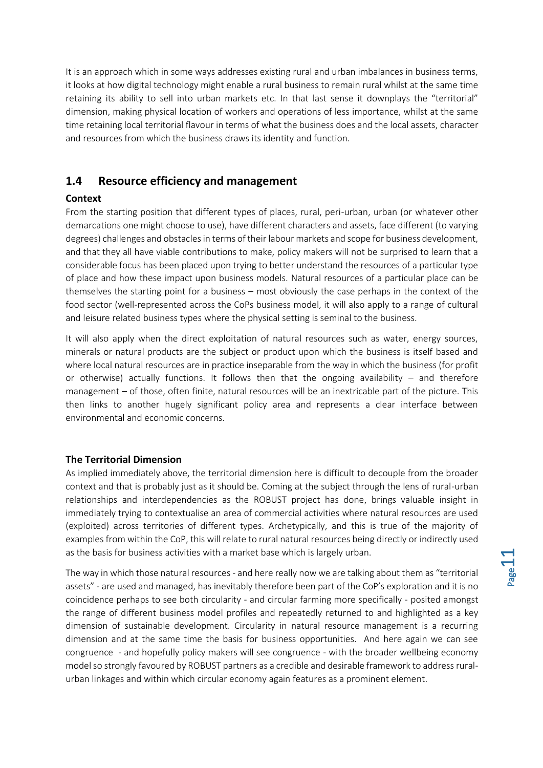It is an approach which in some ways addresses existing rural and urban imbalances in business terms, it looks at how digital technology might enable a rural business to remain rural whilst at the same time retaining its ability to sell into urban markets etc. In that last sense it downplays the "territorial" dimension, making physical location of workers and operations of less importance, whilst at the same time retaining local territorial flavour in terms of what the business does and the local assets, character and resources from which the business draws its identity and function.

## <span id="page-10-0"></span>**1.4 Resource efficiency and management**

#### <span id="page-10-1"></span>**Context**

From the starting position that different types of places, rural, peri-urban, urban (or whatever other demarcations one might choose to use), have different characters and assets, face different (to varying degrees) challenges and obstacles in terms of their labour markets and scope for business development, and that they all have viable contributions to make, policy makers will not be surprised to learn that a considerable focus has been placed upon trying to better understand the resources of a particular type of place and how these impact upon business models. Natural resources of a particular place can be themselves the starting point for a business – most obviously the case perhaps in the context of the food sector (well-represented across the CoPs business model, it will also apply to a range of cultural and leisure related business types where the physical setting is seminal to the business.

It will also apply when the direct exploitation of natural resources such as water, energy sources, minerals or natural products are the subject or product upon which the business is itself based and where local natural resources are in practice inseparable from the way in which the business (for profit or otherwise) actually functions. It follows then that the ongoing availability – and therefore management – of those, often finite, natural resources will be an inextricable part of the picture. This then links to another hugely significant policy area and represents a clear interface between environmental and economic concerns.

#### <span id="page-10-2"></span>**The Territorial Dimension**

As implied immediately above, the territorial dimension here is difficult to decouple from the broader context and that is probably just as it should be. Coming at the subject through the lens of rural-urban relationships and interdependencies as the ROBUST project has done, brings valuable insight in immediately trying to contextualise an area of commercial activities where natural resources are used (exploited) across territories of different types. Archetypically, and this is true of the majority of examples from within the CoP, this will relate to rural natural resources being directly or indirectly used as the basis for business activities with a market base which is largely urban.

The way in which those natural resources - and here really now we are talking about them as "territorial assets" - are used and managed, has inevitably therefore been part of the CoP's exploration and it is no coincidence perhaps to see both circularity - and circular farming more specifically - posited amongst the range of different business model profiles and repeatedly returned to and highlighted as a key dimension of sustainable development. Circularity in natural resource management is a recurring dimension and at the same time the basis for business opportunities. And here again we can see congruence - and hopefully policy makers will see congruence - with the broader wellbeing economy model so strongly favoured by ROBUST partners as a credible and desirable framework to address ruralurban linkages and within which circular economy again features as a prominent element.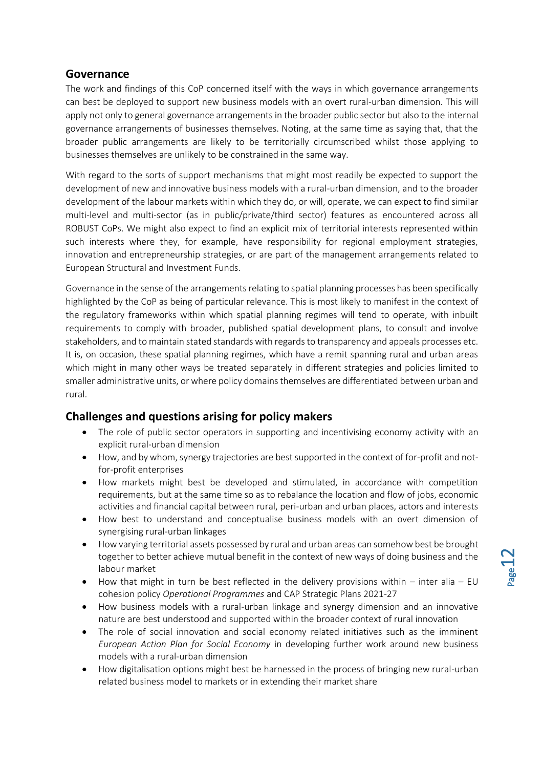### <span id="page-11-0"></span>**Governance**

The work and findings of this CoP concerned itself with the ways in which governance arrangements can best be deployed to support new business models with an overt rural-urban dimension. This will apply not only to general governance arrangements in the broader public sector but also to the internal governance arrangements of businesses themselves. Noting, at the same time as saying that, that the broader public arrangements are likely to be territorially circumscribed whilst those applying to businesses themselves are unlikely to be constrained in the same way.

With regard to the sorts of support mechanisms that might most readily be expected to support the development of new and innovative business models with a rural-urban dimension, and to the broader development of the labour markets within which they do, or will, operate, we can expect to find similar multi-level and multi-sector (as in public/private/third sector) features as encountered across all ROBUST CoPs. We might also expect to find an explicit mix of territorial interests represented within such interests where they, for example, have responsibility for regional employment strategies, innovation and entrepreneurship strategies, or are part of the management arrangements related to European Structural and Investment Funds.

Governance in the sense of the arrangements relating to spatial planning processes has been specifically highlighted by the CoP as being of particular relevance. This is most likely to manifest in the context of the regulatory frameworks within which spatial planning regimes will tend to operate, with inbuilt requirements to comply with broader, published spatial development plans, to consult and involve stakeholders, and to maintain stated standards with regards to transparency and appeals processes etc. It is, on occasion, these spatial planning regimes, which have a remit spanning rural and urban areas which might in many other ways be treated separately in different strategies and policies limited to smaller administrative units, or where policy domains themselves are differentiated between urban and rural.

## <span id="page-11-1"></span>**Challenges and questions arising for policy makers**

- The role of public sector operators in supporting and incentivising economy activity with an explicit rural-urban dimension
- How, and by whom, synergy trajectories are best supported in the context of for-profit and notfor-profit enterprises
- How markets might best be developed and stimulated, in accordance with competition requirements, but at the same time so as to rebalance the location and flow of jobs, economic activities and financial capital between rural, peri-urban and urban places, actors and interests
- How best to understand and conceptualise business models with an overt dimension of synergising rural-urban linkages
- How varying territorial assets possessed by rural and urban areas can somehow best be brought together to better achieve mutual benefit in the context of new ways of doing business and the labour market
- How that might in turn be best reflected in the delivery provisions within inter alia EU cohesion policy *Operational Programmes* and CAP Strategic Plans 2021-27
- How business models with a rural-urban linkage and synergy dimension and an innovative nature are best understood and supported within the broader context of rural innovation
- The role of social innovation and social economy related initiatives such as the imminent *European Action Plan for Social Economy* in developing further work around new business models with a rural-urban dimension
- How digitalisation options might best be harnessed in the process of bringing new rural-urban related business model to markets or in extending their market share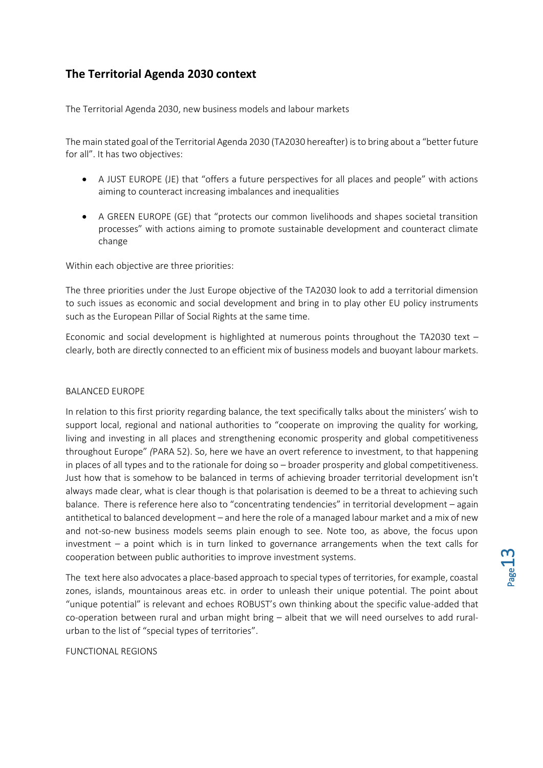## <span id="page-12-0"></span>**The Territorial Agenda 2030 context**

The Territorial Agenda 2030, new business models and labour markets

The main stated goal of the Territorial Agenda 2030 (TA2030 hereafter) is to bring about a "better future for all". It has two objectives:

- A JUST EUROPE (JE) that "offers a future perspectives for all places and people" with actions aiming to counteract increasing imbalances and inequalities
- A GREEN EUROPE (GE) that "protects our common livelihoods and shapes societal transition processes" with actions aiming to promote sustainable development and counteract climate change

Within each objective are three priorities:

The three priorities under the Just Europe objective of the TA2030 look to add a territorial dimension to such issues as economic and social development and bring in to play other EU policy instruments such as the European Pillar of Social Rights at the same time.

Economic and social development is highlighted at numerous points throughout the TA2030 text – clearly, both are directly connected to an efficient mix of business models and buoyant labour markets.

#### BALANCED EUROPE

In relation to this first priority regarding balance, the text specifically talks about the ministers' wish to support local, regional and national authorities to "cooperate on improving the quality for working, living and investing in all places and strengthening economic prosperity and global competitiveness throughout Europe" *(*PARA 52). So, here we have an overt reference to investment, to that happening in places of all types and to the rationale for doing so – broader prosperity and global competitiveness. Just how that is somehow to be balanced in terms of achieving broader territorial development isn't always made clear, what is clear though is that polarisation is deemed to be a threat to achieving such balance. There is reference here also to "concentrating tendencies" in territorial development – again antithetical to balanced development – and here the role of a managed labour market and a mix of new and not-so-new business models seems plain enough to see. Note too, as above, the focus upon investment – a point which is in turn linked to governance arrangements when the text calls for cooperation between public authorities to improve investment systems.

The text here also advocates a place-based approach to special types of territories, for example, coastal zones, islands, mountainous areas etc. in order to unleash their unique potential. The point about "unique potential" is relevant and echoes ROBUST's own thinking about the specific value-added that co-operation between rural and urban might bring – albeit that we will need ourselves to add ruralurban to the list of "special types of territories".

FUNCTIONAL REGIONS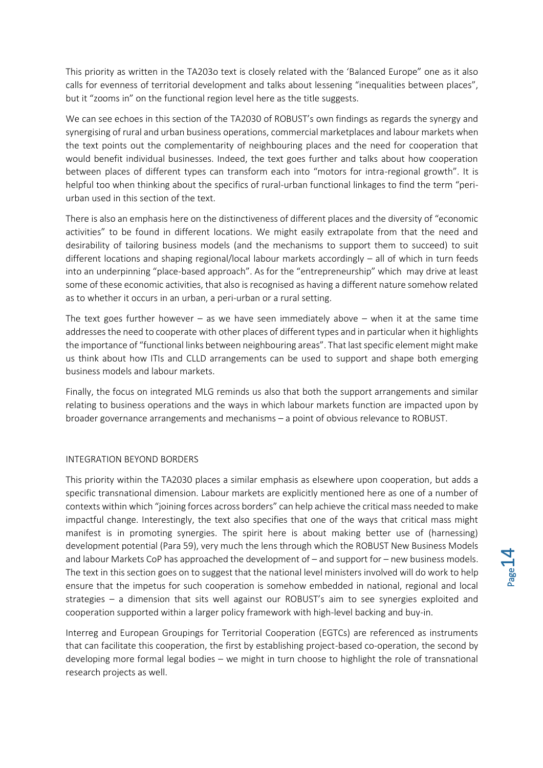This priority as written in the TA203o text is closely related with the 'Balanced Europe" one as it also calls for evenness of territorial development and talks about lessening "inequalities between places", but it "zooms in" on the functional region level here as the title suggests.

We can see echoes in this section of the TA2030 of ROBUST's own findings as regards the synergy and synergising of rural and urban business operations, commercial marketplaces and labour markets when the text points out the complementarity of neighbouring places and the need for cooperation that would benefit individual businesses. Indeed, the text goes further and talks about how cooperation between places of different types can transform each into "motors for intra-regional growth". It is helpful too when thinking about the specifics of rural-urban functional linkages to find the term "periurban used in this section of the text.

There is also an emphasis here on the distinctiveness of different places and the diversity of "economic activities" to be found in different locations. We might easily extrapolate from that the need and desirability of tailoring business models (and the mechanisms to support them to succeed) to suit different locations and shaping regional/local labour markets accordingly – all of which in turn feeds into an underpinning "place-based approach". As for the "entrepreneurship" which may drive at least some of these economic activities, that also is recognised as having a different nature somehow related as to whether it occurs in an urban, a peri-urban or a rural setting.

The text goes further however – as we have seen immediately above – when it at the same time addresses the need to cooperate with other places of different types and in particular when it highlights the importance of "functional links between neighbouring areas". That last specific element might make us think about how ITIs and CLLD arrangements can be used to support and shape both emerging business models and labour markets.

Finally, the focus on integrated MLG reminds us also that both the support arrangements and similar relating to business operations and the ways in which labour markets function are impacted upon by broader governance arrangements and mechanisms – a point of obvious relevance to ROBUST.

#### INTEGRATION BEYOND BORDERS

This priority within the TA2030 places a similar emphasis as elsewhere upon cooperation, but adds a specific transnational dimension. Labour markets are explicitly mentioned here as one of a number of contexts within which "joining forces across borders" can help achieve the critical mass needed to make impactful change. Interestingly, the text also specifies that one of the ways that critical mass might manifest is in promoting synergies. The spirit here is about making better use of (harnessing) development potential (Para 59), very much the lens through which the ROBUST New Business Models and labour Markets CoP has approached the development of – and support for – new business models. The text in this section goes on to suggest that the national level ministers involved will do work to help ensure that the impetus for such cooperation is somehow embedded in national, regional and local strategies – a dimension that sits well against our ROBUST's aim to see synergies exploited and cooperation supported within a larger policy framework with high-level backing and buy-in.

Interreg and European Groupings for Territorial Cooperation (EGTCs) are referenced as instruments that can facilitate this cooperation, the first by establishing project-based co-operation, the second by developing more formal legal bodies – we might in turn choose to highlight the role of transnational research projects as well.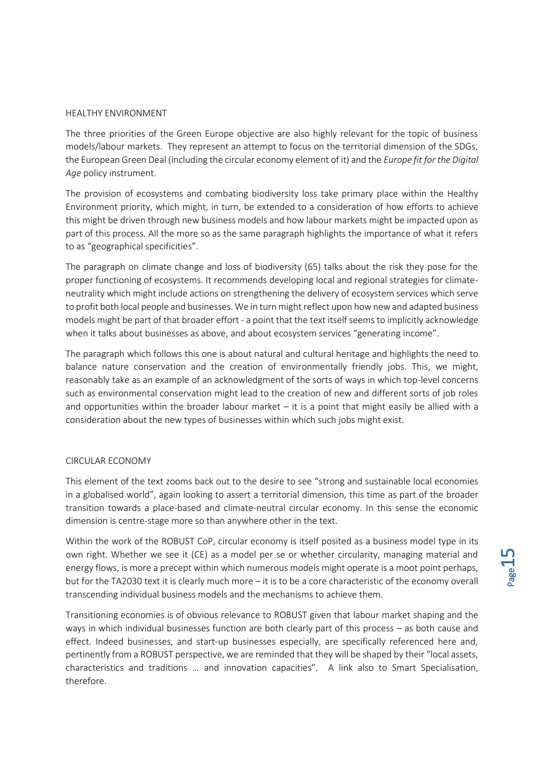#### HEALTHY ENVIRONMENT

The three priorities of the Green Europe objective are also highly relevant for the topic of business models/labour markets. They represent an attempt to focus on the territorial dimension of the SDGs, the European Green Deal (including the circular economy element of it) and the *Europe fit for the Digital Age* policy instrument.

The provision of ecosystems and combating biodiversity loss take primary place within the Healthy Environment priority, which might, in turn, be extended to a consideration of how efforts to achieve this might be driven through new business models and how labour markets might be impacted upon as part of this process. All the more so as the same paragraph highlights the importance of what it refers to as "geographical specificities".

The paragraph on climate change and loss of biodiversity (65) talks about the risk they pose for the proper functioning of ecosystems. It recommends developing local and regional strategies for climateneutrality which might include actions on strengthening the delivery of ecosystem services which serve to profit both local people and businesses. We in turn might reflect upon how new and adapted business models might be part of that broader effort - a point that the text itself seems to implicitly acknowledge when it talks about businesses as above, and about ecosystem services "generating income".

The paragraph which follows this one is about natural and cultural heritage and highlights the need to balance nature conservation and the creation of environmentally friendly jobs. This, we might, reasonably take as an example of an acknowledgment of the sorts of ways in which top-level concerns such as environmental conservation might lead to the creation of new and different sorts of job roles and opportunities within the broader labour market  $-$  it is a point that might easily be allied with a consideration about the new types of businesses within which such jobs might exist.

#### CIRCULAR ECONOMY

This element of the text zooms back out to the desire to see "strong and sustainable local economies in a globalised world", again looking to assert a territorial dimension, this time as part of the broader transition towards a place-based and climate-neutral circular economy. In this sense the economic dimension is centre-stage more so than anywhere other in the text.

Within the work of the ROBUST CoP, circular economy is itself posited as a business model type in its own right. Whether we see it (CE) as a model per se or whether circularity, managing material and energy flows, is more a precept within which numerous models might operate is a moot point perhaps, but for the TA2030 text it is clearly much more – it is to be a core characteristic of the economy overall transcending individual business models and the mechanisms to achieve them.

Transitioning economies is of obvious relevance to ROBUST given that labour market shaping and the ways in which individual businesses function are both clearly part of this process – as both cause and effect. Indeed businesses, and start-up businesses especially, are specifically referenced here and, pertinently from a ROBUST perspective, we are reminded that they will be shaped by their "local assets, characteristics and traditions … and innovation capacities". A link also to Smart Specialisation, therefore.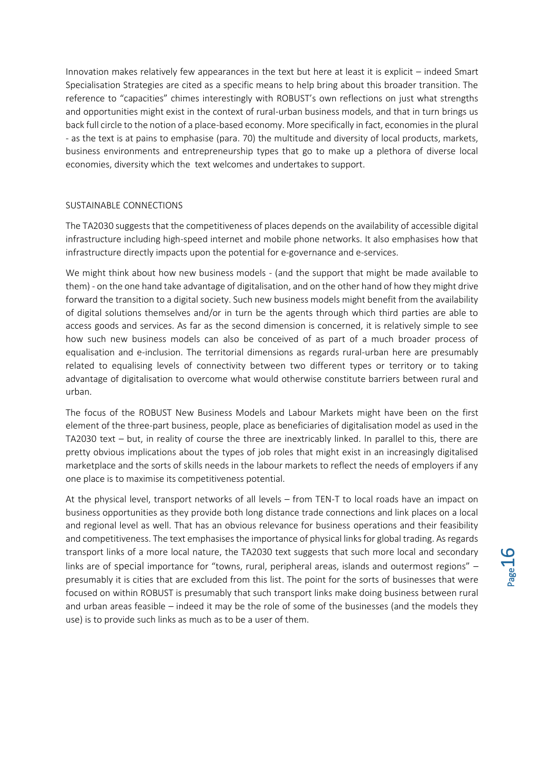Innovation makes relatively few appearances in the text but here at least it is explicit – indeed Smart Specialisation Strategies are cited as a specific means to help bring about this broader transition. The reference to "capacities" chimes interestingly with ROBUST's own reflections on just what strengths and opportunities might exist in the context of rural-urban business models, and that in turn brings us back full circle to the notion of a place-based economy. More specifically in fact, economies in the plural - as the text is at pains to emphasise (para. 70) the multitude and diversity of local products, markets, business environments and entrepreneurship types that go to make up a plethora of diverse local economies, diversity which the text welcomes and undertakes to support.

#### SUSTAINABLE CONNECTIONS

The TA2030 suggests that the competitiveness of places depends on the availability of accessible digital infrastructure including high-speed internet and mobile phone networks. It also emphasises how that infrastructure directly impacts upon the potential for e-governance and e-services.

We might think about how new business models - (and the support that might be made available to them) - on the one hand take advantage of digitalisation, and on the other hand of how they might drive forward the transition to a digital society. Such new business models might benefit from the availability of digital solutions themselves and/or in turn be the agents through which third parties are able to access goods and services. As far as the second dimension is concerned, it is relatively simple to see how such new business models can also be conceived of as part of a much broader process of equalisation and e-inclusion. The territorial dimensions as regards rural-urban here are presumably related to equalising levels of connectivity between two different types or territory or to taking advantage of digitalisation to overcome what would otherwise constitute barriers between rural and urban.

The focus of the ROBUST New Business Models and Labour Markets might have been on the first element of the three-part business, people, place as beneficiaries of digitalisation model as used in the TA2030 text – but, in reality of course the three are inextricably linked. In parallel to this, there are pretty obvious implications about the types of job roles that might exist in an increasingly digitalised marketplace and the sorts of skills needs in the labour markets to reflect the needs of employers if any one place is to maximise its competitiveness potential.

At the physical level, transport networks of all levels – from TEN-T to local roads have an impact on business opportunities as they provide both long distance trade connections and link places on a local and regional level as well. That has an obvious relevance for business operations and their feasibility and competitiveness. The text emphasises the importance of physical links for global trading. As regards transport links of a more local nature, the TA2030 text suggests that such more local and secondary links are of special importance for "towns, rural, peripheral areas, islands and outermost regions" – presumably it is cities that are excluded from this list. The point for the sorts of businesses that were focused on within ROBUST is presumably that such transport links make doing business between rural and urban areas feasible – indeed it may be the role of some of the businesses (and the models they use) is to provide such links as much as to be a user of them.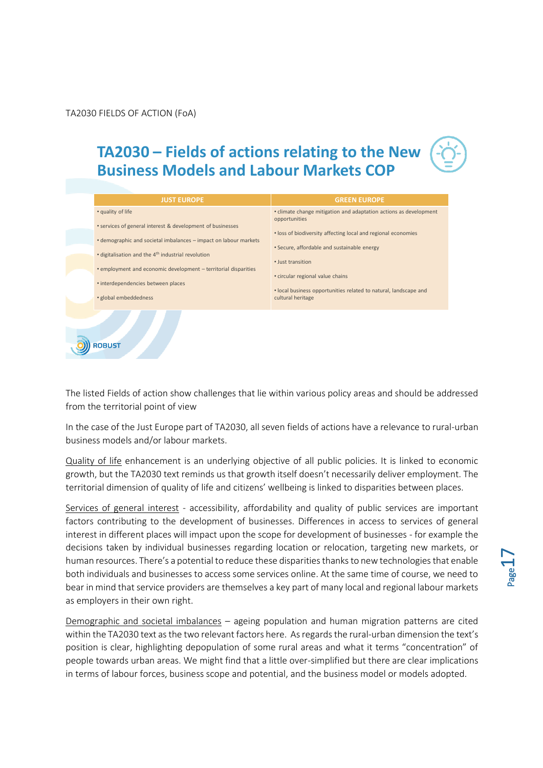TA2030 FIELDS OF ACTION (FoA)

## **TA2030 – Fields of actions relating to the New Business Models and Labour Markets COP**



The listed Fields of action show challenges that lie within various policy areas and should be addressed from the territorial point of view

In the case of the Just Europe part of TA2030, all seven fields of actions have a relevance to rural-urban business models and/or labour markets.

Quality of life enhancement is an underlying objective of all public policies. It is linked to economic growth, but the TA2030 text reminds us that growth itself doesn't necessarily deliver employment. The territorial dimension of quality of life and citizens' wellbeing is linked to disparities between places.

Services of general interest - accessibility, affordability and quality of public services are important factors contributing to the development of businesses. Differences in access to services of general interest in different places will impact upon the scope for development of businesses - for example the decisions taken by individual businesses regarding location or relocation, targeting new markets, or human resources. There's a potential to reduce these disparities thanks to new technologies that enable both individuals and businesses to access some services online. At the same time of course, we need to bear in mind that service providers are themselves a key part of many local and regional labour markets as employers in their own right.

Demographic and societal imbalances – ageing population and human migration patterns are cited within the TA2030 text as the two relevant factors here. As regards the rural-urban dimension the text's position is clear, highlighting depopulation of some rural areas and what it terms "concentration" of people towards urban areas. We might find that a little over-simplified but there are clear implications in terms of labour forces, business scope and potential, and the business model or models adopted.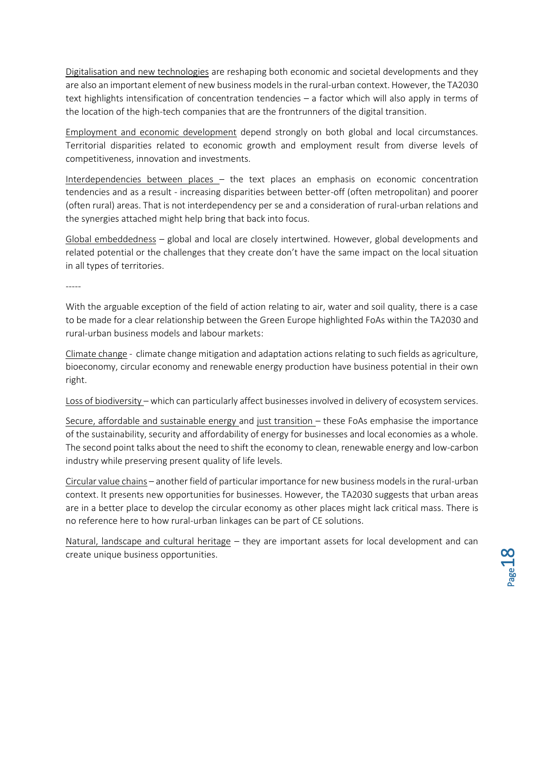Digitalisation and new technologies are reshaping both economic and societal developments and they are also an important element of new business models in the rural-urban context. However, the TA2030 text highlights intensification of concentration tendencies – a factor which will also apply in terms of the location of the high-tech companies that are the frontrunners of the digital transition.

Employment and economic development depend strongly on both global and local circumstances. Territorial disparities related to economic growth and employment result from diverse levels of competitiveness, innovation and investments.

Interdependencies between places – the text places an emphasis on economic concentration tendencies and as a result - increasing disparities between better-off (often metropolitan) and poorer (often rural) areas. That is not interdependency per se and a consideration of rural-urban relations and the synergies attached might help bring that back into focus.

Global embeddedness – global and local are closely intertwined. However, global developments and related potential or the challenges that they create don't have the same impact on the local situation in all types of territories.

-----

With the arguable exception of the field of action relating to air, water and soil quality, there is a case to be made for a clear relationship between the Green Europe highlighted FoAs within the TA2030 and rural-urban business models and labour markets:

Climate change - climate change mitigation and adaptation actions relating to such fields as agriculture, bioeconomy, circular economy and renewable energy production have business potential in their own right.

Loss of biodiversity – which can particularly affect businesses involved in delivery of ecosystem services.

Secure, affordable and sustainable energy and just transition – these FoAs emphasise the importance of the sustainability, security and affordability of energy for businesses and local economies as a whole. The second point talks about the need to shift the economy to clean, renewable energy and low-carbon industry while preserving present quality of life levels.

Circular value chains – another field of particular importance for new business models in the rural-urban context. It presents new opportunities for businesses. However, the TA2030 suggests that urban areas are in a better place to develop the circular economy as other places might lack critical mass. There is no reference here to how rural-urban linkages can be part of CE solutions.

Natural, landscape and cultural heritage – they are important assets for local development and can create unique business opportunities.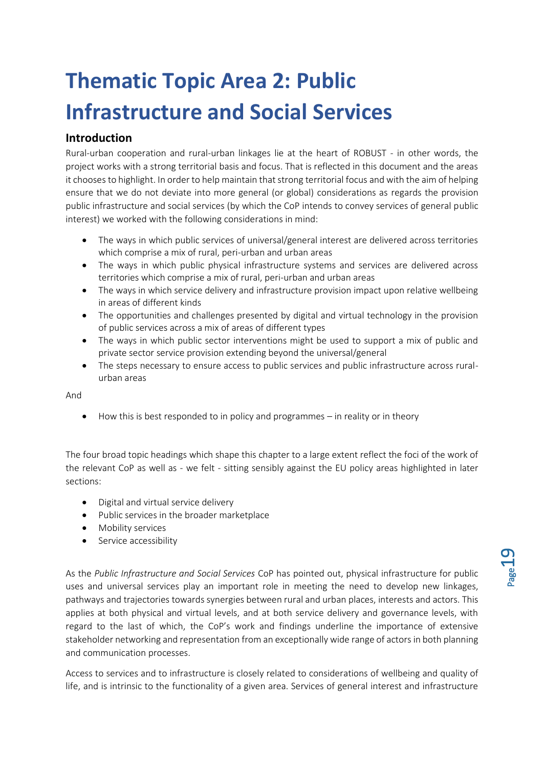# <span id="page-18-0"></span>**Thematic Topic Area 2: Public Infrastructure and Social Services**

## <span id="page-18-1"></span>**Introduction**

Rural-urban cooperation and rural-urban linkages lie at the heart of ROBUST - in other words, the project works with a strong territorial basis and focus. That is reflected in this document and the areas it chooses to highlight. In order to help maintain that strong territorial focus and with the aim of helping ensure that we do not deviate into more general (or global) considerations as regards the provision public infrastructure and social services (by which the CoP intends to convey services of general public interest) we worked with the following considerations in mind:

- The ways in which public services of universal/general interest are delivered across territories which comprise a mix of rural, peri-urban and urban areas
- The ways in which public physical infrastructure systems and services are delivered across territories which comprise a mix of rural, peri-urban and urban areas
- The ways in which service delivery and infrastructure provision impact upon relative wellbeing in areas of different kinds
- The opportunities and challenges presented by digital and virtual technology in the provision of public services across a mix of areas of different types
- The ways in which public sector interventions might be used to support a mix of public and private sector service provision extending beyond the universal/general
- The steps necessary to ensure access to public services and public infrastructure across ruralurban areas

And

• How this is best responded to in policy and programmes – in reality or in theory

The four broad topic headings which shape this chapter to a large extent reflect the foci of the work of the relevant CoP as well as - we felt - sitting sensibly against the EU policy areas highlighted in later sections:

- Digital and virtual service delivery
- Public services in the broader marketplace
- Mobility services
- Service accessibility

As the *Public Infrastructure and Social Services* CoP has pointed out, physical infrastructure for public uses and universal services play an important role in meeting the need to develop new linkages, pathways and trajectories towards synergies between rural and urban places, interests and actors. This applies at both physical and virtual levels, and at both service delivery and governance levels, with regard to the last of which, the CoP's work and findings underline the importance of extensive stakeholder networking and representation from an exceptionally wide range of actors in both planning and communication processes.

Access to services and to infrastructure is closely related to considerations of wellbeing and quality of life, and is intrinsic to the functionality of a given area. Services of general interest and infrastructure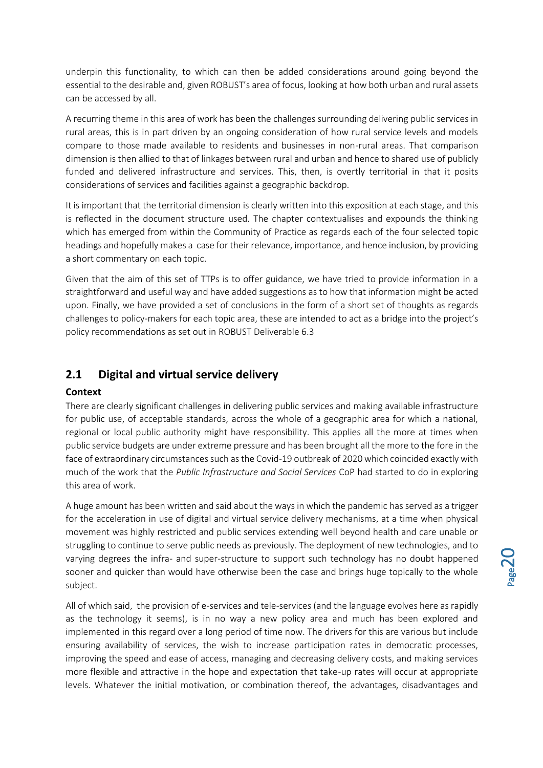underpin this functionality, to which can then be added considerations around going beyond the essential to the desirable and, given ROBUST's area of focus, looking at how both urban and rural assets can be accessed by all.

A recurring theme in this area of work has been the challenges surrounding delivering public services in rural areas, this is in part driven by an ongoing consideration of how rural service levels and models compare to those made available to residents and businesses in non-rural areas. That comparison dimension is then allied to that of linkages between rural and urban and hence to shared use of publicly funded and delivered infrastructure and services. This, then, is overtly territorial in that it posits considerations of services and facilities against a geographic backdrop.

It is important that the territorial dimension is clearly written into this exposition at each stage, and this is reflected in the document structure used. The chapter contextualises and expounds the thinking which has emerged from within the Community of Practice as regards each of the four selected topic headings and hopefully makes a case for their relevance, importance, and hence inclusion, by providing a short commentary on each topic.

Given that the aim of this set of TTPs is to offer guidance, we have tried to provide information in a straightforward and useful way and have added suggestions as to how that information might be acted upon. Finally, we have provided a set of conclusions in the form of a short set of thoughts as regards challenges to policy-makers for each topic area, these are intended to act as a bridge into the project's policy recommendations as set out in ROBUST Deliverable 6.3

## <span id="page-19-0"></span>**2.1 Digital and virtual service delivery**

#### <span id="page-19-1"></span>**Context**

There are clearly significant challenges in delivering public services and making available infrastructure for public use, of acceptable standards, across the whole of a geographic area for which a national, regional or local public authority might have responsibility. This applies all the more at times when public service budgets are under extreme pressure and has been brought all the more to the fore in the face of extraordinary circumstances such as the Covid-19 outbreak of 2020 which coincided exactly with much of the work that the *Public Infrastructure and Social Services* CoP had started to do in exploring this area of work.

A huge amount has been written and said about the ways in which the pandemic has served as a trigger for the acceleration in use of digital and virtual service delivery mechanisms, at a time when physical movement was highly restricted and public services extending well beyond health and care unable or struggling to continue to serve public needs as previously. The deployment of new technologies, and to varying degrees the infra- and super-structure to support such technology has no doubt happened sooner and quicker than would have otherwise been the case and brings huge topically to the whole subject.

All of which said, the provision of e-services and tele-services (and the language evolves here as rapidly as the technology it seems), is in no way a new policy area and much has been explored and implemented in this regard over a long period of time now. The drivers for this are various but include ensuring availability of services, the wish to increase participation rates in democratic processes, improving the speed and ease of access, managing and decreasing delivery costs, and making services more flexible and attractive in the hope and expectation that take-up rates will occur at appropriate levels. Whatever the initial motivation, or combination thereof, the advantages, disadvantages and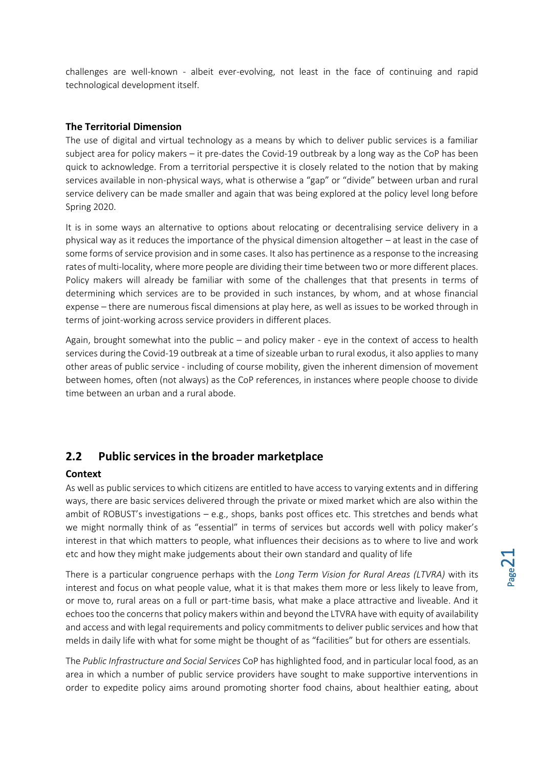challenges are well-known - albeit ever-evolving, not least in the face of continuing and rapid technological development itself.

#### <span id="page-20-0"></span>**The Territorial Dimension**

The use of digital and virtual technology as a means by which to deliver public services is a familiar subject area for policy makers – it pre-dates the Covid-19 outbreak by a long way as the CoP has been quick to acknowledge. From a territorial perspective it is closely related to the notion that by making services available in non-physical ways, what is otherwise a "gap" or "divide" between urban and rural service delivery can be made smaller and again that was being explored at the policy level long before Spring 2020.

It is in some ways an alternative to options about relocating or decentralising service delivery in a physical way as it reduces the importance of the physical dimension altogether – at least in the case of some forms of service provision and in some cases. It also has pertinence as a response to the increasing rates of multi-locality, where more people are dividing their time between two or more different places. Policy makers will already be familiar with some of the challenges that that presents in terms of determining which services are to be provided in such instances, by whom, and at whose financial expense – there are numerous fiscal dimensions at play here, as well as issues to be worked through in terms of joint-working across service providers in different places.

Again, brought somewhat into the public – and policy maker - eye in the context of access to health services during the Covid-19 outbreak at a time of sizeable urban to rural exodus, it also applies to many other areas of public service - including of course mobility, given the inherent dimension of movement between homes, often (not always) as the CoP references, in instances where people choose to divide time between an urban and a rural abode.

## <span id="page-20-1"></span>**2.2 Public services in the broader marketplace**

#### <span id="page-20-2"></span>**Context**

As well as public services to which citizens are entitled to have access to varying extents and in differing ways, there are basic services delivered through the private or mixed market which are also within the ambit of ROBUST's investigations – e.g., shops, banks post offices etc. This stretches and bends what we might normally think of as "essential" in terms of services but accords well with policy maker's interest in that which matters to people, what influences their decisions as to where to live and work etc and how they might make judgements about their own standard and quality of life

There is a particular congruence perhaps with the *Long Term Vision for Rural Areas (LTVRA)* with its interest and focus on what people value, what it is that makes them more or less likely to leave from, or move to, rural areas on a full or part-time basis, what make a place attractive and liveable. And it echoes too the concerns that policy makers within and beyond the LTVRA have with equity of availability and access and with legal requirements and policy commitments to deliver public services and how that melds in daily life with what for some might be thought of as "facilities" but for others are essentials.

The *Public Infrastructure and Social Services* CoP has highlighted food, and in particular local food, as an area in which a number of public service providers have sought to make supportive interventions in order to expedite policy aims around promoting shorter food chains, about healthier eating, about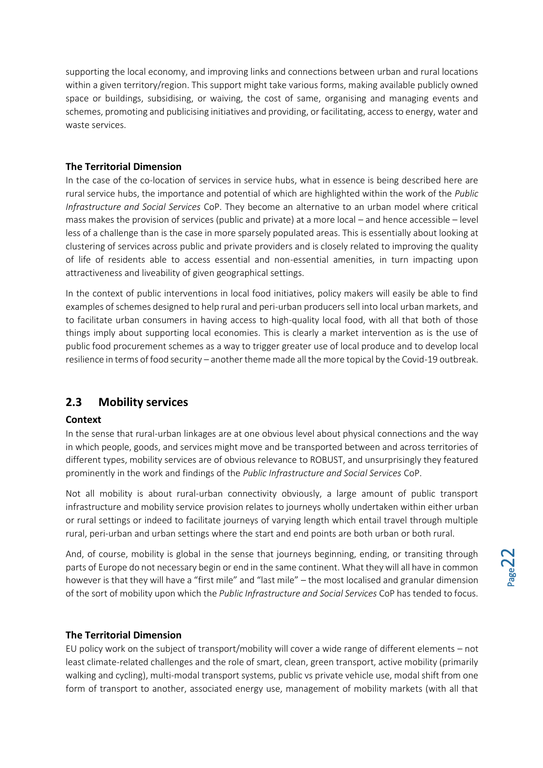supporting the local economy, and improving links and connections between urban and rural locations within a given territory/region. This support might take various forms, making available publicly owned space or buildings, subsidising, or waiving, the cost of same, organising and managing events and schemes, promoting and publicising initiatives and providing, or facilitating, access to energy, water and waste services.

#### <span id="page-21-0"></span>**The Territorial Dimension**

In the case of the co-location of services in service hubs, what in essence is being described here are rural service hubs, the importance and potential of which are highlighted within the work of the *Public Infrastructure and Social Services* CoP. They become an alternative to an urban model where critical mass makes the provision of services (public and private) at a more local – and hence accessible – level less of a challenge than is the case in more sparsely populated areas. This is essentially about looking at clustering of services across public and private providers and is closely related to improving the quality of life of residents able to access essential and non-essential amenities, in turn impacting upon attractiveness and liveability of given geographical settings.

In the context of public interventions in local food initiatives, policy makers will easily be able to find examples of schemes designed to help rural and peri-urban producers sell into local urban markets, and to facilitate urban consumers in having access to high-quality local food, with all that both of those things imply about supporting local economies. This is clearly a market intervention as is the use of public food procurement schemes as a way to trigger greater use of local produce and to develop local resilience in terms of food security – another theme made all the more topical by the Covid-19 outbreak.

## <span id="page-21-1"></span>**2.3 Mobility services**

#### <span id="page-21-2"></span>**Context**

In the sense that rural-urban linkages are at one obvious level about physical connections and the way in which people, goods, and services might move and be transported between and across territories of different types, mobility services are of obvious relevance to ROBUST, and unsurprisingly they featured prominently in the work and findings of the *Public Infrastructure and Social Services* CoP.

Not all mobility is about rural-urban connectivity obviously, a large amount of public transport infrastructure and mobility service provision relates to journeys wholly undertaken within either urban or rural settings or indeed to facilitate journeys of varying length which entail travel through multiple rural, peri-urban and urban settings where the start and end points are both urban or both rural.

And, of course, mobility is global in the sense that journeys beginning, ending, or transiting through parts of Europe do not necessary begin or end in the same continent. What they will all have in common however is that they will have a "first mile" and "last mile" – the most localised and granular dimension of the sort of mobility upon which the *Public Infrastructure and Social Services* CoP has tended to focus.

#### <span id="page-21-3"></span>**The Territorial Dimension**

EU policy work on the subject of transport/mobility will cover a wide range of different elements – not least climate-related challenges and the role of smart, clean, green transport, active mobility (primarily walking and cycling), multi-modal transport systems, public vs private vehicle use, modal shift from one form of transport to another, associated energy use, management of mobility markets (with all that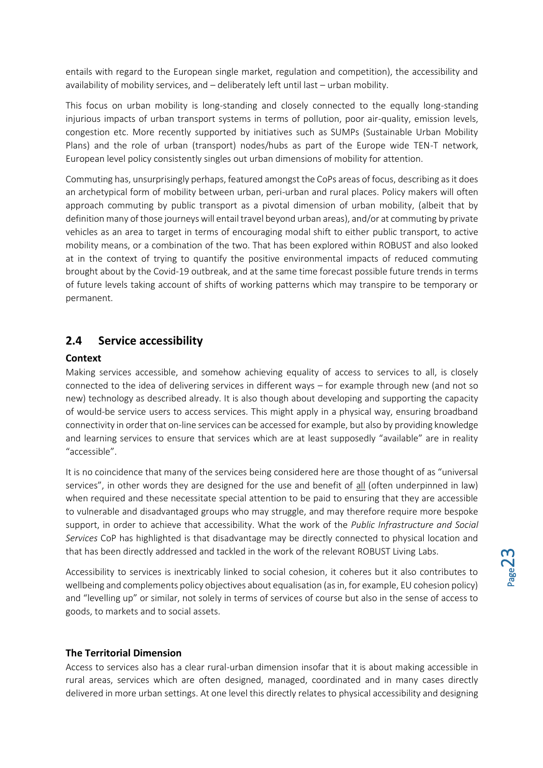entails with regard to the European single market, regulation and competition), the accessibility and availability of mobility services, and – deliberately left until last – urban mobility.

This focus on urban mobility is long-standing and closely connected to the equally long-standing injurious impacts of urban transport systems in terms of pollution, poor air-quality, emission levels, congestion etc. More recently supported by initiatives such as SUMPs (Sustainable Urban Mobility Plans) and the role of urban (transport) nodes/hubs as part of the Europe wide TEN-T network, European level policy consistently singles out urban dimensions of mobility for attention.

Commuting has, unsurprisingly perhaps, featured amongst the CoPs areas of focus, describing as it does an archetypical form of mobility between urban, peri-urban and rural places. Policy makers will often approach commuting by public transport as a pivotal dimension of urban mobility, (albeit that by definition many of those journeys will entail travel beyond urban areas), and/or at commuting by private vehicles as an area to target in terms of encouraging modal shift to either public transport, to active mobility means, or a combination of the two. That has been explored within ROBUST and also looked at in the context of trying to quantify the positive environmental impacts of reduced commuting brought about by the Covid-19 outbreak, and at the same time forecast possible future trends in terms of future levels taking account of shifts of working patterns which may transpire to be temporary or permanent.

## <span id="page-22-0"></span>**2.4 Service accessibility**

#### <span id="page-22-1"></span>**Context**

Making services accessible, and somehow achieving equality of access to services to all, is closely connected to the idea of delivering services in different ways – for example through new (and not so new) technology as described already. It is also though about developing and supporting the capacity of would-be service users to access services. This might apply in a physical way, ensuring broadband connectivity in order that on-line services can be accessed for example, but also by providing knowledge and learning services to ensure that services which are at least supposedly "available" are in reality "accessible".

It is no coincidence that many of the services being considered here are those thought of as "universal services", in other words they are designed for the use and benefit of all (often underpinned in law) when required and these necessitate special attention to be paid to ensuring that they are accessible to vulnerable and disadvantaged groups who may struggle, and may therefore require more bespoke support, in order to achieve that accessibility. What the work of the *Public Infrastructure and Social Services* CoP has highlighted is that disadvantage may be directly connected to physical location and that has been directly addressed and tackled in the work of the relevant ROBUST Living Labs.

Accessibility to services is inextricably linked to social cohesion, it coheres but it also contributes to wellbeing and complements policy objectives about equalisation (as in, for example, EU cohesion policy) and "levelling up" or similar, not solely in terms of services of course but also in the sense of access to goods, to markets and to social assets.

#### <span id="page-22-2"></span>**The Territorial Dimension**

Access to services also has a clear rural-urban dimension insofar that it is about making accessible in rural areas, services which are often designed, managed, coordinated and in many cases directly delivered in more urban settings. At one level this directly relates to physical accessibility and designing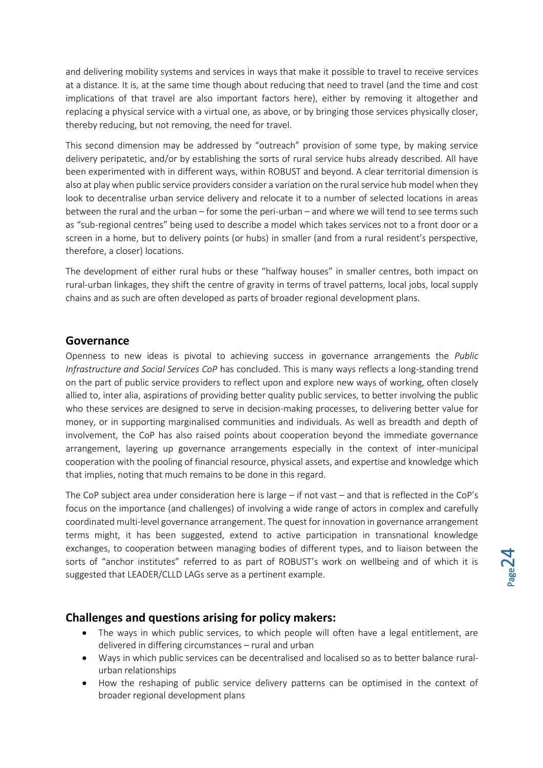and delivering mobility systems and services in ways that make it possible to travel to receive services at a distance. It is, at the same time though about reducing that need to travel (and the time and cost implications of that travel are also important factors here), either by removing it altogether and replacing a physical service with a virtual one, as above, or by bringing those services physically closer, thereby reducing, but not removing, the need for travel.

This second dimension may be addressed by "outreach" provision of some type, by making service delivery peripatetic, and/or by establishing the sorts of rural service hubs already described. All have been experimented with in different ways, within ROBUST and beyond. A clear territorial dimension is also at play when public service providers consider a variation on the rural service hub model when they look to decentralise urban service delivery and relocate it to a number of selected locations in areas between the rural and the urban – for some the peri-urban – and where we will tend to see terms such as "sub-regional centres" being used to describe a model which takes services not to a front door or a screen in a home, but to delivery points (or hubs) in smaller (and from a rural resident's perspective, therefore, a closer) locations.

The development of either rural hubs or these "halfway houses" in smaller centres, both impact on rural-urban linkages, they shift the centre of gravity in terms of travel patterns, local jobs, local supply chains and as such are often developed as parts of broader regional development plans.

#### <span id="page-23-0"></span>**Governance**

Openness to new ideas is pivotal to achieving success in governance arrangements the *Public Infrastructure and Social Services CoP* has concluded. This is many ways reflects a long-standing trend on the part of public service providers to reflect upon and explore new ways of working, often closely allied to, inter alia, aspirations of providing better quality public services, to better involving the public who these services are designed to serve in decision-making processes, to delivering better value for money, or in supporting marginalised communities and individuals. As well as breadth and depth of involvement, the CoP has also raised points about cooperation beyond the immediate governance arrangement, layering up governance arrangements especially in the context of inter-municipal cooperation with the pooling of financial resource, physical assets, and expertise and knowledge which that implies, noting that much remains to be done in this regard.

The CoP subject area under consideration here is large – if not vast – and that is reflected in the CoP's focus on the importance (and challenges) of involving a wide range of actors in complex and carefully coordinated multi-level governance arrangement. The quest for innovation in governance arrangement terms might, it has been suggested, extend to active participation in transnational knowledge exchanges, to cooperation between managing bodies of different types, and to liaison between the sorts of "anchor institutes" referred to as part of ROBUST's work on wellbeing and of which it is suggested that LEADER/CLLD LAGs serve as a pertinent example.

#### <span id="page-23-1"></span>**Challenges and questions arising for policy makers:**

- The ways in which public services, to which people will often have a legal entitlement, are delivered in differing circumstances – rural and urban
- Ways in which public services can be decentralised and localised so as to better balance ruralurban relationships
- How the reshaping of public service delivery patterns can be optimised in the context of broader regional development plans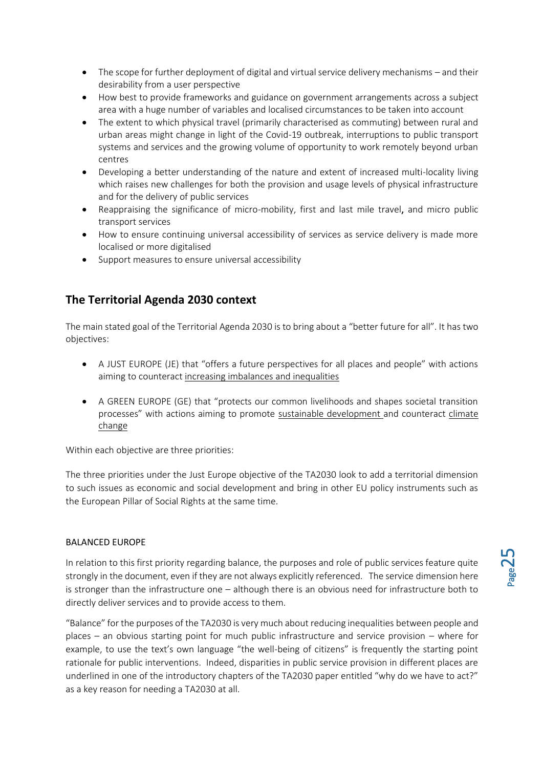- The scope for further deployment of digital and virtual service delivery mechanisms and their desirability from a user perspective
- How best to provide frameworks and guidance on government arrangements across a subject area with a huge number of variables and localised circumstances to be taken into account
- The extent to which physical travel (primarily characterised as commuting) between rural and urban areas might change in light of the Covid-19 outbreak, interruptions to public transport systems and services and the growing volume of opportunity to work remotely beyond urban centres
- Developing a better understanding of the nature and extent of increased multi-locality living which raises new challenges for both the provision and usage levels of physical infrastructure and for the delivery of public services
- Reappraising the significance of micro-mobility, first and last mile travel, and micro public transport services
- How to ensure continuing universal accessibility of services as service delivery is made more localised or more digitalised
- Support measures to ensure universal accessibility

## <span id="page-24-0"></span>**The Territorial Agenda 2030 context**

The main stated goal of the Territorial Agenda 2030 is to bring about a "better future for all". It has two objectives:

- A JUST EUROPE (JE) that "offers a future perspectives for all places and people" with actions aiming to counteract increasing imbalances and inequalities
- A GREEN EUROPE (GE) that "protects our common livelihoods and shapes societal transition processes" with actions aiming to promote sustainable development and counteract climate change

Within each objective are three priorities:

The three priorities under the Just Europe objective of the TA2030 look to add a territorial dimension to such issues as economic and social development and bring in other EU policy instruments such as the European Pillar of Social Rights at the same time.

#### BALANCED EUROPE

In relation to this first priority regarding balance, the purposes and role of public services feature quite strongly in the document, even if they are not always explicitly referenced. The service dimension here is stronger than the infrastructure one – although there is an obvious need for infrastructure both to directly deliver services and to provide access to them.

"Balance" for the purposes of the TA2030 is very much about reducing inequalities between people and places – an obvious starting point for much public infrastructure and service provision – where for example, to use the text's own language "the well-being of citizens" is frequently the starting point rationale for public interventions. Indeed, disparities in public service provision in different places are underlined in one of the introductory chapters of the TA2030 paper entitled "why do we have to act?" as a key reason for needing a TA2030 at all.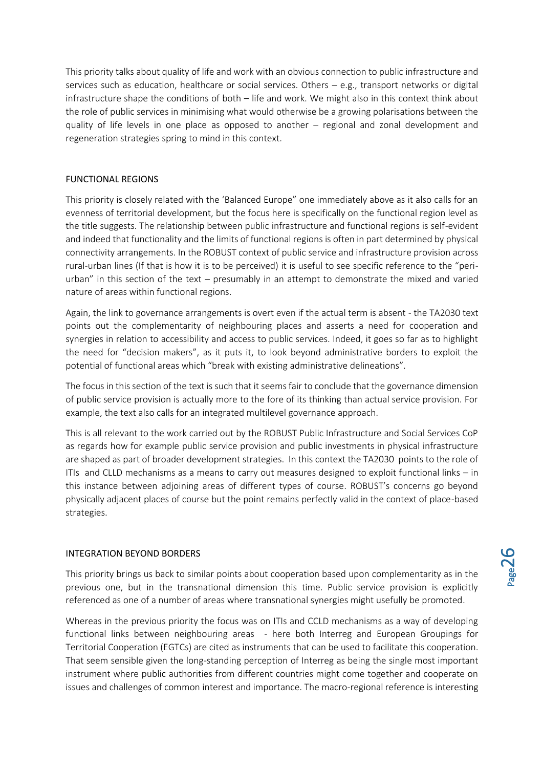This priority talks about quality of life and work with an obvious connection to public infrastructure and services such as education, healthcare or social services. Others – e.g., transport networks or digital infrastructure shape the conditions of both – life and work. We might also in this context think about the role of public services in minimising what would otherwise be a growing polarisations between the quality of life levels in one place as opposed to another – regional and zonal development and regeneration strategies spring to mind in this context.

#### FUNCTIONAL REGIONS

This priority is closely related with the 'Balanced Europe" one immediately above as it also calls for an evenness of territorial development, but the focus here is specifically on the functional region level as the title suggests. The relationship between public infrastructure and functional regions is self-evident and indeed that functionality and the limits of functional regions is often in part determined by physical connectivity arrangements. In the ROBUST context of public service and infrastructure provision across rural-urban lines (If that is how it is to be perceived) it is useful to see specific reference to the "periurban" in this section of the text – presumably in an attempt to demonstrate the mixed and varied nature of areas within functional regions.

Again, the link to governance arrangements is overt even if the actual term is absent - the TA2030 text points out the complementarity of neighbouring places and asserts a need for cooperation and synergies in relation to accessibility and access to public services. Indeed, it goes so far as to highlight the need for "decision makers", as it puts it, to look beyond administrative borders to exploit the potential of functional areas which "break with existing administrative delineations".

The focus in this section of the text is such that it seems fair to conclude that the governance dimension of public service provision is actually more to the fore of its thinking than actual service provision. For example, the text also calls for an integrated multilevel governance approach.

This is all relevant to the work carried out by the ROBUST Public Infrastructure and Social Services CoP as regards how for example public service provision and public investments in physical infrastructure are shaped as part of broader development strategies. In this context the TA2030 points to the role of ITIs and CLLD mechanisms as a means to carry out measures designed to exploit functional links – in this instance between adjoining areas of different types of course. ROBUST's concerns go beyond physically adjacent places of course but the point remains perfectly valid in the context of place-based strategies.

#### INTEGRATION BEYOND BORDERS

This priority brings us back to similar points about cooperation based upon complementarity as in the previous one, but in the transnational dimension this time. Public service provision is explicitly referenced as one of a number of areas where transnational synergies might usefully be promoted.

Whereas in the previous priority the focus was on ITIs and CCLD mechanisms as a way of developing functional links between neighbouring areas - here both Interreg and European Groupings for Territorial Cooperation (EGTCs) are cited as instruments that can be used to facilitate this cooperation. That seem sensible given the long-standing perception of Interreg as being the single most important instrument where public authorities from different countries might come together and cooperate on issues and challenges of common interest and importance. The macro-regional reference is interesting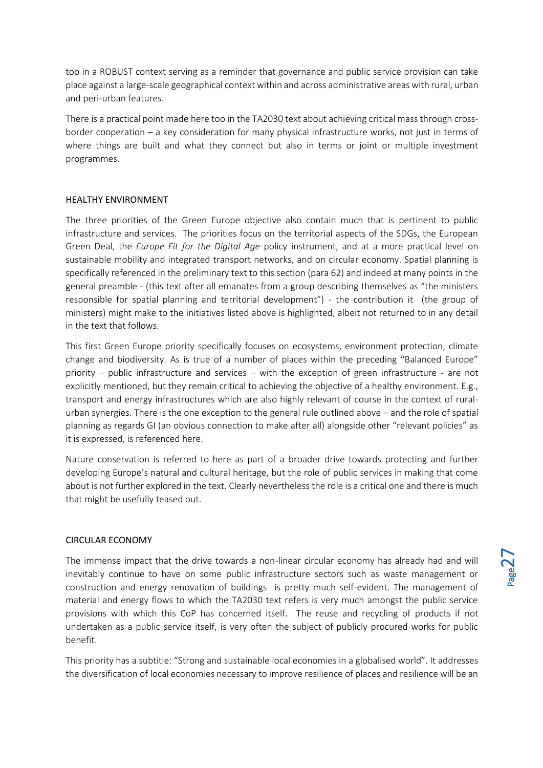too in a ROBUST context serving as a reminder that governance and public service provision can take place against a large-scale geographical context within and across administrative areas with rural, urban and peri-urban features.

There is a practical point made here too in the TA2030 text about achieving critical mass through crossborder cooperation – a key consideration for many physical infrastructure works, not just in terms of where things are built and what they connect but also in terms or joint or multiple investment programmes.

#### HEALTHY ENVIRONMENT

The three priorities of the Green Europe objective also contain much that is pertinent to public infrastructure and services. The priorities focus on the territorial aspects of the SDGs, the European Green Deal, the *Europe Fit for the Digital Age* policy instrument, and at a more practical level on sustainable mobility and integrated transport networks, and on circular economy. Spatial planning is specifically referenced in the preliminary text to this section (para 62) and indeed at many points in the general preamble - (this text after all emanates from a group describing themselves as "the ministers responsible for spatial planning and territorial development") - the contribution it (the group of ministers) might make to the initiatives listed above is highlighted, albeit not returned to in any detail in the text that follows.

This first Green Europe priority specifically focuses on ecosystems, environment protection, climate change and biodiversity. As is true of a number of places within the preceding "Balanced Europe" priority – public infrastructure and services – with the exception of green infrastructure - are not explicitly mentioned, but they remain critical to achieving the objective of a healthy environment. E.g., transport and energy infrastructures which are also highly relevant of course in the context of ruralurban synergies. There is the one exception to the general rule outlined above – and the role of spatial planning as regards GI (an obvious connection to make after all) alongside other "relevant policies" as it is expressed, is referenced here.

Nature conservation is referred to here as part of a broader drive towards protecting and further developing Europe's natural and cultural heritage, but the role of public services in making that come about is not further explored in the text. Clearly nevertheless the role is a critical one and there is much that might be usefully teased out.

#### CIRCULAR ECONOMY

The immense impact that the drive towards a non-linear circular economy has already had and will inevitably continue to have on some public infrastructure sectors such as waste management or construction and energy renovation of buildings is pretty much self-evident. The management of material and energy flows to which the TA2030 text refers is very much amongst the public service provisions with which this CoP has concerned itself. The reuse and recycling of products if not undertaken as a public service itself, is very often the subject of publicly procured works for public benefit.

This priority has a subtitle: "Strong and sustainable local economies in a globalised world". It addresses the diversification of local economies necessary to improve resilience of places and resilience will be an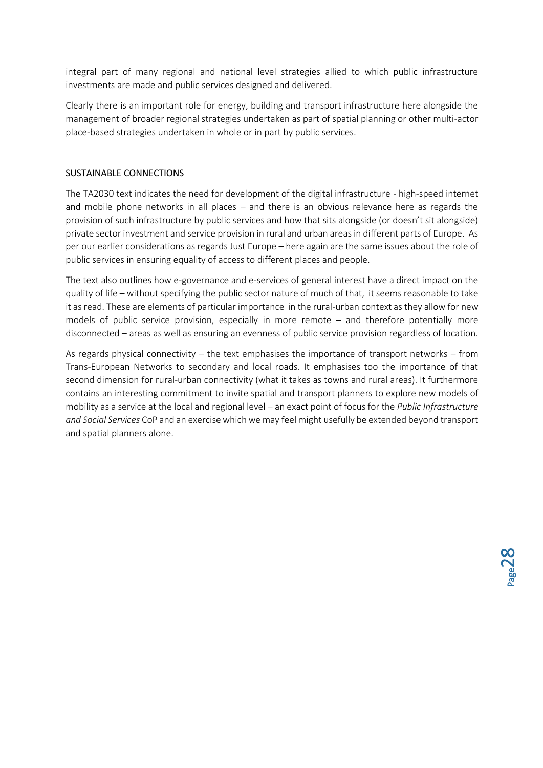integral part of many regional and national level strategies allied to which public infrastructure investments are made and public services designed and delivered.

Clearly there is an important role for energy, building and transport infrastructure here alongside the management of broader regional strategies undertaken as part of spatial planning or other multi-actor place-based strategies undertaken in whole or in part by public services.

#### SUSTAINABLE CONNECTIONS

The TA2030 text indicates the need for development of the digital infrastructure - high-speed internet and mobile phone networks in all places – and there is an obvious relevance here as regards the provision of such infrastructure by public services and how that sits alongside (or doesn't sit alongside) private sector investment and service provision in rural and urban areas in different parts of Europe. As per our earlier considerations as regards Just Europe – here again are the same issues about the role of public services in ensuring equality of access to different places and people.

The text also outlines how e-governance and e-services of general interest have a direct impact on the quality of life – without specifying the public sector nature of much of that, it seems reasonable to take it as read. These are elements of particular importance in the rural-urban context as they allow for new models of public service provision, especially in more remote – and therefore potentially more disconnected – areas as well as ensuring an evenness of public service provision regardless of location.

As regards physical connectivity – the text emphasises the importance of transport networks – from Trans-European Networks to secondary and local roads. It emphasises too the importance of that second dimension for rural-urban connectivity (what it takes as towns and rural areas). It furthermore contains an interesting commitment to invite spatial and transport planners to explore new models of mobility as a service at the local and regional level – an exact point of focus for the *Public Infrastructure and Social Services* CoP and an exercise which we may feel might usefully be extended beyond transport and spatial planners alone.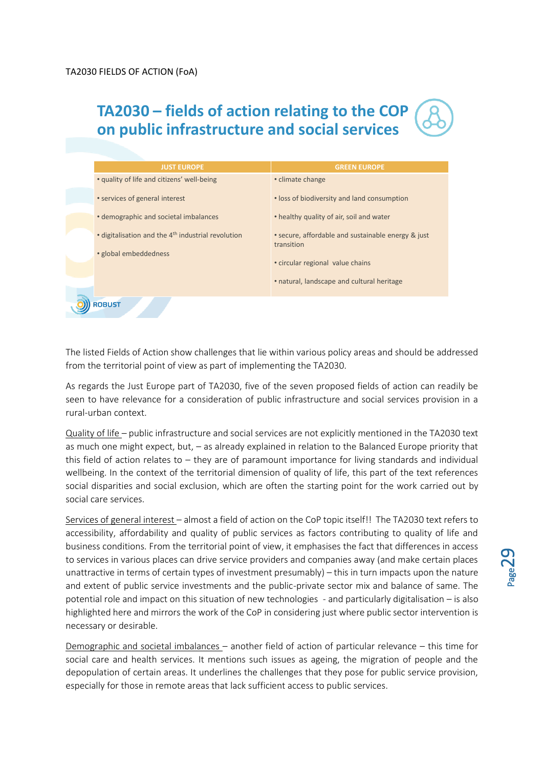## **TA2030 – fields of action relating to the COP on public infrastructure and social services**

|               | <b>JUST EUROPE</b>                                             | <b>GREEN EUROPE</b>                                              |
|---------------|----------------------------------------------------------------|------------------------------------------------------------------|
|               | • quality of life and citizens' well-being                     | • climate change                                                 |
|               | • services of general interest                                 | • loss of biodiversity and land consumption                      |
|               | • demographic and societal imbalances                          | • healthy quality of air, soil and water                         |
|               | • digitalisation and the 4 <sup>th</sup> industrial revolution | • secure, affordable and sustainable energy & just<br>transition |
|               | • global embeddedness                                          | • circular regional value chains                                 |
|               |                                                                | • natural, landscape and cultural heritage                       |
| <b>ROBUST</b> |                                                                |                                                                  |

The listed Fields of Action show challenges that lie within various policy areas and should be addressed from the territorial point of view as part of implementing the TA2030.

As regards the Just Europe part of TA2030, five of the seven proposed fields of action can readily be seen to have relevance for a consideration of public infrastructure and social services provision in a rural-urban context.

Quality of life – public infrastructure and social services are not explicitly mentioned in the TA2030 text as much one might expect, but, – as already explained in relation to the Balanced Europe priority that this field of action relates to – they are of paramount importance for living standards and individual wellbeing. In the context of the territorial dimension of quality of life, this part of the text references social disparities and social exclusion, which are often the starting point for the work carried out by social care services.

Services of general interest - almost a field of action on the CoP topic itself!! The TA2030 text refers to accessibility, affordability and quality of public services as factors contributing to quality of life and business conditions. From the territorial point of view, it emphasises the fact that differences in access to services in various places can drive service providers and companies away (and make certain places unattractive in terms of certain types of investment presumably) – this in turn impacts upon the nature and extent of public service investments and the public-private sector mix and balance of same. The potential role and impact on this situation of new technologies - and particularly digitalisation – is also highlighted here and mirrors the work of the CoP in considering just where public sector intervention is necessary or desirable.

Demographic and societal imbalances – another field of action of particular relevance – this time for social care and health services. It mentions such issues as ageing, the migration of people and the depopulation of certain areas. It underlines the challenges that they pose for public service provision, especially for those in remote areas that lack sufficient access to public services.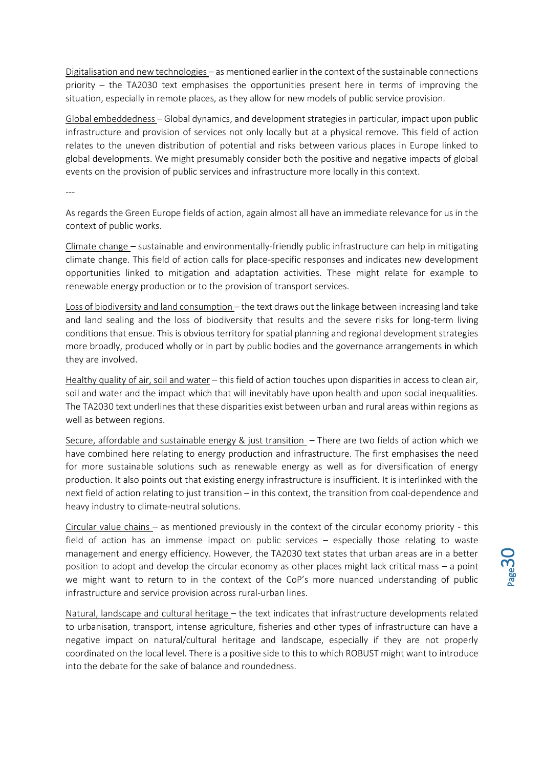Digitalisation and new technologies – as mentioned earlier in the context of the sustainable connections priority – the TA2030 text emphasises the opportunities present here in terms of improving the situation, especially in remote places, as they allow for new models of public service provision.

Global embeddedness – Global dynamics, and development strategies in particular, impact upon public infrastructure and provision of services not only locally but at a physical remove. This field of action relates to the uneven distribution of potential and risks between various places in Europe linked to global developments. We might presumably consider both the positive and negative impacts of global events on the provision of public services and infrastructure more locally in this context.

---

As regards the Green Europe fields of action, again almost all have an immediate relevance for us in the context of public works.

Climate change – sustainable and environmentally-friendly public infrastructure can help in mitigating climate change. This field of action calls for place-specific responses and indicates new development opportunities linked to mitigation and adaptation activities. These might relate for example to renewable energy production or to the provision of transport services.

Loss of biodiversity and land consumption – the text draws out the linkage between increasing land take and land sealing and the loss of biodiversity that results and the severe risks for long-term living conditions that ensue. This is obvious territory for spatial planning and regional development strategies more broadly, produced wholly or in part by public bodies and the governance arrangements in which they are involved.

Healthy quality of air, soil and water – this field of action touches upon disparities in access to clean air, soil and water and the impact which that will inevitably have upon health and upon social inequalities. The TA2030 text underlines that these disparities exist between urban and rural areas within regions as well as between regions.

Secure, affordable and sustainable energy & just transition – There are two fields of action which we have combined here relating to energy production and infrastructure. The first emphasises the need for more sustainable solutions such as renewable energy as well as for diversification of energy production. It also points out that existing energy infrastructure is insufficient. It is interlinked with the next field of action relating to just transition – in this context, the transition from coal-dependence and heavy industry to climate-neutral solutions.

Circular value chains – as mentioned previously in the context of the circular economy priority - this field of action has an immense impact on public services – especially those relating to waste management and energy efficiency. However, the TA2030 text states that urban areas are in a better position to adopt and develop the circular economy as other places might lack critical mass – a point we might want to return to in the context of the CoP's more nuanced understanding of public infrastructure and service provision across rural-urban lines.

Natural, landscape and cultural heritage – the text indicates that infrastructure developments related to urbanisation, transport, intense agriculture, fisheries and other types of infrastructure can have a negative impact on natural/cultural heritage and landscape, especially if they are not properly coordinated on the local level. There is a positive side to this to which ROBUST might want to introduce into the debate for the sake of balance and roundedness.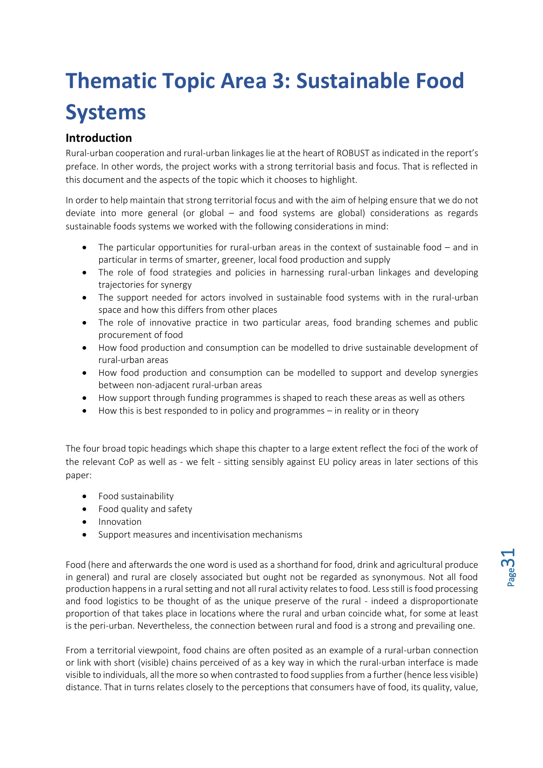# <span id="page-30-0"></span>**Thematic Topic Area 3: Sustainable Food Systems**

## <span id="page-30-1"></span>**Introduction**

Rural-urban cooperation and rural-urban linkages lie at the heart of ROBUST as indicated in the report's preface. In other words, the project works with a strong territorial basis and focus. That is reflected in this document and the aspects of the topic which it chooses to highlight.

In order to help maintain that strong territorial focus and with the aim of helping ensure that we do not deviate into more general (or global – and food systems are global) considerations as regards sustainable foods systems we worked with the following considerations in mind:

- The particular opportunities for rural-urban areas in the context of sustainable food and in particular in terms of smarter, greener, local food production and supply
- The role of food strategies and policies in harnessing rural-urban linkages and developing trajectories for synergy
- The support needed for actors involved in sustainable food systems with in the rural-urban space and how this differs from other places
- The role of innovative practice in two particular areas, food branding schemes and public procurement of food
- How food production and consumption can be modelled to drive sustainable development of rural-urban areas
- How food production and consumption can be modelled to support and develop synergies between non-adjacent rural-urban areas
- How support through funding programmes is shaped to reach these areas as well as others
- How this is best responded to in policy and programmes in reality or in theory

The four broad topic headings which shape this chapter to a large extent reflect the foci of the work of the relevant CoP as well as - we felt - sitting sensibly against EU policy areas in later sections of this paper:

- Food sustainability
- Food quality and safety
- Innovation
- Support measures and incentivisation mechanisms

Food (here and afterwards the one word is used as a shorthand for food, drink and agricultural produce in general) and rural are closely associated but ought not be regarded as synonymous. Not all food production happens in a rural setting and not all rural activity relates to food. Less still is food processing and food logistics to be thought of as the unique preserve of the rural - indeed a disproportionate proportion of that takes place in locations where the rural and urban coincide what, for some at least is the peri-urban. Nevertheless, the connection between rural and food is a strong and prevailing one.

From a territorial viewpoint, food chains are often posited as an example of a rural-urban connection or link with short (visible) chains perceived of as a key way in which the rural-urban interface is made visible to individuals, all the more so when contrasted to food supplies from a further (hence less visible) distance. That in turns relates closely to the perceptions that consumers have of food, its quality, value,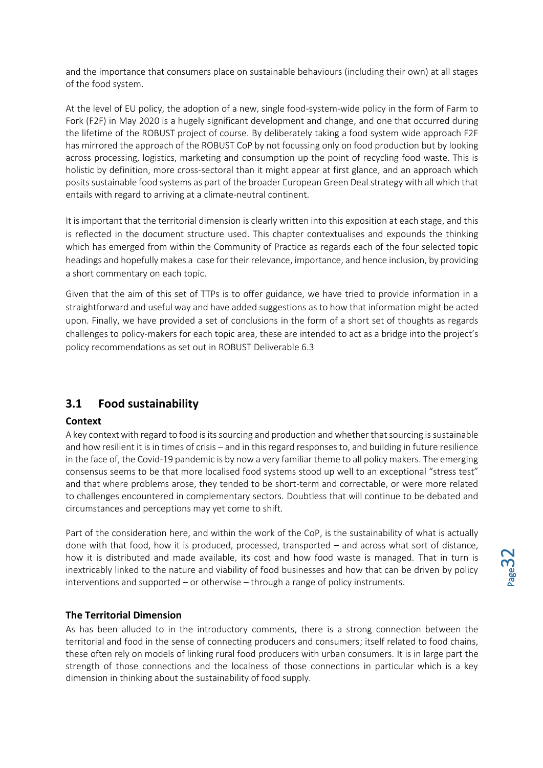and the importance that consumers place on sustainable behaviours (including their own) at all stages of the food system.

At the level of EU policy, the adoption of a new, single food-system-wide policy in the form of Farm to Fork (F2F) in May 2020 is a hugely significant development and change, and one that occurred during the lifetime of the ROBUST project of course. By deliberately taking a food system wide approach F2F has mirrored the approach of the ROBUST CoP by not focussing only on food production but by looking across processing, logistics, marketing and consumption up the point of recycling food waste. This is holistic by definition, more cross-sectoral than it might appear at first glance, and an approach which posits sustainable food systems as part of the broader European Green Deal strategy with all which that entails with regard to arriving at a climate-neutral continent.

It is important that the territorial dimension is clearly written into this exposition at each stage, and this is reflected in the document structure used. This chapter contextualises and expounds the thinking which has emerged from within the Community of Practice as regards each of the four selected topic headings and hopefully makes a case for their relevance, importance, and hence inclusion, by providing a short commentary on each topic.

Given that the aim of this set of TTPs is to offer guidance, we have tried to provide information in a straightforward and useful way and have added suggestions as to how that information might be acted upon. Finally, we have provided a set of conclusions in the form of a short set of thoughts as regards challenges to policy-makers for each topic area, these are intended to act as a bridge into the project's policy recommendations as set out in ROBUST Deliverable 6.3

## <span id="page-31-0"></span>**3.1 Food sustainability**

#### <span id="page-31-1"></span>**Context**

A key context with regard to food is its sourcing and production and whether that sourcing is sustainable and how resilient it is in times of crisis – and in this regard responses to, and building in future resilience in the face of, the Covid-19 pandemic is by now a very familiar theme to all policy makers. The emerging consensus seems to be that more localised food systems stood up well to an exceptional "stress test" and that where problems arose, they tended to be short-term and correctable, or were more related to challenges encountered in complementary sectors. Doubtless that will continue to be debated and circumstances and perceptions may yet come to shift.

Part of the consideration here, and within the work of the CoP, is the sustainability of what is actually done with that food, how it is produced, processed, transported – and across what sort of distance, how it is distributed and made available, its cost and how food waste is managed. That in turn is inextricably linked to the nature and viability of food businesses and how that can be driven by policy interventions and supported – or otherwise – through a range of policy instruments.

#### <span id="page-31-2"></span>**The Territorial Dimension**

As has been alluded to in the introductory comments, there is a strong connection between the territorial and food in the sense of connecting producers and consumers; itself related to food chains, these often rely on models of linking rural food producers with urban consumers. It is in large part the strength of those connections and the localness of those connections in particular which is a key dimension in thinking about the sustainability of food supply.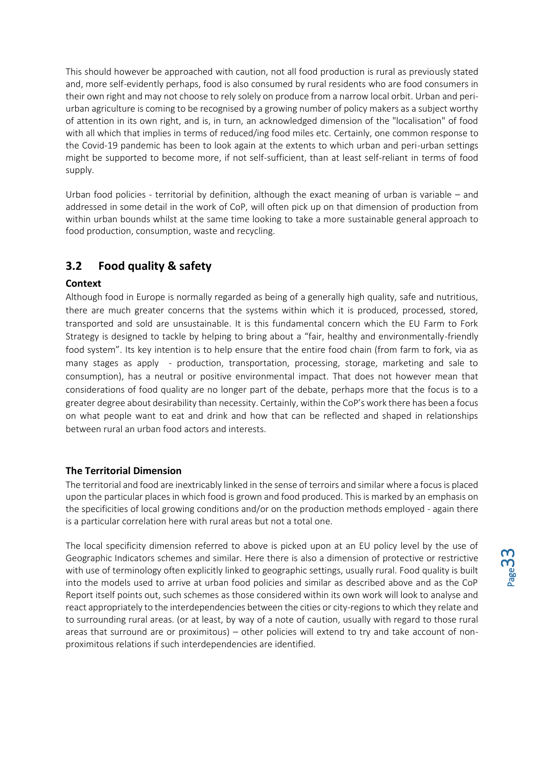This should however be approached with caution, not all food production is rural as previously stated and, more self-evidently perhaps, food is also consumed by rural residents who are food consumers in their own right and may not choose to rely solely on produce from a narrow local orbit. Urban and periurban agriculture is coming to be recognised by a growing number of policy makers as a subject worthy of attention in its own right, and is, in turn, an acknowledged dimension of the "localisation" of food with all which that implies in terms of reduced/ing food miles etc. Certainly, one common response to the Covid-19 pandemic has been to look again at the extents to which urban and peri-urban settings might be supported to become more, if not self-sufficient, than at least self-reliant in terms of food supply.

Urban food policies - territorial by definition, although the exact meaning of urban is variable – and addressed in some detail in the work of CoP, will often pick up on that dimension of production from within urban bounds whilst at the same time looking to take a more sustainable general approach to food production, consumption, waste and recycling.

## <span id="page-32-0"></span>**3.2 Food quality & safety**

#### <span id="page-32-1"></span>**Context**

Although food in Europe is normally regarded as being of a generally high quality, safe and nutritious, there are much greater concerns that the systems within which it is produced, processed, stored, transported and sold are unsustainable. It is this fundamental concern which the EU Farm to Fork Strategy is designed to tackle by helping to bring about a "fair, healthy and environmentally-friendly food system". Its key intention is to help ensure that the entire food chain (from farm to fork, via as many stages as apply - production, transportation, processing, storage, marketing and sale to consumption), has a neutral or positive environmental impact. That does not however mean that considerations of food quality are no longer part of the debate, perhaps more that the focus is to a greater degree about desirability than necessity. Certainly, within the CoP's work there has been a focus on what people want to eat and drink and how that can be reflected and shaped in relationships between rural an urban food actors and interests.

#### <span id="page-32-2"></span>**The Territorial Dimension**

The territorial and food are inextricably linked in the sense of terroirs and similar where a focus is placed upon the particular places in which food is grown and food produced. This is marked by an emphasis on the specificities of local growing conditions and/or on the production methods employed - again there is a particular correlation here with rural areas but not a total one.

The local specificity dimension referred to above is picked upon at an EU policy level by the use of Geographic Indicators schemes and similar. Here there is also a dimension of protective or restrictive with use of terminology often explicitly linked to geographic settings, usually rural. Food quality is built into the models used to arrive at urban food policies and similar as described above and as the CoP Report itself points out, such schemes as those considered within its own work will look to analyse and react appropriately to the interdependencies between the cities or city-regions to which they relate and to surrounding rural areas. (or at least, by way of a note of caution, usually with regard to those rural areas that surround are or proximitous) – other policies will extend to try and take account of nonproximitous relations if such interdependencies are identified.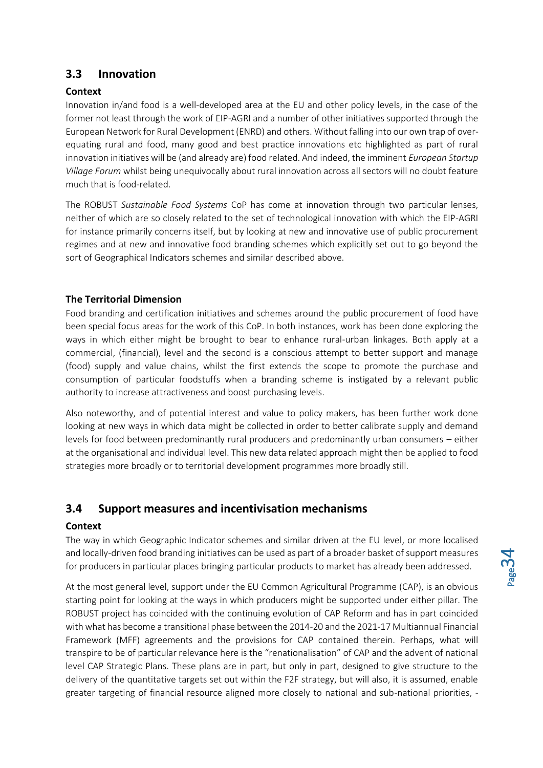## <span id="page-33-0"></span>**3.3 Innovation**

#### <span id="page-33-1"></span>**Context**

Innovation in/and food is a well-developed area at the EU and other policy levels, in the case of the former not least through the work of EIP-AGRI and a number of other initiatives supported through the European Network for Rural Development (ENRD) and others. Without falling into our own trap of overequating rural and food, many good and best practice innovations etc highlighted as part of rural innovation initiatives will be (and already are) food related. And indeed, the imminent *European Startup Village Forum* whilst being unequivocally about rural innovation across all sectors will no doubt feature much that is food-related.

The ROBUST *Sustainable Food Systems* CoP has come at innovation through two particular lenses, neither of which are so closely related to the set of technological innovation with which the EIP-AGRI for instance primarily concerns itself, but by looking at new and innovative use of public procurement regimes and at new and innovative food branding schemes which explicitly set out to go beyond the sort of Geographical Indicators schemes and similar described above.

#### <span id="page-33-2"></span>**The Territorial Dimension**

Food branding and certification initiatives and schemes around the public procurement of food have been special focus areas for the work of this CoP. In both instances, work has been done exploring the ways in which either might be brought to bear to enhance rural-urban linkages. Both apply at a commercial, (financial), level and the second is a conscious attempt to better support and manage (food) supply and value chains, whilst the first extends the scope to promote the purchase and consumption of particular foodstuffs when a branding scheme is instigated by a relevant public authority to increase attractiveness and boost purchasing levels.

Also noteworthy, and of potential interest and value to policy makers, has been further work done looking at new ways in which data might be collected in order to better calibrate supply and demand levels for food between predominantly rural producers and predominantly urban consumers – either at the organisational and individual level. This new data related approach might then be applied to food strategies more broadly or to territorial development programmes more broadly still.

## <span id="page-33-3"></span>**3.4 Support measures and incentivisation mechanisms**

#### <span id="page-33-4"></span>**Context**

The way in which Geographic Indicator schemes and similar driven at the EU level, or more localised and locally-driven food branding initiatives can be used as part of a broader basket of support measures for producers in particular places bringing particular products to market has already been addressed.

At the most general level, support under the EU Common Agricultural Programme (CAP), is an obvious starting point for looking at the ways in which producers might be supported under either pillar. The ROBUST project has coincided with the continuing evolution of CAP Reform and has in part coincided with what has become a transitional phase between the 2014-20 and the 2021-17 Multiannual Financial Framework (MFF) agreements and the provisions for CAP contained therein. Perhaps, what will transpire to be of particular relevance here is the "renationalisation" of CAP and the advent of national level CAP Strategic Plans. These plans are in part, but only in part, designed to give structure to the delivery of the quantitative targets set out within the F2F strategy, but will also, it is assumed, enable greater targeting of financial resource aligned more closely to national and sub-national priorities, -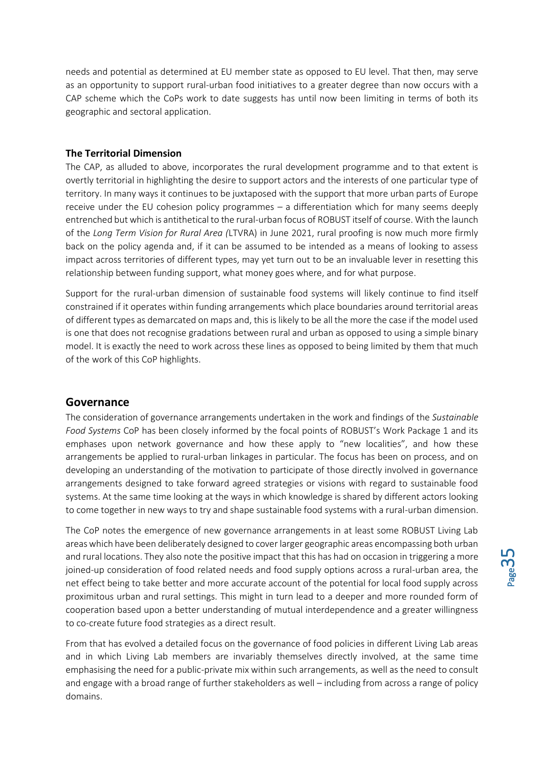needs and potential as determined at EU member state as opposed to EU level. That then, may serve as an opportunity to support rural-urban food initiatives to a greater degree than now occurs with a CAP scheme which the CoPs work to date suggests has until now been limiting in terms of both its geographic and sectoral application.

#### <span id="page-34-0"></span>**The Territorial Dimension**

The CAP, as alluded to above, incorporates the rural development programme and to that extent is overtly territorial in highlighting the desire to support actors and the interests of one particular type of territory. In many ways it continues to be juxtaposed with the support that more urban parts of Europe receive under the EU cohesion policy programmes – a differentiation which for many seems deeply entrenched but which is antithetical to the rural-urban focus of ROBUST itself of course. With the launch of the *Long Term Vision for Rural Area (*LTVRA) in June 2021, rural proofing is now much more firmly back on the policy agenda and, if it can be assumed to be intended as a means of looking to assess impact across territories of different types, may yet turn out to be an invaluable lever in resetting this relationship between funding support, what money goes where, and for what purpose.

Support for the rural-urban dimension of sustainable food systems will likely continue to find itself constrained if it operates within funding arrangements which place boundaries around territorial areas of different types as demarcated on maps and, this is likely to be all the more the case if the model used is one that does not recognise gradations between rural and urban as opposed to using a simple binary model. It is exactly the need to work across these lines as opposed to being limited by them that much of the work of this CoP highlights.

#### <span id="page-34-1"></span>**Governance**

The consideration of governance arrangements undertaken in the work and findings of the *Sustainable Food Systems* CoP has been closely informed by the focal points of ROBUST's Work Package 1 and its emphases upon network governance and how these apply to "new localities", and how these arrangements be applied to rural-urban linkages in particular. The focus has been on process, and on developing an understanding of the motivation to participate of those directly involved in governance arrangements designed to take forward agreed strategies or visions with regard to sustainable food systems. At the same time looking at the ways in which knowledge is shared by different actors looking to come together in new ways to try and shape sustainable food systems with a rural-urban dimension.

The CoP notes the emergence of new governance arrangements in at least some ROBUST Living Lab areas which have been deliberately designed to cover larger geographic areas encompassing both urban and rural locations. They also note the positive impact that this has had on occasion in triggering a more joined-up consideration of food related needs and food supply options across a rural-urban area, the net effect being to take better and more accurate account of the potential for local food supply across proximitous urban and rural settings. This might in turn lead to a deeper and more rounded form of cooperation based upon a better understanding of mutual interdependence and a greater willingness to co-create future food strategies as a direct result.

From that has evolved a detailed focus on the governance of food policies in different Living Lab areas and in which Living Lab members are invariably themselves directly involved, at the same time emphasising the need for a public-private mix within such arrangements, as well as the need to consult and engage with a broad range of further stakeholders as well – including from across a range of policy domains.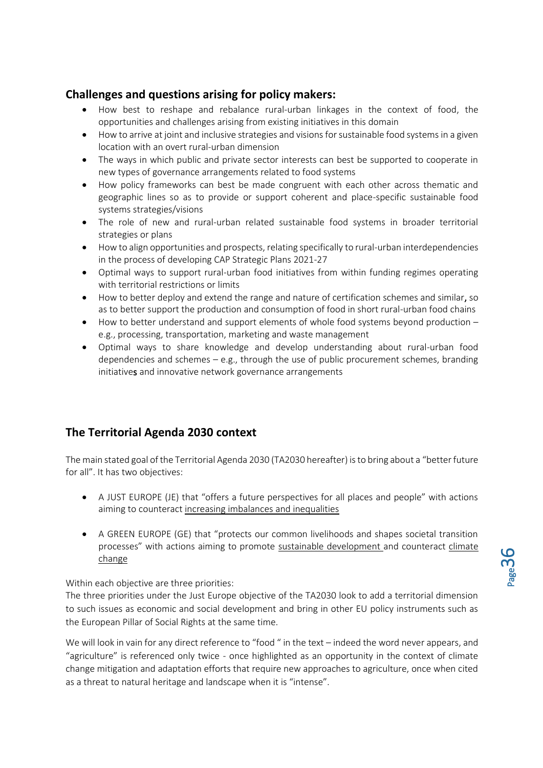## <span id="page-35-0"></span>**Challenges and questions arising for policy makers:**

- How best to reshape and rebalance rural-urban linkages in the context of food, the opportunities and challenges arising from existing initiatives in this domain
- How to arrive at joint and inclusive strategies and visions for sustainable food systems in a given location with an overt rural-urban dimension
- The ways in which public and private sector interests can best be supported to cooperate in new types of governance arrangements related to food systems
- How policy frameworks can best be made congruent with each other across thematic and geographic lines so as to provide or support coherent and place-specific sustainable food systems strategies/visions
- The role of new and rural-urban related sustainable food systems in broader territorial strategies or plans
- How to align opportunities and prospects, relating specifically to rural-urban interdependencies in the process of developing CAP Strategic Plans 2021-27
- Optimal ways to support rural-urban food initiatives from within funding regimes operating with territorial restrictions or limits
- How to better deploy and extend the range and nature of certification schemes and similar, so as to better support the production and consumption of food in short rural-urban food chains
- How to better understand and support elements of whole food systems beyond production e.g., processing, transportation, marketing and waste management
- Optimal ways to share knowledge and develop understanding about rural-urban food dependencies and schemes – e.g., through the use of public procurement schemes, branding initiatives and innovative network governance arrangements

## <span id="page-35-1"></span>**The Territorial Agenda 2030 context**

The main stated goal of the Territorial Agenda 2030 (TA2030 hereafter) is to bring about a "better future for all". It has two objectives:

- A JUST EUROPE (JE) that "offers a future perspectives for all places and people" with actions aiming to counteract increasing imbalances and inequalities
- A GREEN EUROPE (GE) that "protects our common livelihoods and shapes societal transition processes" with actions aiming to promote sustainable development and counteract climate change

Within each objective are three priorities:

The three priorities under the Just Europe objective of the TA2030 look to add a territorial dimension to such issues as economic and social development and bring in other EU policy instruments such as the European Pillar of Social Rights at the same time.

We will look in vain for any direct reference to "food " in the text – indeed the word never appears, and "agriculture" is referenced only twice - once highlighted as an opportunity in the context of climate change mitigation and adaptation efforts that require new approaches to agriculture, once when cited as a threat to natural heritage and landscape when it is "intense".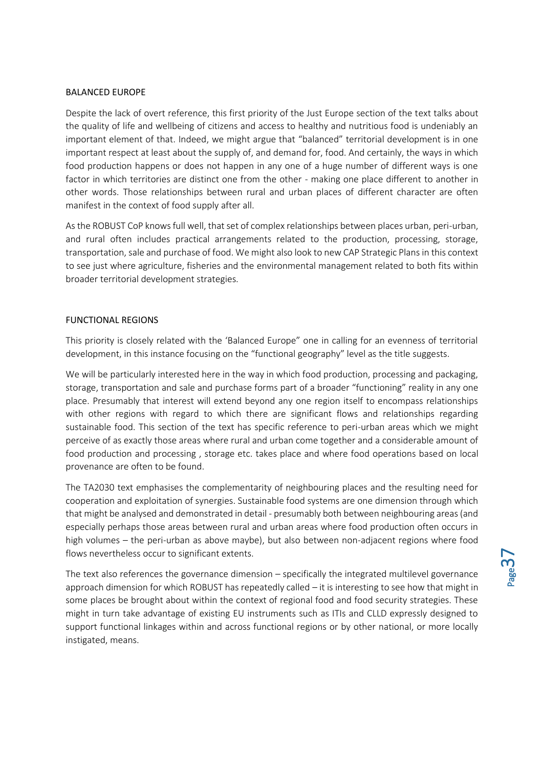#### BALANCED EUROPE

Despite the lack of overt reference, this first priority of the Just Europe section of the text talks about the quality of life and wellbeing of citizens and access to healthy and nutritious food is undeniably an important element of that. Indeed, we might argue that "balanced" territorial development is in one important respect at least about the supply of, and demand for, food. And certainly, the ways in which food production happens or does not happen in any one of a huge number of different ways is one factor in which territories are distinct one from the other - making one place different to another in other words. Those relationships between rural and urban places of different character are often manifest in the context of food supply after all.

As the ROBUST CoP knows full well, that set of complex relationships between places urban, peri-urban, and rural often includes practical arrangements related to the production, processing, storage, transportation, sale and purchase of food. We might also look to new CAP Strategic Plans in this context to see just where agriculture, fisheries and the environmental management related to both fits within broader territorial development strategies.

#### FUNCTIONAL REGIONS

This priority is closely related with the 'Balanced Europe" one in calling for an evenness of territorial development, in this instance focusing on the "functional geography" level as the title suggests.

We will be particularly interested here in the way in which food production, processing and packaging, storage, transportation and sale and purchase forms part of a broader "functioning" reality in any one place. Presumably that interest will extend beyond any one region itself to encompass relationships with other regions with regard to which there are significant flows and relationships regarding sustainable food. This section of the text has specific reference to peri-urban areas which we might perceive of as exactly those areas where rural and urban come together and a considerable amount of food production and processing , storage etc. takes place and where food operations based on local provenance are often to be found.

The TA2030 text emphasises the complementarity of neighbouring places and the resulting need for cooperation and exploitation of synergies. Sustainable food systems are one dimension through which that might be analysed and demonstrated in detail - presumably both between neighbouring areas (and especially perhaps those areas between rural and urban areas where food production often occurs in high volumes – the peri-urban as above maybe), but also between non-adjacent regions where food flows nevertheless occur to significant extents.

The text also references the governance dimension – specifically the integrated multilevel governance approach dimension for which ROBUST has repeatedly called – it is interesting to see how that might in some places be brought about within the context of regional food and food security strategies. These might in turn take advantage of existing EU instruments such as ITIs and CLLD expressly designed to support functional linkages within and across functional regions or by other national, or more locally instigated, means.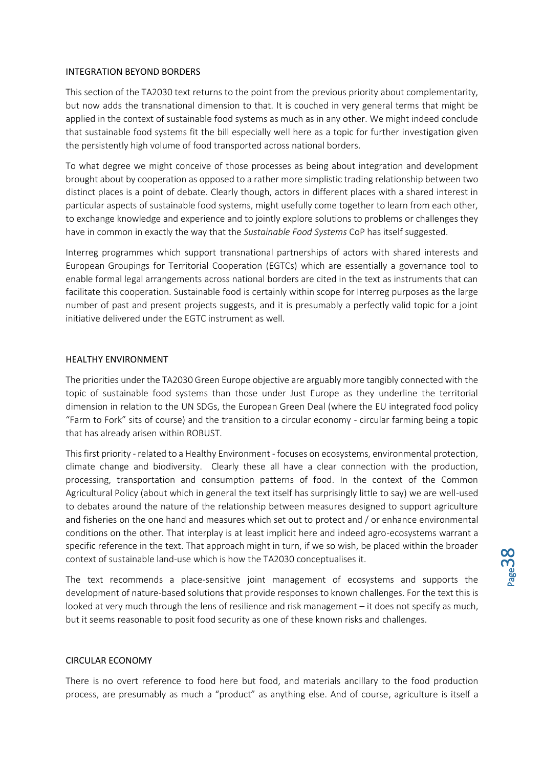#### INTEGRATION BEYOND BORDERS

This section of the TA2030 text returns to the point from the previous priority about complementarity, but now adds the transnational dimension to that. It is couched in very general terms that might be applied in the context of sustainable food systems as much as in any other. We might indeed conclude that sustainable food systems fit the bill especially well here as a topic for further investigation given the persistently high volume of food transported across national borders.

To what degree we might conceive of those processes as being about integration and development brought about by cooperation as opposed to a rather more simplistic trading relationship between two distinct places is a point of debate. Clearly though, actors in different places with a shared interest in particular aspects of sustainable food systems, might usefully come together to learn from each other, to exchange knowledge and experience and to jointly explore solutions to problems or challenges they have in common in exactly the way that the *Sustainable Food Systems* CoP has itself suggested.

Interreg programmes which support transnational partnerships of actors with shared interests and European Groupings for Territorial Cooperation (EGTCs) which are essentially a governance tool to enable formal legal arrangements across national borders are cited in the text as instruments that can facilitate this cooperation. Sustainable food is certainly within scope for Interreg purposes as the large number of past and present projects suggests, and it is presumably a perfectly valid topic for a joint initiative delivered under the EGTC instrument as well.

#### HEALTHY ENVIRONMENT

The priorities under the TA2030 Green Europe objective are arguably more tangibly connected with the topic of sustainable food systems than those under Just Europe as they underline the territorial dimension in relation to the UN SDGs, the European Green Deal (where the EU integrated food policy "Farm to Fork" sits of course) and the transition to a circular economy - circular farming being a topic that has already arisen within ROBUST.

This first priority - related to a Healthy Environment - focuses on ecosystems, environmental protection, climate change and biodiversity. Clearly these all have a clear connection with the production, processing, transportation and consumption patterns of food. In the context of the Common Agricultural Policy (about which in general the text itself has surprisingly little to say) we are well-used to debates around the nature of the relationship between measures designed to support agriculture and fisheries on the one hand and measures which set out to protect and / or enhance environmental conditions on the other. That interplay is at least implicit here and indeed agro-ecosystems warrant a specific reference in the text. That approach might in turn, if we so wish, be placed within the broader context of sustainable land-use which is how the TA2030 conceptualises it.

The text recommends a place-sensitive joint management of ecosystems and supports the development of nature-based solutions that provide responses to known challenges. For the text this is looked at very much through the lens of resilience and risk management – it does not specify as much, but it seems reasonable to posit food security as one of these known risks and challenges.

#### CIRCULAR ECONOMY

There is no overt reference to food here but food, and materials ancillary to the food production process, are presumably as much a "product" as anything else. And of course, agriculture is itself a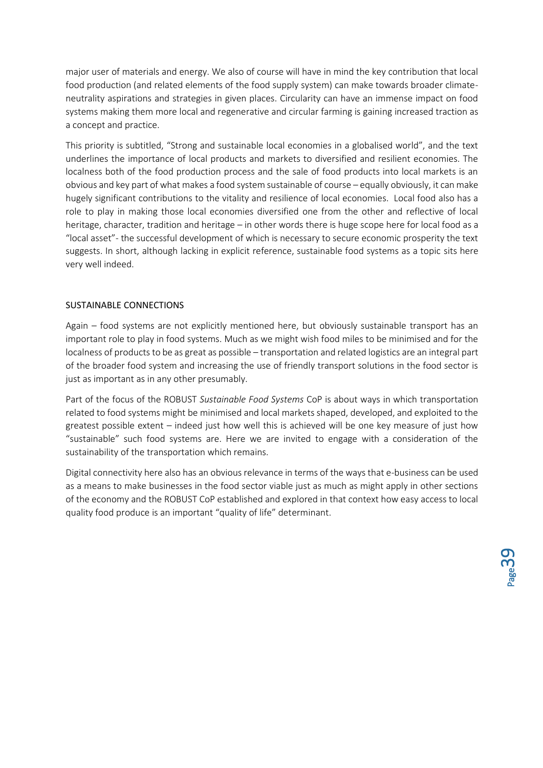major user of materials and energy. We also of course will have in mind the key contribution that local food production (and related elements of the food supply system) can make towards broader climateneutrality aspirations and strategies in given places. Circularity can have an immense impact on food systems making them more local and regenerative and circular farming is gaining increased traction as a concept and practice.

This priority is subtitled, "Strong and sustainable local economies in a globalised world", and the text underlines the importance of local products and markets to diversified and resilient economies. The localness both of the food production process and the sale of food products into local markets is an obvious and key part of what makes a food system sustainable of course – equally obviously, it can make hugely significant contributions to the vitality and resilience of local economies. Local food also has a role to play in making those local economies diversified one from the other and reflective of local heritage, character, tradition and heritage – in other words there is huge scope here for local food as a "local asset"- the successful development of which is necessary to secure economic prosperity the text suggests. In short, although lacking in explicit reference, sustainable food systems as a topic sits here very well indeed.

#### SUSTAINABLE CONNECTIONS

Again – food systems are not explicitly mentioned here, but obviously sustainable transport has an important role to play in food systems. Much as we might wish food miles to be minimised and for the localness of products to be as great as possible – transportation and related logistics are an integral part of the broader food system and increasing the use of friendly transport solutions in the food sector is just as important as in any other presumably.

Part of the focus of the ROBUST *Sustainable Food Systems* CoP is about ways in which transportation related to food systems might be minimised and local markets shaped, developed, and exploited to the greatest possible extent – indeed just how well this is achieved will be one key measure of just how "sustainable" such food systems are. Here we are invited to engage with a consideration of the sustainability of the transportation which remains.

Digital connectivity here also has an obvious relevance in terms of the ways that e-business can be used as a means to make businesses in the food sector viable just as much as might apply in other sections of the economy and the ROBUST CoP established and explored in that context how easy access to local quality food produce is an important "quality of life" determinant.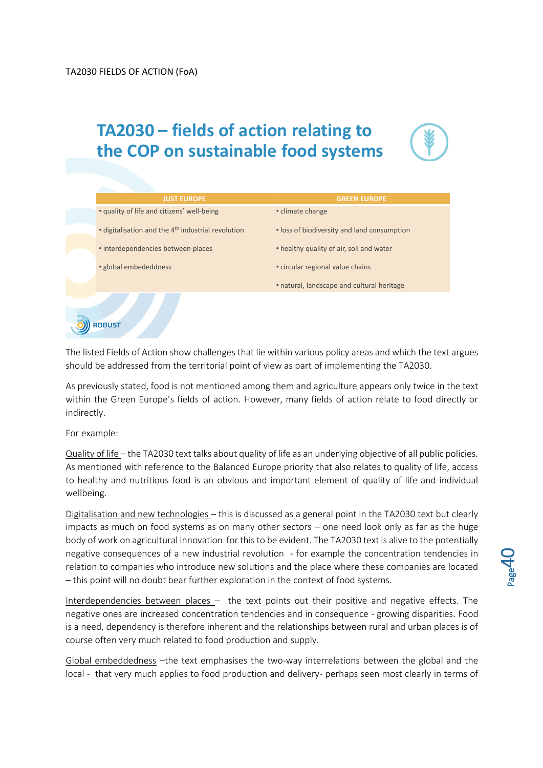## **TA2030 – fields of action relating to the COP on sustainable food systems**





The listed Fields of Action show challenges that lie within various policy areas and which the text argues should be addressed from the territorial point of view as part of implementing the TA2030.

As previously stated, food is not mentioned among them and agriculture appears only twice in the text within the Green Europe's fields of action. However, many fields of action relate to food directly or indirectly.

For example:

Quality of life – the TA2030 text talks about quality of life as an underlying objective of all public policies. As mentioned with reference to the Balanced Europe priority that also relates to quality of life, access to healthy and nutritious food is an obvious and important element of quality of life and individual wellbeing.

Digitalisation and new technologies – this is discussed as a general point in the TA2030 text but clearly impacts as much on food systems as on many other sectors – one need look only as far as the huge body of work on agricultural innovation for this to be evident. The TA2030 text is alive to the potentially negative consequences of a new industrial revolution - for example the concentration tendencies in relation to companies who introduce new solutions and the place where these companies are located – this point will no doubt bear further exploration in the context of food systems.

Interdependencies between places – the text points out their positive and negative effects. The negative ones are increased concentration tendencies and in consequence - growing disparities. Food is a need, dependency is therefore inherent and the relationships between rural and urban places is of course often very much related to food production and supply.

Global embeddedness –the text emphasises the two-way interrelations between the global and the local - that very much applies to food production and delivery- perhaps seen most clearly in terms of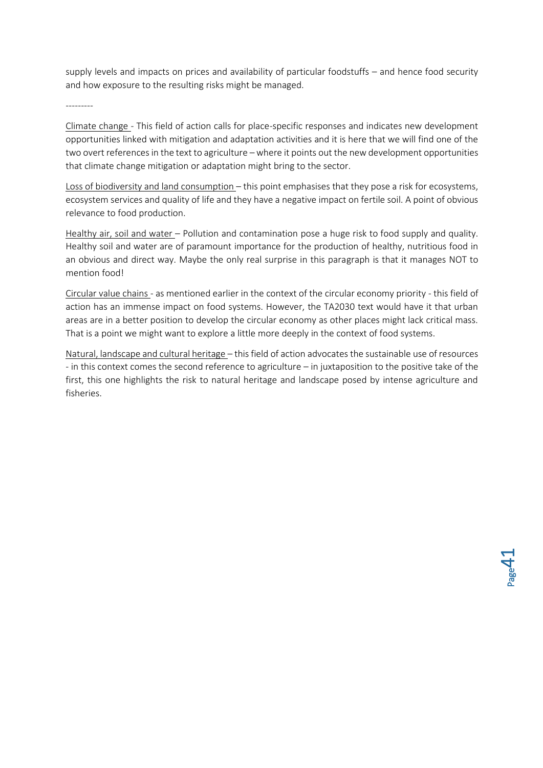supply levels and impacts on prices and availability of particular foodstuffs – and hence food security and how exposure to the resulting risks might be managed.

---------

Climate change - This field of action calls for place-specific responses and indicates new development opportunities linked with mitigation and adaptation activities and it is here that we will find one of the two overt references in the text to agriculture – where it points out the new development opportunities that climate change mitigation or adaptation might bring to the sector.

Loss of biodiversity and land consumption – this point emphasises that they pose a risk for ecosystems, ecosystem services and quality of life and they have a negative impact on fertile soil. A point of obvious relevance to food production.

Healthy air, soil and water – Pollution and contamination pose a huge risk to food supply and quality. Healthy soil and water are of paramount importance for the production of healthy, nutritious food in an obvious and direct way. Maybe the only real surprise in this paragraph is that it manages NOT to mention food!

Circular value chains - as mentioned earlier in the context of the circular economy priority - this field of action has an immense impact on food systems. However, the TA2030 text would have it that urban areas are in a better position to develop the circular economy as other places might lack critical mass. That is a point we might want to explore a little more deeply in the context of food systems.

Natural, landscape and cultural heritage – this field of action advocates the sustainable use of resources - in this context comes the second reference to agriculture – in juxtaposition to the positive take of the first, this one highlights the risk to natural heritage and landscape posed by intense agriculture and fisheries.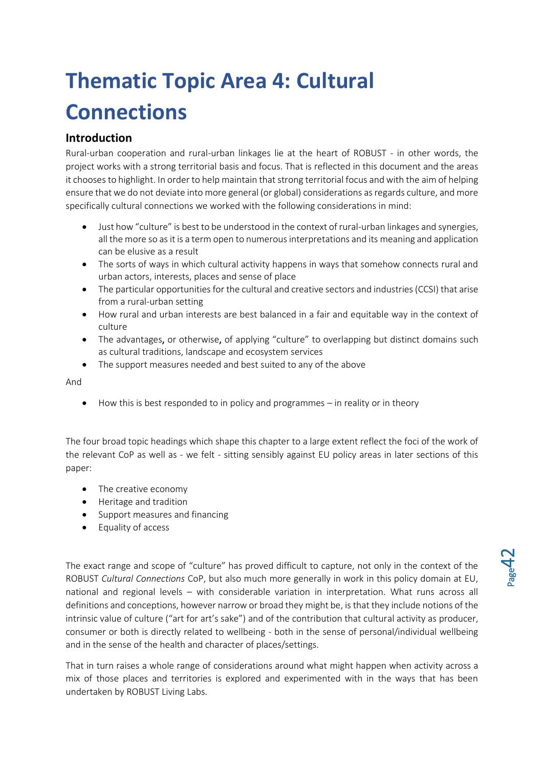# <span id="page-41-0"></span>**Thematic Topic Area 4: Cultural Connections**

## <span id="page-41-1"></span>**Introduction**

Rural-urban cooperation and rural-urban linkages lie at the heart of ROBUST - in other words, the project works with a strong territorial basis and focus. That is reflected in this document and the areas it chooses to highlight. In order to help maintain that strong territorial focus and with the aim of helping ensure that we do not deviate into more general (or global) considerations as regards culture, and more specifically cultural connections we worked with the following considerations in mind:

- Just how "culture" is best to be understood in the context of rural-urban linkages and synergies, all the more so as it is a term open to numerous interpretations and its meaning and application can be elusive as a result
- The sorts of ways in which cultural activity happens in ways that somehow connects rural and urban actors, interests, places and sense of place
- The particular opportunities for the cultural and creative sectors and industries (CCSI) that arise from a rural-urban setting
- How rural and urban interests are best balanced in a fair and equitable way in the context of culture
- The advantages, or otherwise, of applying "culture" to overlapping but distinct domains such as cultural traditions, landscape and ecosystem services
- The support measures needed and best suited to any of the above

And

• How this is best responded to in policy and programmes – in reality or in theory

The four broad topic headings which shape this chapter to a large extent reflect the foci of the work of the relevant CoP as well as - we felt - sitting sensibly against EU policy areas in later sections of this paper:

- The creative economy
- Heritage and tradition
- Support measures and financing
- Equality of access

The exact range and scope of "culture" has proved difficult to capture, not only in the context of the ROBUST *Cultural Connections* CoP, but also much more generally in work in this policy domain at EU, national and regional levels – with considerable variation in interpretation. What runs across all definitions and conceptions, however narrow or broad they might be, is that they include notions of the intrinsic value of culture ("art for art's sake") and of the contribution that cultural activity as producer, consumer or both is directly related to wellbeing - both in the sense of personal/individual wellbeing and in the sense of the health and character of places/settings.

That in turn raises a whole range of considerations around what might happen when activity across a mix of those places and territories is explored and experimented with in the ways that has been undertaken by ROBUST Living Labs.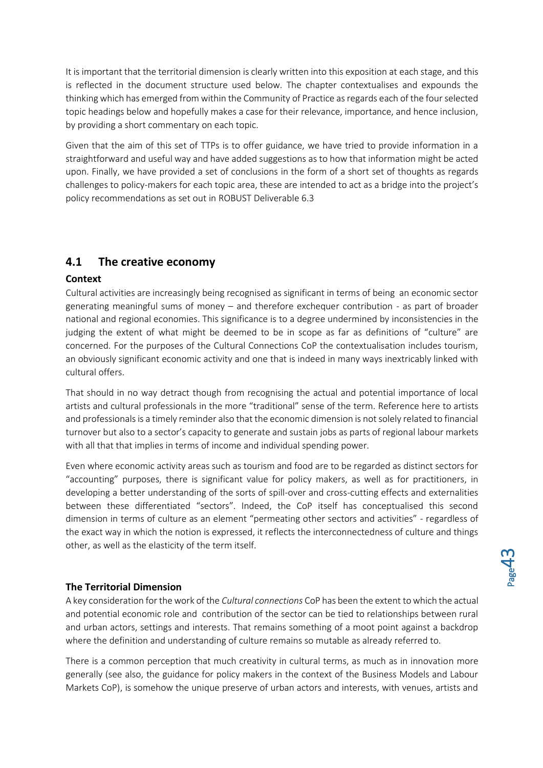It is important that the territorial dimension is clearly written into this exposition at each stage, and this is reflected in the document structure used below. The chapter contextualises and expounds the thinking which has emerged from within the Community of Practice as regards each of the four selected topic headings below and hopefully makes a case for their relevance, importance, and hence inclusion, by providing a short commentary on each topic.

Given that the aim of this set of TTPs is to offer guidance, we have tried to provide information in a straightforward and useful way and have added suggestions as to how that information might be acted upon. Finally, we have provided a set of conclusions in the form of a short set of thoughts as regards challenges to policy-makers for each topic area, these are intended to act as a bridge into the project's policy recommendations as set out in ROBUST Deliverable 6.3

## <span id="page-42-0"></span>**4.1 The creative economy**

#### <span id="page-42-1"></span>**Context**

Cultural activities are increasingly being recognised as significant in terms of being an economic sector generating meaningful sums of money – and therefore exchequer contribution - as part of broader national and regional economies. This significance is to a degree undermined by inconsistencies in the judging the extent of what might be deemed to be in scope as far as definitions of "culture" are concerned. For the purposes of the Cultural Connections CoP the contextualisation includes tourism, an obviously significant economic activity and one that is indeed in many ways inextricably linked with cultural offers.

That should in no way detract though from recognising the actual and potential importance of local artists and cultural professionals in the more "traditional" sense of the term. Reference here to artists and professionals is a timely reminder also that the economic dimension is not solely related to financial turnover but also to a sector's capacity to generate and sustain jobs as parts of regional labour markets with all that that implies in terms of income and individual spending power.

Even where economic activity areas such as tourism and food are to be regarded as distinct sectors for "accounting" purposes, there is significant value for policy makers, as well as for practitioners, in developing a better understanding of the sorts of spill-over and cross-cutting effects and externalities between these differentiated "sectors". Indeed, the CoP itself has conceptualised this second dimension in terms of culture as an element "permeating other sectors and activities" - regardless of the exact way in which the notion is expressed, it reflects the interconnectedness of culture and things other, as well as the elasticity of the term itself.

#### <span id="page-42-2"></span>**The Territorial Dimension**

A key consideration for the work of the *Cultural connections* CoP has been the extent to which the actual and potential economic role and contribution of the sector can be tied to relationships between rural and urban actors, settings and interests. That remains something of a moot point against a backdrop where the definition and understanding of culture remains so mutable as already referred to.

There is a common perception that much creativity in cultural terms, as much as in innovation more generally (see also, the guidance for policy makers in the context of the Business Models and Labour Markets CoP), is somehow the unique preserve of urban actors and interests, with venues, artists and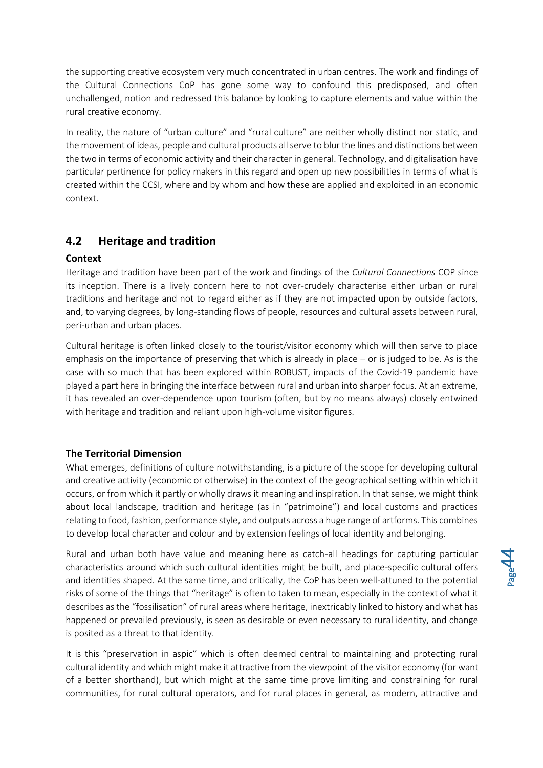the supporting creative ecosystem very much concentrated in urban centres. The work and findings of the Cultural Connections CoP has gone some way to confound this predisposed, and often unchallenged, notion and redressed this balance by looking to capture elements and value within the rural creative economy.

In reality, the nature of "urban culture" and "rural culture" are neither wholly distinct nor static, and the movement of ideas, people and cultural products all serve to blur the lines and distinctions between the two in terms of economic activity and their character in general. Technology, and digitalisation have particular pertinence for policy makers in this regard and open up new possibilities in terms of what is created within the CCSI, where and by whom and how these are applied and exploited in an economic context.

## <span id="page-43-0"></span>**4.2 Heritage and tradition**

#### <span id="page-43-1"></span>**Context**

Heritage and tradition have been part of the work and findings of the *Cultural Connections* COP since its inception. There is a lively concern here to not over-crudely characterise either urban or rural traditions and heritage and not to regard either as if they are not impacted upon by outside factors, and, to varying degrees, by long-standing flows of people, resources and cultural assets between rural, peri-urban and urban places.

Cultural heritage is often linked closely to the tourist/visitor economy which will then serve to place emphasis on the importance of preserving that which is already in place – or is judged to be. As is the case with so much that has been explored within ROBUST, impacts of the Covid-19 pandemic have played a part here in bringing the interface between rural and urban into sharper focus. At an extreme, it has revealed an over-dependence upon tourism (often, but by no means always) closely entwined with heritage and tradition and reliant upon high-volume visitor figures.

#### <span id="page-43-2"></span>**The Territorial Dimension**

What emerges, definitions of culture notwithstanding, is a picture of the scope for developing cultural and creative activity (economic or otherwise) in the context of the geographical setting within which it occurs, or from which it partly or wholly draws it meaning and inspiration. In that sense, we might think about local landscape, tradition and heritage (as in "patrimoine") and local customs and practices relating to food, fashion, performance style, and outputs across a huge range of artforms. This combines to develop local character and colour and by extension feelings of local identity and belonging.

Rural and urban both have value and meaning here as catch-all headings for capturing particular characteristics around which such cultural identities might be built, and place-specific cultural offers and identities shaped. At the same time, and critically, the CoP has been well-attuned to the potential risks of some of the things that "heritage" is often to taken to mean, especially in the context of what it describes as the "fossilisation" of rural areas where heritage, inextricably linked to history and what has happened or prevailed previously, is seen as desirable or even necessary to rural identity, and change is posited as a threat to that identity.

It is this "preservation in aspic" which is often deemed central to maintaining and protecting rural cultural identity and which might make it attractive from the viewpoint of the visitor economy (for want of a better shorthand), but which might at the same time prove limiting and constraining for rural communities, for rural cultural operators, and for rural places in general, as modern, attractive and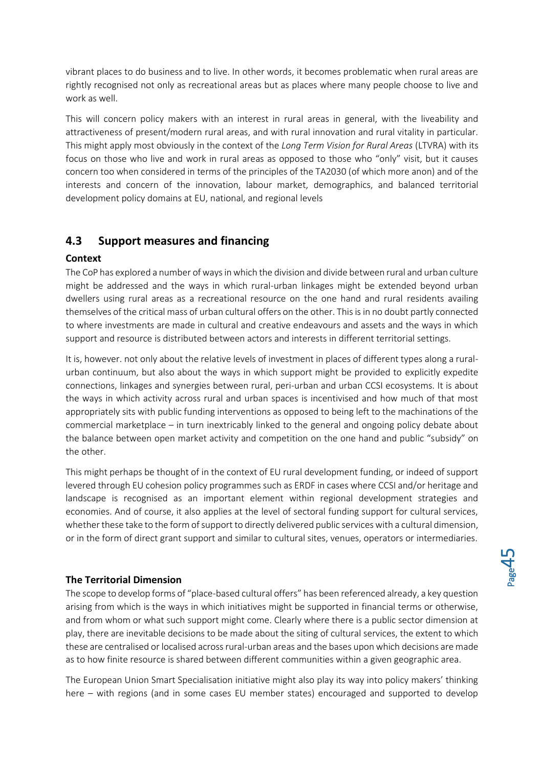vibrant places to do business and to live. In other words, it becomes problematic when rural areas are rightly recognised not only as recreational areas but as places where many people choose to live and work as well.

This will concern policy makers with an interest in rural areas in general, with the liveability and attractiveness of present/modern rural areas, and with rural innovation and rural vitality in particular. This might apply most obviously in the context of the *Long Term Vision for Rural Areas* (LTVRA) with its focus on those who live and work in rural areas as opposed to those who "only" visit, but it causes concern too when considered in terms of the principles of the TA2030 (of which more anon) and of the interests and concern of the innovation, labour market, demographics, and balanced territorial development policy domains at EU, national, and regional levels

## <span id="page-44-0"></span>**4.3 Support measures and financing**

#### <span id="page-44-1"></span>**Context**

The CoP has explored a number of ways in which the division and divide between rural and urban culture might be addressed and the ways in which rural-urban linkages might be extended beyond urban dwellers using rural areas as a recreational resource on the one hand and rural residents availing themselves of the critical mass of urban cultural offers on the other. This is in no doubt partly connected to where investments are made in cultural and creative endeavours and assets and the ways in which support and resource is distributed between actors and interests in different territorial settings.

It is, however. not only about the relative levels of investment in places of different types along a ruralurban continuum, but also about the ways in which support might be provided to explicitly expedite connections, linkages and synergies between rural, peri-urban and urban CCSI ecosystems. It is about the ways in which activity across rural and urban spaces is incentivised and how much of that most appropriately sits with public funding interventions as opposed to being left to the machinations of the commercial marketplace – in turn inextricably linked to the general and ongoing policy debate about the balance between open market activity and competition on the one hand and public "subsidy" on the other.

This might perhaps be thought of in the context of EU rural development funding, or indeed of support levered through EU cohesion policy programmes such as ERDF in cases where CCSI and/or heritage and landscape is recognised as an important element within regional development strategies and economies. And of course, it also applies at the level of sectoral funding support for cultural services, whether these take to the form of support to directly delivered public services with a cultural dimension, or in the form of direct grant support and similar to cultural sites, venues, operators or intermediaries.

#### <span id="page-44-2"></span>**The Territorial Dimension**

The scope to develop forms of "place-based cultural offers" has been referenced already, a key question arising from which is the ways in which initiatives might be supported in financial terms or otherwise, and from whom or what such support might come. Clearly where there is a public sector dimension at play, there are inevitable decisions to be made about the siting of cultural services, the extent to which these are centralised or localised across rural-urban areas and the bases upon which decisions are made as to how finite resource is shared between different communities within a given geographic area.

The European Union Smart Specialisation initiative might also play its way into policy makers' thinking here – with regions (and in some cases EU member states) encouraged and supported to develop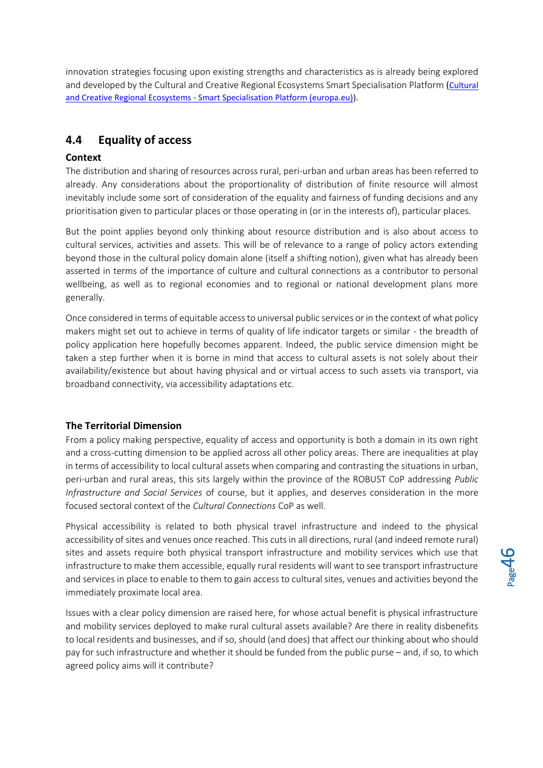innovation strategies focusing upon existing strengths and characteristics as is already being explored and developed by the [Cultural](https://s3platform-legacy.jrc.ec.europa.eu/cultural-creative-regional-ecosystems) and Creative Regional Ecosystems Smart Specialisation Platform (Cultural and Creative Regional Ecosystems - [Smart Specialisation Platform \(europa.eu\)\)](https://s3platform-legacy.jrc.ec.europa.eu/cultural-creative-regional-ecosystems).

## <span id="page-45-0"></span>**4.4 Equality of access**

#### <span id="page-45-1"></span>**Context**

The distribution and sharing of resources across rural, peri-urban and urban areas has been referred to already. Any considerations about the proportionality of distribution of finite resource will almost inevitably include some sort of consideration of the equality and fairness of funding decisions and any prioritisation given to particular places or those operating in (or in the interests of), particular places.

But the point applies beyond only thinking about resource distribution and is also about access to cultural services, activities and assets. This will be of relevance to a range of policy actors extending beyond those in the cultural policy domain alone (itself a shifting notion), given what has already been asserted in terms of the importance of culture and cultural connections as a contributor to personal wellbeing, as well as to regional economies and to regional or national development plans more generally.

Once considered in terms of equitable access to universal public services or in the context of what policy makers might set out to achieve in terms of quality of life indicator targets or similar - the breadth of policy application here hopefully becomes apparent. Indeed, the public service dimension might be taken a step further when it is borne in mind that access to cultural assets is not solely about their availability/existence but about having physical and or virtual access to such assets via transport, via broadband connectivity, via accessibility adaptations etc.

#### <span id="page-45-2"></span>**The Territorial Dimension**

From a policy making perspective, equality of access and opportunity is both a domain in its own right and a cross-cutting dimension to be applied across all other policy areas. There are inequalities at play in terms of accessibility to local cultural assets when comparing and contrasting the situations in urban, peri-urban and rural areas, this sits largely within the province of the ROBUST CoP addressing *Public Infrastructure and Social Services* of course, but it applies, and deserves consideration in the more focused sectoral context of the *Cultural Connections* CoP as well.

Physical accessibility is related to both physical travel infrastructure and indeed to the physical accessibility of sites and venues once reached. This cuts in all directions, rural (and indeed remote rural) sites and assets require both physical transport infrastructure and mobility services which use that infrastructure to make them accessible, equally rural residents will want to see transport infrastructure and services in place to enable to them to gain access to cultural sites, venues and activities beyond the immediately proximate local area.

Issues with a clear policy dimension are raised here, for whose actual benefit is physical infrastructure and mobility services deployed to make rural cultural assets available? Are there in reality disbenefits to local residents and businesses, and if so, should (and does) that affect our thinking about who should pay for such infrastructure and whether it should be funded from the public purse – and, if so, to which agreed policy aims will it contribute?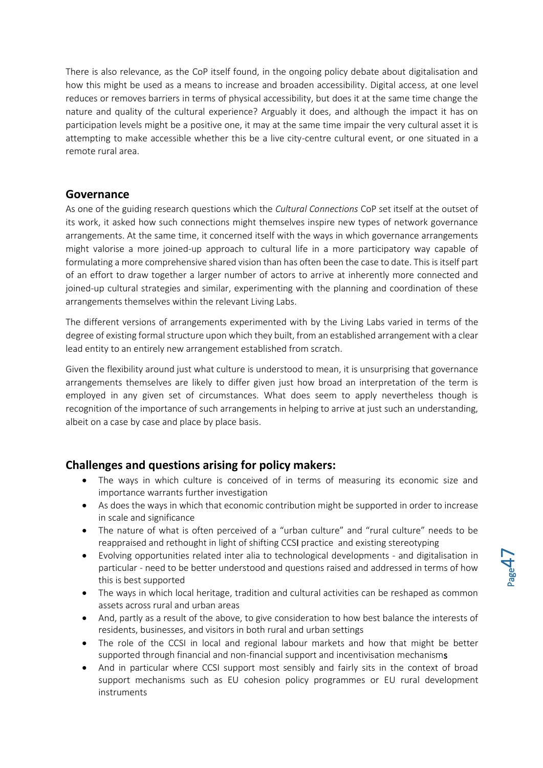There is also relevance, as the CoP itself found, in the ongoing policy debate about digitalisation and how this might be used as a means to increase and broaden accessibility. Digital access, at one level reduces or removes barriers in terms of physical accessibility, but does it at the same time change the nature and quality of the cultural experience? Arguably it does, and although the impact it has on participation levels might be a positive one, it may at the same time impair the very cultural asset it is attempting to make accessible whether this be a live city-centre cultural event, or one situated in a remote rural area.

#### <span id="page-46-0"></span>**Governance**

As one of the guiding research questions which the *Cultural Connections* CoP set itself at the outset of its work, it asked how such connections might themselves inspire new types of network governance arrangements. At the same time, it concerned itself with the ways in which governance arrangements might valorise a more joined-up approach to cultural life in a more participatory way capable of formulating a more comprehensive shared vision than has often been the case to date. This is itself part of an effort to draw together a larger number of actors to arrive at inherently more connected and joined-up cultural strategies and similar, experimenting with the planning and coordination of these arrangements themselves within the relevant Living Labs.

The different versions of arrangements experimented with by the Living Labs varied in terms of the degree of existing formal structure upon which they built, from an established arrangement with a clear lead entity to an entirely new arrangement established from scratch.

Given the flexibility around just what culture is understood to mean, it is unsurprising that governance arrangements themselves are likely to differ given just how broad an interpretation of the term is employed in any given set of circumstances. What does seem to apply nevertheless though is recognition of the importance of such arrangements in helping to arrive at just such an understanding, albeit on a case by case and place by place basis.

## <span id="page-46-1"></span>**Challenges and questions arising for policy makers:**

- The ways in which culture is conceived of in terms of measuring its economic size and importance warrants further investigation
- As does the ways in which that economic contribution might be supported in order to increase in scale and significance
- The nature of what is often perceived of a "urban culture" and "rural culture" needs to be reappraised and rethought in light of shifting CCSI practice and existing stereotyping
- Evolving opportunities related inter alia to technological developments and digitalisation in particular - need to be better understood and questions raised and addressed in terms of how this is best supported
- The ways in which local heritage, tradition and cultural activities can be reshaped as common assets across rural and urban areas
- And, partly as a result of the above, to give consideration to how best balance the interests of residents, businesses, and visitors in both rural and urban settings
- The role of the CCSI in local and regional labour markets and how that might be better supported through financial and non-financial support and incentivisation mechanisms
- And in particular where CCSI support most sensibly and fairly sits in the context of broad support mechanisms such as EU cohesion policy programmes or EU rural development instruments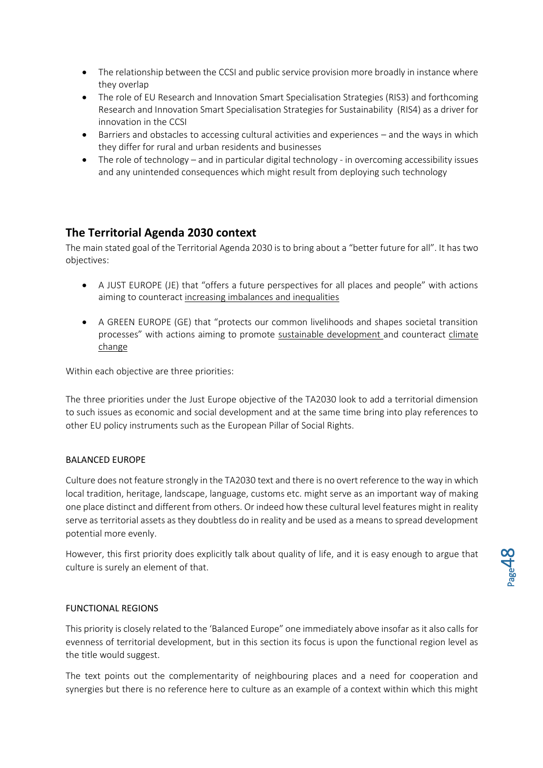- The relationship between the CCSI and public service provision more broadly in instance where they overlap
- The role of EU Research and Innovation Smart Specialisation Strategies (RIS3) and forthcoming Research and Innovation Smart Specialisation Strategies for Sustainability (RIS4) as a driver for innovation in the CCSI
- Barriers and obstacles to accessing cultural activities and experiences and the ways in which they differ for rural and urban residents and businesses
- The role of technology and in particular digital technology in overcoming accessibility issues and any unintended consequences which might result from deploying such technology

## <span id="page-47-0"></span>**The Territorial Agenda 2030 context**

The main stated goal of the Territorial Agenda 2030 is to bring about a "better future for all". It has two objectives:

- A JUST EUROPE (JE) that "offers a future perspectives for all places and people" with actions aiming to counteract increasing imbalances and inequalities
- A GREEN EUROPE (GE) that "protects our common livelihoods and shapes societal transition processes" with actions aiming to promote sustainable development and counteract climate change

Within each objective are three priorities:

The three priorities under the Just Europe objective of the TA2030 look to add a territorial dimension to such issues as economic and social development and at the same time bring into play references to other EU policy instruments such as the European Pillar of Social Rights.

#### BALANCED EUROPE

Culture does not feature strongly in the TA2030 text and there is no overt reference to the way in which local tradition, heritage, landscape, language, customs etc. might serve as an important way of making one place distinct and different from others. Or indeed how these cultural level features might in reality serve as territorial assets as they doubtless do in reality and be used as a means to spread development potential more evenly.

However, this first priority does explicitly talk about quality of life, and it is easy enough to argue that culture is surely an element of that.

#### FUNCTIONAL REGIONS

This priority is closely related to the 'Balanced Europe" one immediately above insofar as it also calls for evenness of territorial development, but in this section its focus is upon the functional region level as the title would suggest.

The text points out the complementarity of neighbouring places and a need for cooperation and synergies but there is no reference here to culture as an example of a context within which this might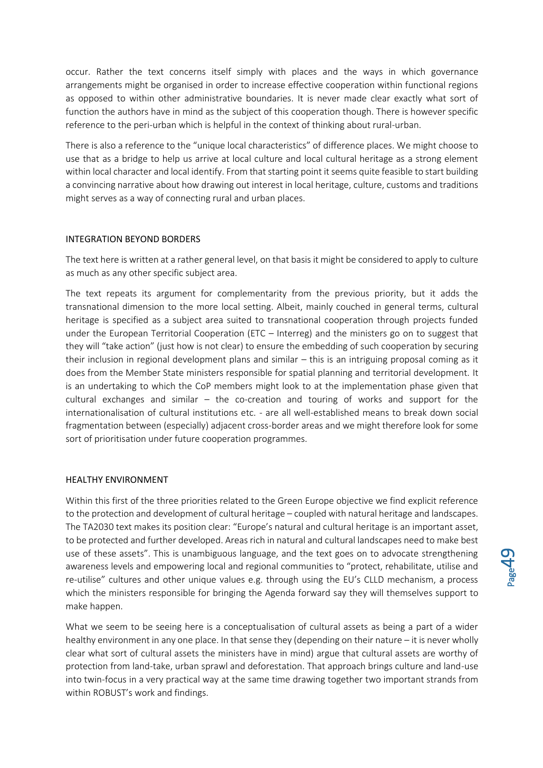occur. Rather the text concerns itself simply with places and the ways in which governance arrangements might be organised in order to increase effective cooperation within functional regions as opposed to within other administrative boundaries. It is never made clear exactly what sort of function the authors have in mind as the subject of this cooperation though. There is however specific reference to the peri-urban which is helpful in the context of thinking about rural-urban.

There is also a reference to the "unique local characteristics" of difference places. We might choose to use that as a bridge to help us arrive at local culture and local cultural heritage as a strong element within local character and local identify. From that starting point it seems quite feasible to start building a convincing narrative about how drawing out interest in local heritage, culture, customs and traditions might serves as a way of connecting rural and urban places.

#### INTEGRATION BEYOND BORDERS

The text here is written at a rather general level, on that basis it might be considered to apply to culture as much as any other specific subject area.

The text repeats its argument for complementarity from the previous priority, but it adds the transnational dimension to the more local setting. Albeit, mainly couched in general terms, cultural heritage is specified as a subject area suited to transnational cooperation through projects funded under the European Territorial Cooperation (ETC – Interreg) and the ministers go on to suggest that they will "take action" (just how is not clear) to ensure the embedding of such cooperation by securing their inclusion in regional development plans and similar – this is an intriguing proposal coming as it does from the Member State ministers responsible for spatial planning and territorial development. It is an undertaking to which the CoP members might look to at the implementation phase given that cultural exchanges and similar – the co-creation and touring of works and support for the internationalisation of cultural institutions etc. - are all well-established means to break down social fragmentation between (especially) adjacent cross-border areas and we might therefore look for some sort of prioritisation under future cooperation programmes.

#### HEALTHY ENVIRONMENT

Within this first of the three priorities related to the Green Europe objective we find explicit reference to the protection and development of cultural heritage – coupled with natural heritage and landscapes. The TA2030 text makes its position clear: "Europe's natural and cultural heritage is an important asset, to be protected and further developed. Areas rich in natural and cultural landscapes need to make best use of these assets". This is unambiguous language, and the text goes on to advocate strengthening awareness levels and empowering local and regional communities to "protect, rehabilitate, utilise and re-utilise" cultures and other unique values e.g. through using the EU's CLLD mechanism, a process which the ministers responsible for bringing the Agenda forward say they will themselves support to make happen.

What we seem to be seeing here is a conceptualisation of cultural assets as being a part of a wider healthy environment in any one place. In that sense they (depending on their nature – it is never wholly clear what sort of cultural assets the ministers have in mind) argue that cultural assets are worthy of protection from land-take, urban sprawl and deforestation. That approach brings culture and land-use into twin-focus in a very practical way at the same time drawing together two important strands from within ROBUST's work and findings.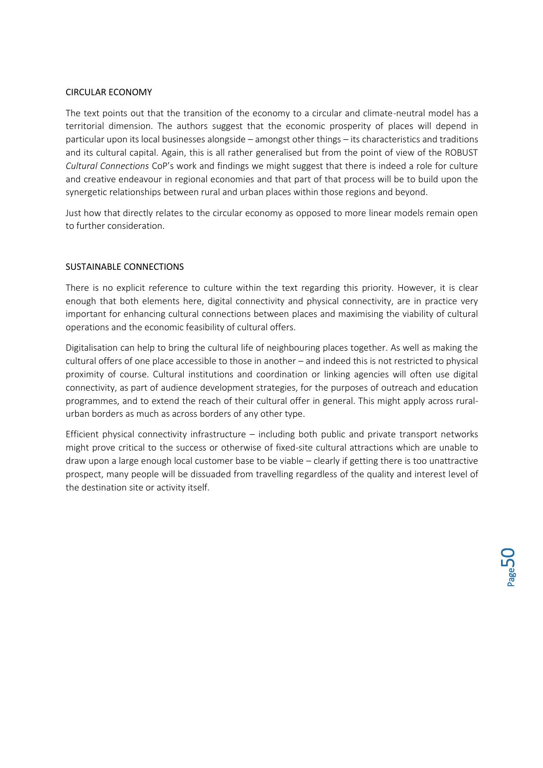#### CIRCULAR ECONOMY

The text points out that the transition of the economy to a circular and climate-neutral model has a territorial dimension. The authors suggest that the economic prosperity of places will depend in particular upon its local businesses alongside – amongst other things – its characteristics and traditions and its cultural capital. Again, this is all rather generalised but from the point of view of the ROBUST *Cultural Connections* CoP's work and findings we might suggest that there is indeed a role for culture and creative endeavour in regional economies and that part of that process will be to build upon the synergetic relationships between rural and urban places within those regions and beyond.

Just how that directly relates to the circular economy as opposed to more linear models remain open to further consideration.

#### SUSTAINABLE CONNECTIONS

There is no explicit reference to culture within the text regarding this priority. However, it is clear enough that both elements here, digital connectivity and physical connectivity, are in practice very important for enhancing cultural connections between places and maximising the viability of cultural operations and the economic feasibility of cultural offers.

Digitalisation can help to bring the cultural life of neighbouring places together. As well as making the cultural offers of one place accessible to those in another – and indeed this is not restricted to physical proximity of course. Cultural institutions and coordination or linking agencies will often use digital connectivity, as part of audience development strategies, for the purposes of outreach and education programmes, and to extend the reach of their cultural offer in general. This might apply across ruralurban borders as much as across borders of any other type.

Efficient physical connectivity infrastructure – including both public and private transport networks might prove critical to the success or otherwise of fixed-site cultural attractions which are unable to draw upon a large enough local customer base to be viable – clearly if getting there is too unattractive prospect, many people will be dissuaded from travelling regardless of the quality and interest level of the destination site or activity itself.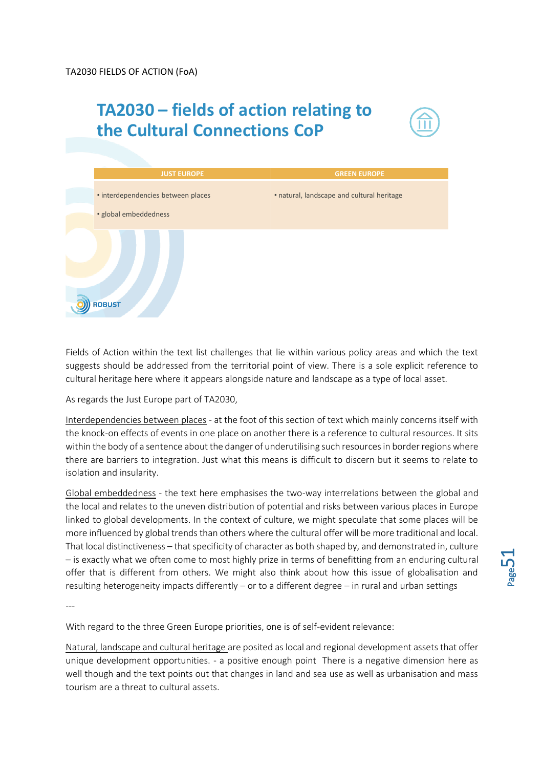## **TA2030 – fields of action relating to the Cultural Connections CoP**





Fields of Action within the text list challenges that lie within various policy areas and which the text suggests should be addressed from the territorial point of view. There is a sole explicit reference to cultural heritage here where it appears alongside nature and landscape as a type of local asset.

As regards the Just Europe part of TA2030,

Interdependencies between places - at the foot of this section of text which mainly concerns itself with the knock-on effects of events in one place on another there is a reference to cultural resources. It sits within the body of a sentence about the danger of underutilising such resources in border regions where there are barriers to integration. Just what this means is difficult to discern but it seems to relate to isolation and insularity.

Global embeddedness - the text here emphasises the two-way interrelations between the global and the local and relates to the uneven distribution of potential and risks between various places in Europe linked to global developments. In the context of culture, we might speculate that some places will be more influenced by global trends than others where the cultural offer will be more traditional and local. That local distinctiveness – that specificity of character as both shaped by, and demonstrated in, culture – is exactly what we often come to most highly prize in terms of benefitting from an enduring cultural offer that is different from others. We might also think about how this issue of globalisation and resulting heterogeneity impacts differently – or to a different degree – in rural and urban settings

---

With regard to the three Green Europe priorities, one is of self-evident relevance:

Natural, landscape and cultural heritage are posited as local and regional development assets that offer unique development opportunities. - a positive enough point There is a negative dimension here as well though and the text points out that changes in land and sea use as well as urbanisation and mass tourism are a threat to cultural assets.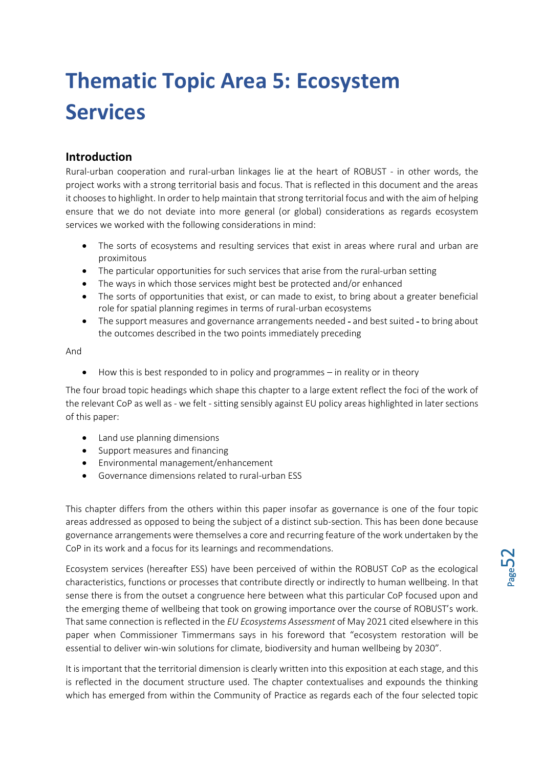# <span id="page-51-0"></span>**Thematic Topic Area 5: Ecosystem Services**

## <span id="page-51-1"></span>**Introduction**

Rural-urban cooperation and rural-urban linkages lie at the heart of ROBUST - in other words, the project works with a strong territorial basis and focus. That is reflected in this document and the areas it chooses to highlight. In order to help maintain that strong territorial focus and with the aim of helping ensure that we do not deviate into more general (or global) considerations as regards ecosystem services we worked with the following considerations in mind:

- The sorts of ecosystems and resulting services that exist in areas where rural and urban are proximitous
- The particular opportunities for such services that arise from the rural-urban setting
- The ways in which those services might best be protected and/or enhanced
- The sorts of opportunities that exist, or can made to exist, to bring about a greater beneficial role for spatial planning regimes in terms of rural-urban ecosystems
- The support measures and governance arrangements needed and best suited to bring about the outcomes described in the two points immediately preceding

And

• How this is best responded to in policy and programmes – in reality or in theory

The four broad topic headings which shape this chapter to a large extent reflect the foci of the work of the relevant CoP as well as - we felt - sitting sensibly against EU policy areas highlighted in later sections of this paper:

- Land use planning dimensions
- Support measures and financing
- Environmental management/enhancement
- Governance dimensions related to rural-urban ESS

This chapter differs from the others within this paper insofar as governance is one of the four topic areas addressed as opposed to being the subject of a distinct sub-section. This has been done because governance arrangements were themselves a core and recurring feature of the work undertaken by the CoP in its work and a focus for its learnings and recommendations.

Ecosystem services (hereafter ESS) have been perceived of within the ROBUST CoP as the ecological characteristics, functions or processes that contribute directly or indirectly to human wellbeing. In that sense there is from the outset a congruence here between what this particular CoP focused upon and the emerging theme of wellbeing that took on growing importance over the course of ROBUST's work. That same connection is reflected in the *EU Ecosystems Assessment* of May 2021 cited elsewhere in this paper when Commissioner Timmermans says in his foreword that "ecosystem restoration will be essential to deliver win-win solutions for climate, biodiversity and human wellbeing by 2030".

It is important that the territorial dimension is clearly written into this exposition at each stage, and this is reflected in the document structure used. The chapter contextualises and expounds the thinking which has emerged from within the Community of Practice as regards each of the four selected topic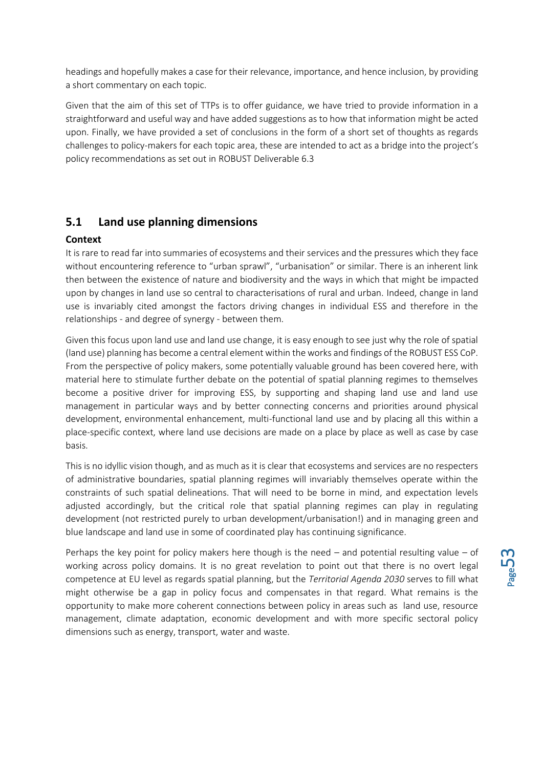headings and hopefully makes a case for their relevance, importance, and hence inclusion, by providing a short commentary on each topic.

Given that the aim of this set of TTPs is to offer guidance, we have tried to provide information in a straightforward and useful way and have added suggestions as to how that information might be acted upon. Finally, we have provided a set of conclusions in the form of a short set of thoughts as regards challenges to policy-makers for each topic area, these are intended to act as a bridge into the project's policy recommendations as set out in ROBUST Deliverable 6.3

### <span id="page-52-0"></span>**5.1 Land use planning dimensions**

#### <span id="page-52-1"></span>**Context**

It is rare to read far into summaries of ecosystems and their services and the pressures which they face without encountering reference to "urban sprawl", "urbanisation" or similar. There is an inherent link then between the existence of nature and biodiversity and the ways in which that might be impacted upon by changes in land use so central to characterisations of rural and urban. Indeed, change in land use is invariably cited amongst the factors driving changes in individual ESS and therefore in the relationships - and degree of synergy - between them.

Given this focus upon land use and land use change, it is easy enough to see just why the role of spatial (land use) planning has become a central element within the works and findings of the ROBUST ESS CoP. From the perspective of policy makers, some potentially valuable ground has been covered here, with material here to stimulate further debate on the potential of spatial planning regimes to themselves become a positive driver for improving ESS, by supporting and shaping land use and land use management in particular ways and by better connecting concerns and priorities around physical development, environmental enhancement, multi-functional land use and by placing all this within a place-specific context, where land use decisions are made on a place by place as well as case by case basis.

This is no idyllic vision though, and as much as it is clear that ecosystems and services are no respecters of administrative boundaries, spatial planning regimes will invariably themselves operate within the constraints of such spatial delineations. That will need to be borne in mind, and expectation levels adjusted accordingly, but the critical role that spatial planning regimes can play in regulating development (not restricted purely to urban development/urbanisation!) and in managing green and blue landscape and land use in some of coordinated play has continuing significance.

Perhaps the key point for policy makers here though is the need – and potential resulting value – of working across policy domains. It is no great revelation to point out that there is no overt legal competence at EU level as regards spatial planning, but the *Territorial Agenda 2030* serves to fill what might otherwise be a gap in policy focus and compensates in that regard. What remains is the opportunity to make more coherent connections between policy in areas such as land use, resource management, climate adaptation, economic development and with more specific sectoral policy dimensions such as energy, transport, water and waste.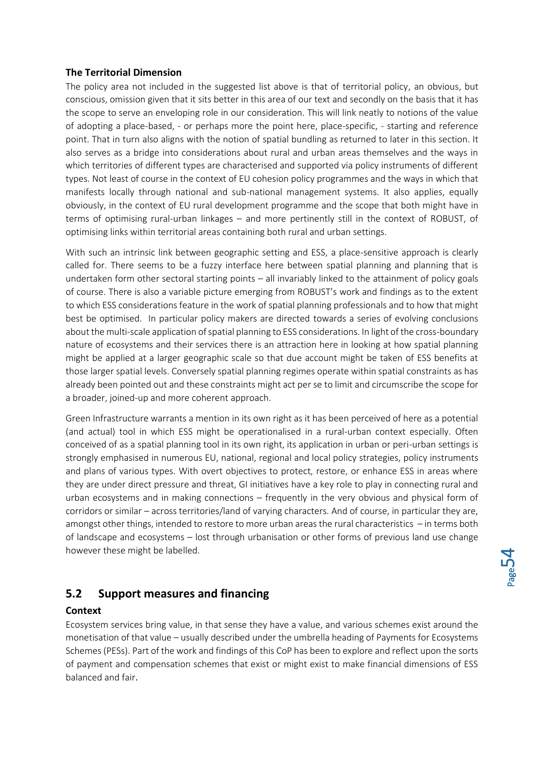#### <span id="page-53-0"></span>**The Territorial Dimension**

The policy area not included in the suggested list above is that of territorial policy, an obvious, but conscious, omission given that it sits better in this area of our text and secondly on the basis that it has the scope to serve an enveloping role in our consideration. This will link neatly to notions of the value of adopting a place-based, - or perhaps more the point here, place-specific, - starting and reference point. That in turn also aligns with the notion of spatial bundling as returned to later in this section. It also serves as a bridge into considerations about rural and urban areas themselves and the ways in which territories of different types are characterised and supported via policy instruments of different types. Not least of course in the context of EU cohesion policy programmes and the ways in which that manifests locally through national and sub-national management systems. It also applies, equally obviously, in the context of EU rural development programme and the scope that both might have in terms of optimising rural-urban linkages – and more pertinently still in the context of ROBUST, of optimising links within territorial areas containing both rural and urban settings.

With such an intrinsic link between geographic setting and ESS, a place-sensitive approach is clearly called for. There seems to be a fuzzy interface here between spatial planning and planning that is undertaken form other sectoral starting points – all invariably linked to the attainment of policy goals of course. There is also a variable picture emerging from ROBUST's work and findings as to the extent to which ESS considerations feature in the work of spatial planning professionals and to how that might best be optimised. In particular policy makers are directed towards a series of evolving conclusions about the multi-scale application of spatial planning to ESS considerations. In light of the cross-boundary nature of ecosystems and their services there is an attraction here in looking at how spatial planning might be applied at a larger geographic scale so that due account might be taken of ESS benefits at those larger spatial levels. Conversely spatial planning regimes operate within spatial constraints as has already been pointed out and these constraints might act per se to limit and circumscribe the scope for a broader, joined-up and more coherent approach.

Green Infrastructure warrants a mention in its own right as it has been perceived of here as a potential (and actual) tool in which ESS might be operationalised in a rural-urban context especially. Often conceived of as a spatial planning tool in its own right, its application in urban or peri-urban settings is strongly emphasised in numerous EU, national, regional and local policy strategies, policy instruments and plans of various types. With overt objectives to protect, restore, or enhance ESS in areas where they are under direct pressure and threat, GI initiatives have a key role to play in connecting rural and urban ecosystems and in making connections – frequently in the very obvious and physical form of corridors or similar – across territories/land of varying characters. And of course, in particular they are, amongst other things, intended to restore to more urban areas the rural characteristics – in terms both of landscape and ecosystems – lost through urbanisation or other forms of previous land use change however these might be labelled.

## <span id="page-53-1"></span>**5.2 Support measures and financing**

#### <span id="page-53-2"></span>**Context**

Ecosystem services bring value, in that sense they have a value, and various schemes exist around the monetisation of that value – usually described under the umbrella heading of Payments for Ecosystems Schemes (PESs). Part of the work and findings of this CoP has been to explore and reflect upon the sorts of payment and compensation schemes that exist or might exist to make financial dimensions of ESS balanced and fair.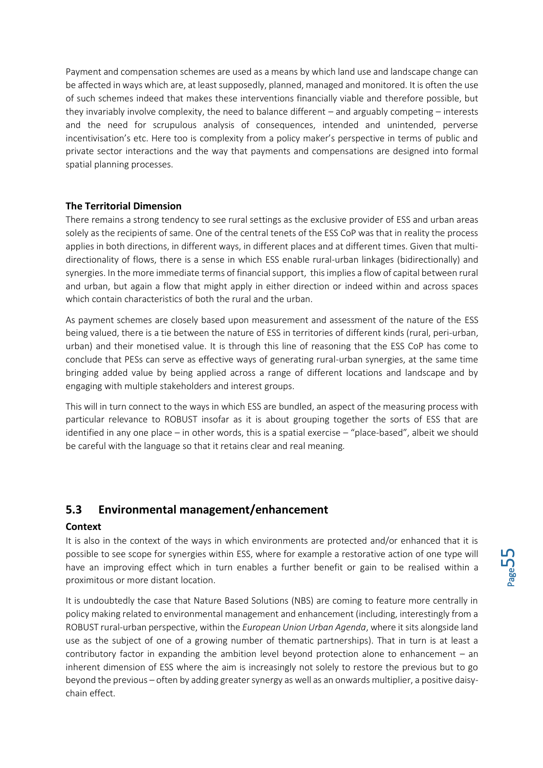Payment and compensation schemes are used as a means by which land use and landscape change can be affected in ways which are, at least supposedly, planned, managed and monitored. It is often the use of such schemes indeed that makes these interventions financially viable and therefore possible, but they invariably involve complexity, the need to balance different – and arguably competing – interests and the need for scrupulous analysis of consequences, intended and unintended, perverse incentivisation's etc. Here too is complexity from a policy maker's perspective in terms of public and private sector interactions and the way that payments and compensations are designed into formal spatial planning processes.

#### <span id="page-54-0"></span>**The Territorial Dimension**

There remains a strong tendency to see rural settings as the exclusive provider of ESS and urban areas solely as the recipients of same. One of the central tenets of the ESS CoP was that in reality the process applies in both directions, in different ways, in different places and at different times. Given that multidirectionality of flows, there is a sense in which ESS enable rural-urban linkages (bidirectionally) and synergies. In the more immediate terms of financial support, this implies a flow of capital between rural and urban, but again a flow that might apply in either direction or indeed within and across spaces which contain characteristics of both the rural and the urban.

As payment schemes are closely based upon measurement and assessment of the nature of the ESS being valued, there is a tie between the nature of ESS in territories of different kinds (rural, peri-urban, urban) and their monetised value. It is through this line of reasoning that the ESS CoP has come to conclude that PESs can serve as effective ways of generating rural-urban synergies, at the same time bringing added value by being applied across a range of different locations and landscape and by engaging with multiple stakeholders and interest groups.

This will in turn connect to the ways in which ESS are bundled, an aspect of the measuring process with particular relevance to ROBUST insofar as it is about grouping together the sorts of ESS that are identified in any one place – in other words, this is a spatial exercise – "place-based", albeit we should be careful with the language so that it retains clear and real meaning.

## <span id="page-54-1"></span>**5.3 Environmental management/enhancement**

#### <span id="page-54-2"></span>**Context**

It is also in the context of the ways in which environments are protected and/or enhanced that it is possible to see scope for synergies within ESS, where for example a restorative action of one type will have an improving effect which in turn enables a further benefit or gain to be realised within a proximitous or more distant location.

It is undoubtedly the case that Nature Based Solutions (NBS) are coming to feature more centrally in policy making related to environmental management and enhancement (including, interestingly from a ROBUST rural-urban perspective, within the *European Union Urban Agenda*, where it sits alongside land use as the subject of one of a growing number of thematic partnerships). That in turn is at least a contributory factor in expanding the ambition level beyond protection alone to enhancement – an inherent dimension of ESS where the aim is increasingly not solely to restore the previous but to go beyond the previous – often by adding greater synergy as well as an onwards multiplier, a positive daisychain effect.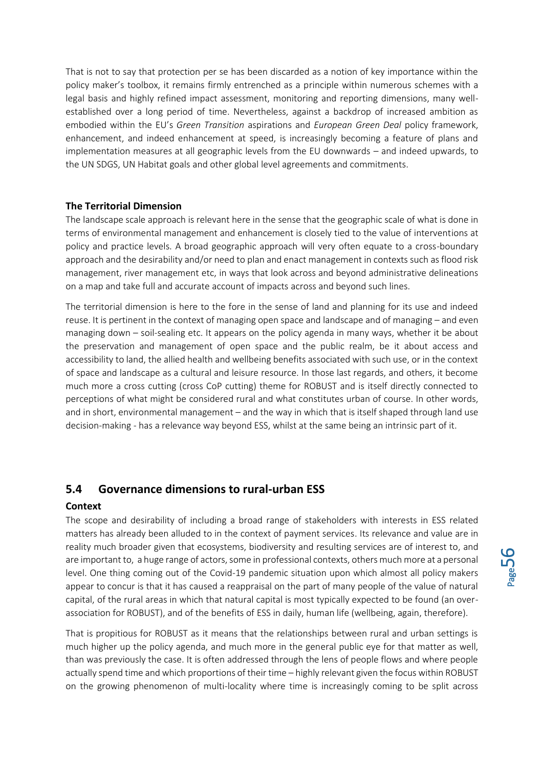That is not to say that protection per se has been discarded as a notion of key importance within the policy maker's toolbox, it remains firmly entrenched as a principle within numerous schemes with a legal basis and highly refined impact assessment, monitoring and reporting dimensions, many wellestablished over a long period of time. Nevertheless, against a backdrop of increased ambition as embodied within the EU's *Green Transition* aspirations and *European Green Deal* policy framework, enhancement, and indeed enhancement at speed, is increasingly becoming a feature of plans and implementation measures at all geographic levels from the EU downwards – and indeed upwards, to the UN SDGS, UN Habitat goals and other global level agreements and commitments.

#### <span id="page-55-0"></span>**The Territorial Dimension**

The landscape scale approach is relevant here in the sense that the geographic scale of what is done in terms of environmental management and enhancement is closely tied to the value of interventions at policy and practice levels. A broad geographic approach will very often equate to a cross-boundary approach and the desirability and/or need to plan and enact management in contexts such as flood risk management, river management etc, in ways that look across and beyond administrative delineations on a map and take full and accurate account of impacts across and beyond such lines.

The territorial dimension is here to the fore in the sense of land and planning for its use and indeed reuse. It is pertinent in the context of managing open space and landscape and of managing – and even managing down – soil-sealing etc. It appears on the policy agenda in many ways, whether it be about the preservation and management of open space and the public realm, be it about access and accessibility to land, the allied health and wellbeing benefits associated with such use, or in the context of space and landscape as a cultural and leisure resource. In those last regards, and others, it become much more a cross cutting (cross CoP cutting) theme for ROBUST and is itself directly connected to perceptions of what might be considered rural and what constitutes urban of course. In other words, and in short, environmental management – and the way in which that is itself shaped through land use decision-making - has a relevance way beyond ESS, whilst at the same being an intrinsic part of it.

## <span id="page-55-1"></span>**5.4 Governance dimensions to rural-urban ESS**

#### <span id="page-55-2"></span>**Context**

The scope and desirability of including a broad range of stakeholders with interests in ESS related matters has already been alluded to in the context of payment services. Its relevance and value are in reality much broader given that ecosystems, biodiversity and resulting services are of interest to, and are important to, a huge range of actors, some in professional contexts, others much more at a personal level. One thing coming out of the Covid-19 pandemic situation upon which almost all policy makers appear to concur is that it has caused a reappraisal on the part of many people of the value of natural capital, of the rural areas in which that natural capital is most typically expected to be found (an overassociation for ROBUST), and of the benefits of ESS in daily, human life (wellbeing, again, therefore).

That is propitious for ROBUST as it means that the relationships between rural and urban settings is much higher up the policy agenda, and much more in the general public eye for that matter as well, than was previously the case. It is often addressed through the lens of people flows and where people actually spend time and which proportions of their time – highly relevant given the focus within ROBUST on the growing phenomenon of multi-locality where time is increasingly coming to be split across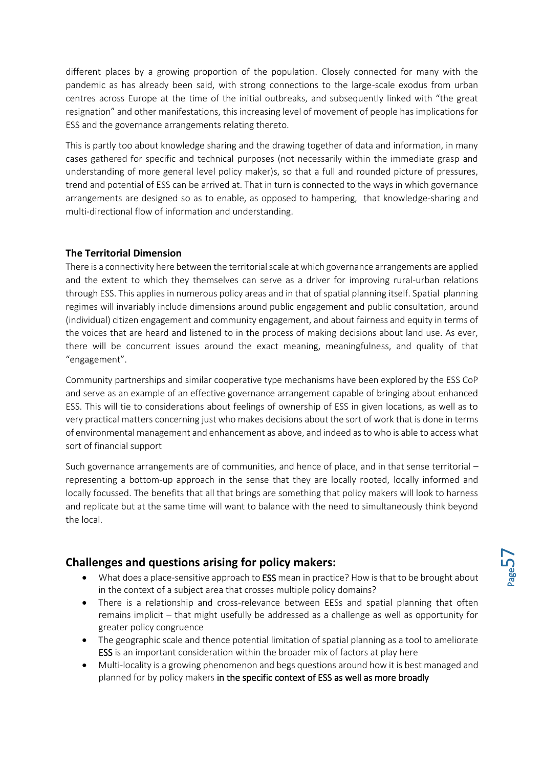different places by a growing proportion of the population. Closely connected for many with the pandemic as has already been said, with strong connections to the large-scale exodus from urban centres across Europe at the time of the initial outbreaks, and subsequently linked with "the great resignation" and other manifestations, this increasing level of movement of people has implications for ESS and the governance arrangements relating thereto.

This is partly too about knowledge sharing and the drawing together of data and information, in many cases gathered for specific and technical purposes (not necessarily within the immediate grasp and understanding of more general level policy maker)s, so that a full and rounded picture of pressures, trend and potential of ESS can be arrived at. That in turn is connected to the ways in which governance arrangements are designed so as to enable, as opposed to hampering, that knowledge-sharing and multi-directional flow of information and understanding.

#### <span id="page-56-0"></span>**The Territorial Dimension**

There is a connectivity here between the territorial scale at which governance arrangements are applied and the extent to which they themselves can serve as a driver for improving rural-urban relations through ESS. This applies in numerous policy areas and in that of spatial planning itself. Spatial planning regimes will invariably include dimensions around public engagement and public consultation, around (individual) citizen engagement and community engagement, and about fairness and equity in terms of the voices that are heard and listened to in the process of making decisions about land use. As ever, there will be concurrent issues around the exact meaning, meaningfulness, and quality of that "engagement".

Community partnerships and similar cooperative type mechanisms have been explored by the ESS CoP and serve as an example of an effective governance arrangement capable of bringing about enhanced ESS. This will tie to considerations about feelings of ownership of ESS in given locations, as well as to very practical matters concerning just who makes decisions about the sort of work that is done in terms of environmental management and enhancement as above, and indeed as to who is able to access what sort of financial support

Such governance arrangements are of communities, and hence of place, and in that sense territorial – representing a bottom-up approach in the sense that they are locally rooted, locally informed and locally focussed. The benefits that all that brings are something that policy makers will look to harness and replicate but at the same time will want to balance with the need to simultaneously think beyond the local.

## <span id="page-56-1"></span>**Challenges and questions arising for policy makers:**

- What does a place-sensitive approach to **ESS** mean in practice? How is that to be brought about in the context of a subject area that crosses multiple policy domains?
- There is a relationship and cross-relevance between EESs and spatial planning that often remains implicit – that might usefully be addressed as a challenge as well as opportunity for greater policy congruence
- The geographic scale and thence potential limitation of spatial planning as a tool to ameliorate ESS is an important consideration within the broader mix of factors at play here
- Multi-locality is a growing phenomenon and begs questions around how it is best managed and planned for by policy makers in the specific context of ESS as well as more broadly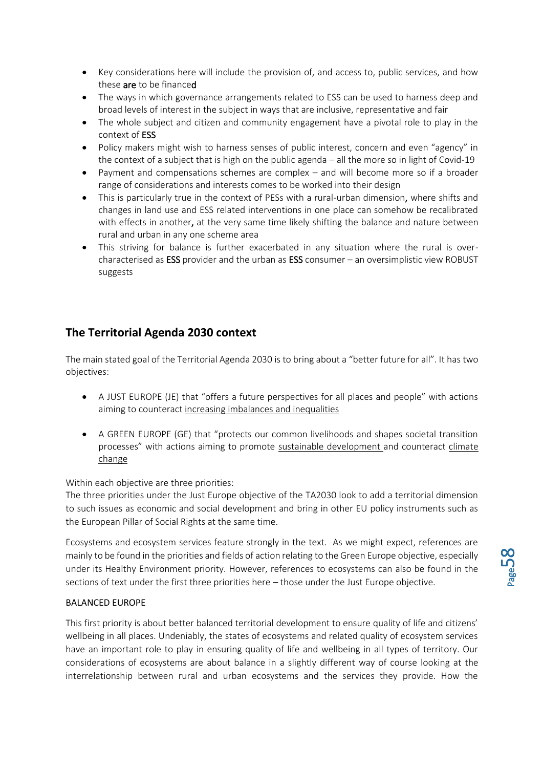- Key considerations here will include the provision of, and access to, public services, and how these are to be financed
- The ways in which governance arrangements related to ESS can be used to harness deep and broad levels of interest in the subject in ways that are inclusive, representative and fair
- The whole subject and citizen and community engagement have a pivotal role to play in the context of ESS
- Policy makers might wish to harness senses of public interest, concern and even "agency" in the context of a subject that is high on the public agenda – all the more so in light of Covid-19
- Payment and compensations schemes are complex and will become more so if a broader range of considerations and interests comes to be worked into their design
- This is particularly true in the context of PESs with a rural-urban dimension, where shifts and changes in land use and ESS related interventions in one place can somehow be recalibrated with effects in another, at the very same time likely shifting the balance and nature between rural and urban in any one scheme area
- This striving for balance is further exacerbated in any situation where the rural is overcharacterised as ESS provider and the urban as ESS consumer - an oversimplistic view ROBUST suggests

## <span id="page-57-0"></span>**The Territorial Agenda 2030 context**

The main stated goal of the Territorial Agenda 2030 is to bring about a "better future for all". It has two objectives:

- A JUST EUROPE (JE) that "offers a future perspectives for all places and people" with actions aiming to counteract increasing imbalances and inequalities
- A GREEN EUROPE (GE) that "protects our common livelihoods and shapes societal transition processes" with actions aiming to promote sustainable development and counteract climate change

Within each objective are three priorities:

The three priorities under the Just Europe objective of the TA2030 look to add a territorial dimension to such issues as economic and social development and bring in other EU policy instruments such as the European Pillar of Social Rights at the same time.

Ecosystems and ecosystem services feature strongly in the text. As we might expect, references are mainly to be found in the priorities and fields of action relating to the Green Europe objective, especially under its Healthy Environment priority. However, references to ecosystems can also be found in the sections of text under the first three priorities here – those under the Just Europe objective.

#### BALANCED EUROPE

This first priority is about better balanced territorial development to ensure quality of life and citizens' wellbeing in all places. Undeniably, the states of ecosystems and related quality of ecosystem services have an important role to play in ensuring quality of life and wellbeing in all types of territory. Our considerations of ecosystems are about balance in a slightly different way of course looking at the interrelationship between rural and urban ecosystems and the services they provide. How the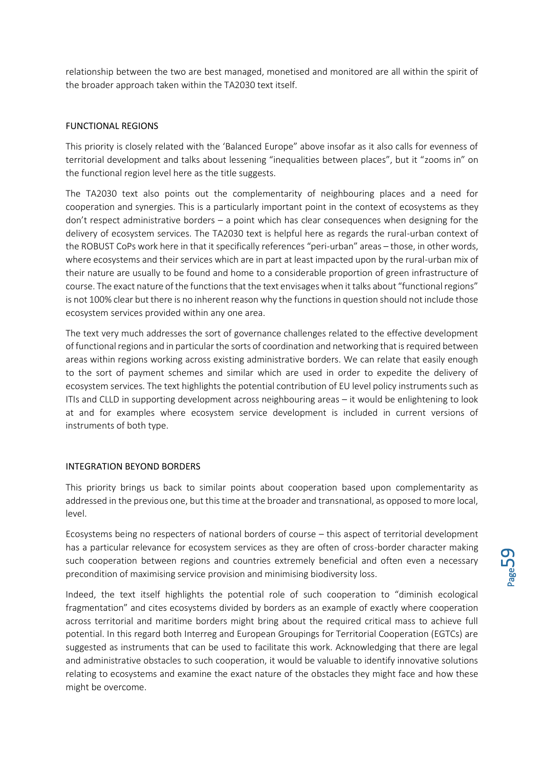relationship between the two are best managed, monetised and monitored are all within the spirit of the broader approach taken within the TA2030 text itself.

#### FUNCTIONAL REGIONS

This priority is closely related with the 'Balanced Europe" above insofar as it also calls for evenness of territorial development and talks about lessening "inequalities between places", but it "zooms in" on the functional region level here as the title suggests.

The TA2030 text also points out the complementarity of neighbouring places and a need for cooperation and synergies. This is a particularly important point in the context of ecosystems as they don't respect administrative borders – a point which has clear consequences when designing for the delivery of ecosystem services. The TA2030 text is helpful here as regards the rural-urban context of the ROBUST CoPs work here in that it specifically references "peri-urban" areas – those, in other words, where ecosystems and their services which are in part at least impacted upon by the rural-urban mix of their nature are usually to be found and home to a considerable proportion of green infrastructure of course. The exact nature of the functions that the text envisages when it talks about "functional regions" is not 100% clear but there is no inherent reason why the functions in question should not include those ecosystem services provided within any one area.

The text very much addresses the sort of governance challenges related to the effective development of functional regions and in particular the sorts of coordination and networking that is required between areas within regions working across existing administrative borders. We can relate that easily enough to the sort of payment schemes and similar which are used in order to expedite the delivery of ecosystem services. The text highlights the potential contribution of EU level policy instruments such as ITIs and CLLD in supporting development across neighbouring areas – it would be enlightening to look at and for examples where ecosystem service development is included in current versions of instruments of both type.

#### INTEGRATION BEYOND BORDERS

This priority brings us back to similar points about cooperation based upon complementarity as addressed in the previous one, but this time at the broader and transnational, as opposed to more local, level.

Ecosystems being no respecters of national borders of course – this aspect of territorial development has a particular relevance for ecosystem services as they are often of cross-border character making such cooperation between regions and countries extremely beneficial and often even a necessary precondition of maximising service provision and minimising biodiversity loss.

Indeed, the text itself highlights the potential role of such cooperation to "diminish ecological fragmentation" and cites ecosystems divided by borders as an example of exactly where cooperation across territorial and maritime borders might bring about the required critical mass to achieve full potential. In this regard both Interreg and European Groupings for Territorial Cooperation (EGTCs) are suggested as instruments that can be used to facilitate this work. Acknowledging that there are legal and administrative obstacles to such cooperation, it would be valuable to identify innovative solutions relating to ecosystems and examine the exact nature of the obstacles they might face and how these might be overcome.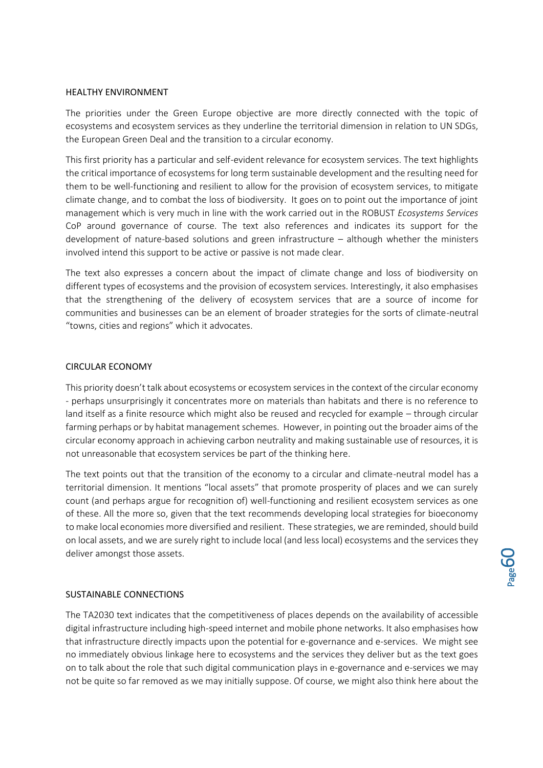#### HEALTHY ENVIRONMENT

The priorities under the Green Europe objective are more directly connected with the topic of ecosystems and ecosystem services as they underline the territorial dimension in relation to UN SDGs, the European Green Deal and the transition to a circular economy.

This first priority has a particular and self-evident relevance for ecosystem services. The text highlights the critical importance of ecosystems for long term sustainable development and the resulting need for them to be well-functioning and resilient to allow for the provision of ecosystem services, to mitigate climate change, and to combat the loss of biodiversity. It goes on to point out the importance of joint management which is very much in line with the work carried out in the ROBUST *Ecosystems Services* CoP around governance of course. The text also references and indicates its support for the development of nature-based solutions and green infrastructure – although whether the ministers involved intend this support to be active or passive is not made clear.

The text also expresses a concern about the impact of climate change and loss of biodiversity on different types of ecosystems and the provision of ecosystem services. Interestingly, it also emphasises that the strengthening of the delivery of ecosystem services that are a source of income for communities and businesses can be an element of broader strategies for the sorts of climate-neutral "towns, cities and regions" which it advocates.

#### CIRCULAR ECONOMY

This priority doesn't talk about ecosystems or ecosystem services in the context of the circular economy - perhaps unsurprisingly it concentrates more on materials than habitats and there is no reference to land itself as a finite resource which might also be reused and recycled for example – through circular farming perhaps or by habitat management schemes. However, in pointing out the broader aims of the circular economy approach in achieving carbon neutrality and making sustainable use of resources, it is not unreasonable that ecosystem services be part of the thinking here.

The text points out that the transition of the economy to a circular and climate-neutral model has a territorial dimension. It mentions "local assets" that promote prosperity of places and we can surely count (and perhaps argue for recognition of) well-functioning and resilient ecosystem services as one of these. All the more so, given that the text recommends developing local strategies for bioeconomy to make local economies more diversified and resilient. These strategies, we are reminded, should build on local assets, and we are surely right to include local (and less local) ecosystems and the services they deliver amongst those assets.

#### SUSTAINABLE CONNECTIONS

The TA2030 text indicates that the competitiveness of places depends on the availability of accessible digital infrastructure including high-speed internet and mobile phone networks. It also emphasises how that infrastructure directly impacts upon the potential for e-governance and e-services. We might see no immediately obvious linkage here to ecosystems and the services they deliver but as the text goes on to talk about the role that such digital communication plays in e-governance and e-services we may not be quite so far removed as we may initially suppose. Of course, we might also think here about the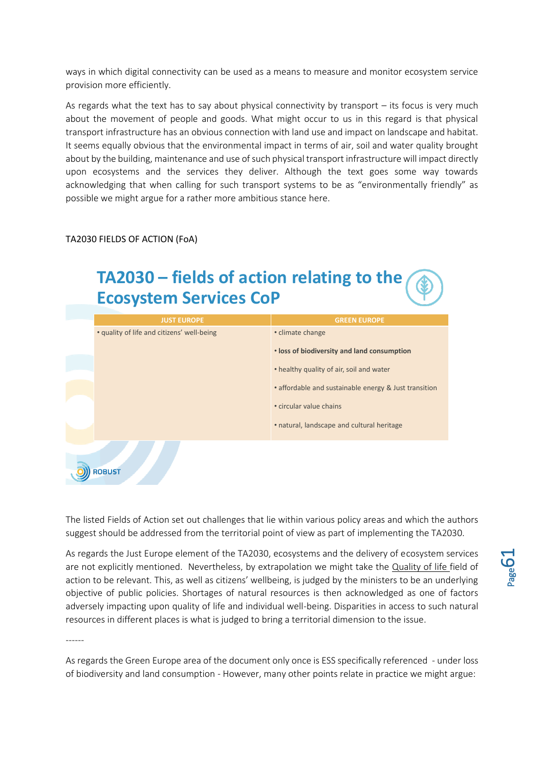ways in which digital connectivity can be used as a means to measure and monitor ecosystem service provision more efficiently.

As regards what the text has to say about physical connectivity by transport – its focus is very much about the movement of people and goods. What might occur to us in this regard is that physical transport infrastructure has an obvious connection with land use and impact on landscape and habitat. It seems equally obvious that the environmental impact in terms of air, soil and water quality brought about by the building, maintenance and use of such physical transport infrastructure will impact directly upon ecosystems and the services they deliver. Although the text goes some way towards acknowledging that when calling for such transport systems to be as "environmentally friendly" as possible we might argue for a rather more ambitious stance here.

#### TA2030 FIELDS OF ACTION (FoA)

## **TA2030 – fields of action relating to the Ecosystem Services CoP**

| <b>JUST EUROPE</b>                         | <b>GREEN EUROPE</b>                                   |
|--------------------------------------------|-------------------------------------------------------|
| • quality of life and citizens' well-being | • climate change                                      |
|                                            | . loss of biodiversity and land consumption           |
|                                            | • healthy quality of air, soil and water              |
|                                            | • affordable and sustainable energy & Just transition |
|                                            | • circular value chains                               |
|                                            | • natural, landscape and cultural heritage            |
| <b>ROBUST</b>                              |                                                       |

The listed Fields of Action set out challenges that lie within various policy areas and which the authors suggest should be addressed from the territorial point of view as part of implementing the TA2030.

As regards the Just Europe element of the TA2030, ecosystems and the delivery of ecosystem services are not explicitly mentioned. Nevertheless, by extrapolation we might take the Quality of life field of action to be relevant. This, as well as citizens' wellbeing, is judged by the ministers to be an underlying objective of public policies. Shortages of natural resources is then acknowledged as one of factors adversely impacting upon quality of life and individual well-being. Disparities in access to such natural resources in different places is what is judged to bring a territorial dimension to the issue.

------

As regards the Green Europe area of the document only once is ESS specifically referenced - under loss of biodiversity and land consumption - However, many other points relate in practice we might argue: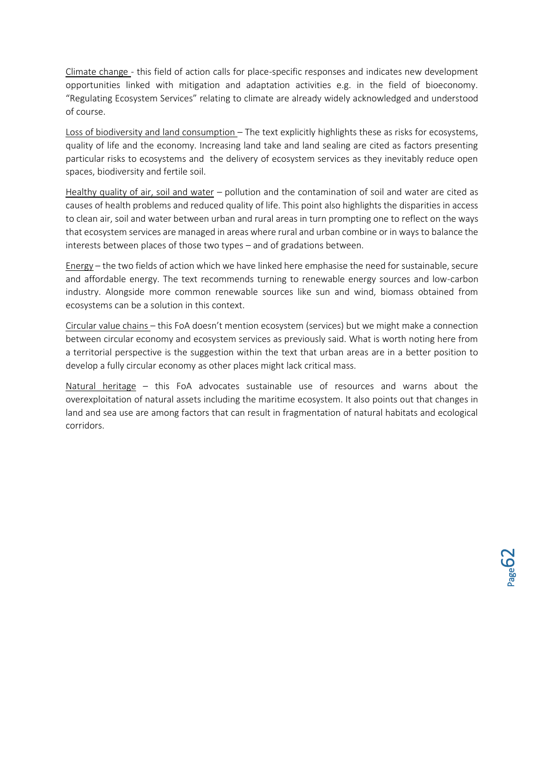Climate change - this field of action calls for place-specific responses and indicates new development opportunities linked with mitigation and adaptation activities e.g. in the field of bioeconomy. "Regulating Ecosystem Services" relating to climate are already widely acknowledged and understood of course.

Loss of biodiversity and land consumption – The text explicitly highlights these as risks for ecosystems, quality of life and the economy. Increasing land take and land sealing are cited as factors presenting particular risks to ecosystems and the delivery of ecosystem services as they inevitably reduce open spaces, biodiversity and fertile soil.

Healthy quality of air, soil and water – pollution and the contamination of soil and water are cited as causes of health problems and reduced quality of life. This point also highlights the disparities in access to clean air, soil and water between urban and rural areas in turn prompting one to reflect on the ways that ecosystem services are managed in areas where rural and urban combine or in ways to balance the interests between places of those two types – and of gradations between.

Energy – the two fields of action which we have linked here emphasise the need for sustainable, secure and affordable energy. The text recommends turning to renewable energy sources and low-carbon industry. Alongside more common renewable sources like sun and wind, biomass obtained from ecosystems can be a solution in this context.

Circular value chains – this FoA doesn't mention ecosystem (services) but we might make a connection between circular economy and ecosystem services as previously said. What is worth noting here from a territorial perspective is the suggestion within the text that urban areas are in a better position to develop a fully circular economy as other places might lack critical mass.

Natural heritage – this FoA advocates sustainable use of resources and warns about the overexploitation of natural assets including the maritime ecosystem. It also points out that changes in land and sea use are among factors that can result in fragmentation of natural habitats and ecological corridors.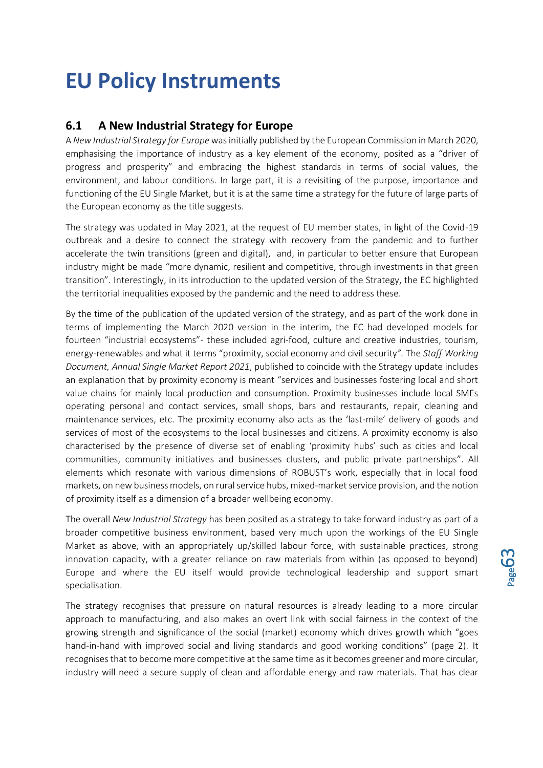# <span id="page-62-0"></span>**EU Policy Instruments**

## <span id="page-62-1"></span>**6.1 A New Industrial Strategy for Europe**

A *New Industrial Strategy for Europe* was initially published by the European Commission in March 2020, emphasising the importance of industry as a key element of the economy, posited as a "driver of progress and prosperity" and embracing the highest standards in terms of social values, the environment, and labour conditions. In large part, it is a revisiting of the purpose, importance and functioning of the EU Single Market, but it is at the same time a strategy for the future of large parts of the European economy as the title suggests.

The strategy was updated in May 2021, at the request of EU member states, in light of the Covid-19 outbreak and a desire to connect the strategy with recovery from the pandemic and to further accelerate the twin transitions (green and digital), and, in particular to better ensure that European industry might be made "more dynamic, resilient and competitive, through investments in that green transition". Interestingly, in its introduction to the updated version of the Strategy, the EC highlighted the territorial inequalities exposed by the pandemic and the need to address these.

By the time of the publication of the updated version of the strategy, and as part of the work done in terms of implementing the March 2020 version in the interim, the EC had developed models for fourteen "industrial ecosystems"- these included agri-food, culture and creative industries, tourism, energy-renewables and what it terms "proximity, social economy and civil security*".* The *Staff Working Document, Annual Single Market Report 2021*, published to coincide with the Strategy update includes an explanation that by proximity economy is meant "services and businesses fostering local and short value chains for mainly local production and consumption. Proximity businesses include local SMEs operating personal and contact services, small shops, bars and restaurants, repair, cleaning and maintenance services, etc. The proximity economy also acts as the 'last-mile' delivery of goods and services of most of the ecosystems to the local businesses and citizens. A proximity economy is also characterised by the presence of diverse set of enabling 'proximity hubs' such as cities and local communities, community initiatives and businesses clusters, and public private partnerships". All elements which resonate with various dimensions of ROBUST's work, especially that in local food markets, on new business models, on rural service hubs, mixed-market service provision, and the notion of proximity itself as a dimension of a broader wellbeing economy.

The overall *New Industrial Strategy* has been posited as a strategy to take forward industry as part of a broader competitive business environment, based very much upon the workings of the EU Single Market as above, with an appropriately up/skilled labour force, with sustainable practices, strong innovation capacity, with a greater reliance on raw materials from within (as opposed to beyond) Europe and where the EU itself would provide technological leadership and support smart specialisation.

The strategy recognises that pressure on natural resources is already leading to a more circular approach to manufacturing, and also makes an overt link with social fairness in the context of the growing strength and significance of the social (market) economy which drives growth which "goes hand-in-hand with improved social and living standards and good working conditions" (page 2). It recognises that to become more competitive at the same time as it becomes greener and more circular, industry will need a secure supply of clean and affordable energy and raw materials. That has clear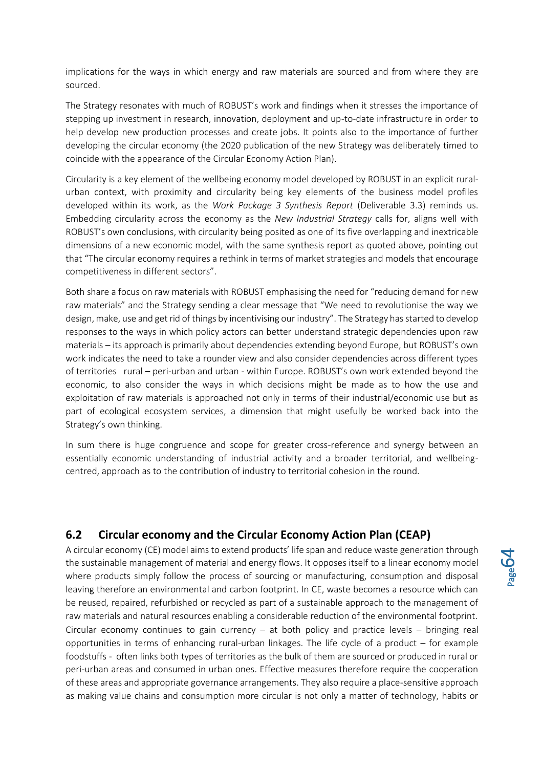implications for the ways in which energy and raw materials are sourced and from where they are sourced.

The Strategy resonates with much of ROBUST's work and findings when it stresses the importance of stepping up investment in research, innovation, deployment and up-to-date infrastructure in order to help develop new production processes and create jobs. It points also to the importance of further developing the circular economy (the 2020 publication of the new Strategy was deliberately timed to coincide with the appearance of the Circular Economy Action Plan).

Circularity is a key element of the wellbeing economy model developed by ROBUST in an explicit ruralurban context, with proximity and circularity being key elements of the business model profiles developed within its work, as the *Work Package 3 Synthesis Report* (Deliverable 3.3) reminds us. Embedding circularity across the economy as the *New Industrial Strategy* calls for, aligns well with ROBUST's own conclusions, with circularity being posited as one of its five overlapping and inextricable dimensions of a new economic model, with the same synthesis report as quoted above, pointing out that "The circular economy requires a rethink in terms of market strategies and models that encourage competitiveness in different sectors".

Both share a focus on raw materials with ROBUST emphasising the need for "reducing demand for new raw materials" and the Strategy sending a clear message that "We need to revolutionise the way we design, make, use and get rid of things by incentivising our industry". The Strategy has started to develop responses to the ways in which policy actors can better understand strategic dependencies upon raw materials – its approach is primarily about dependencies extending beyond Europe, but ROBUST's own work indicates the need to take a rounder view and also consider dependencies across different types of territories rural – peri-urban and urban - within Europe. ROBUST's own work extended beyond the economic, to also consider the ways in which decisions might be made as to how the use and exploitation of raw materials is approached not only in terms of their industrial/economic use but as part of ecological ecosystem services, a dimension that might usefully be worked back into the Strategy's own thinking.

In sum there is huge congruence and scope for greater cross-reference and synergy between an essentially economic understanding of industrial activity and a broader territorial, and wellbeingcentred, approach as to the contribution of industry to territorial cohesion in the round.

## <span id="page-63-0"></span>**6.2 Circular economy and the Circular Economy Action Plan (CEAP)**

A circular economy (CE) model aims to extend products' life span and reduce waste generation through the sustainable management of material and energy flows. It opposes itself to a linear economy model where products simply follow the process of sourcing or manufacturing, consumption and disposal leaving therefore an environmental and carbon footprint. In CE, waste becomes a resource which can be reused, repaired, refurbished or recycled as part of a sustainable approach to the management of raw materials and natural resources enabling a considerable reduction of the environmental footprint. Circular economy continues to gain currency  $-$  at both policy and practice levels  $-$  bringing real opportunities in terms of enhancing rural-urban linkages. The life cycle of a product – for example foodstuffs - often links both types of territories as the bulk of them are sourced or produced in rural or peri-urban areas and consumed in urban ones. Effective measures therefore require the cooperation of these areas and appropriate governance arrangements. They also require a place-sensitive approach as making value chains and consumption more circular is not only a matter of technology, habits or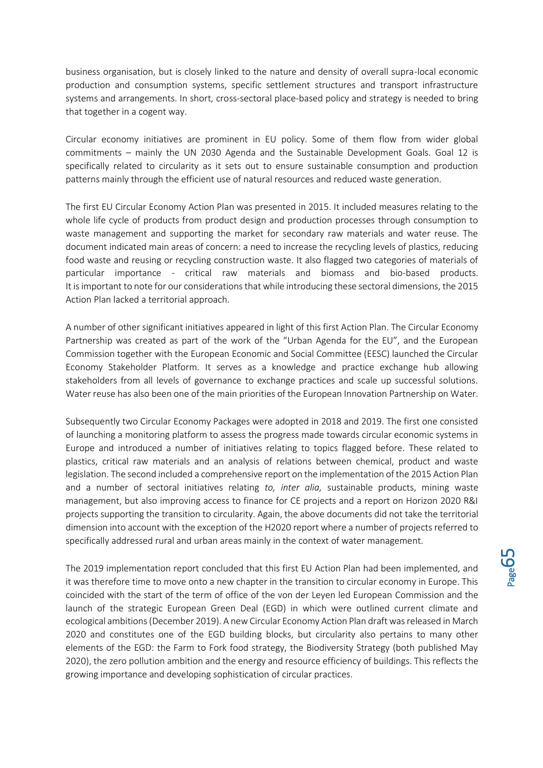business organisation, but is closely linked to the nature and density of overall supra-local economic production and consumption systems, specific settlement structures and transport infrastructure systems and arrangements. In short, cross-sectoral place-based policy and strategy is needed to bring that together in a cogent way.

Circular economy initiatives are prominent in EU policy. Some of them flow from wider global commitments – mainly the UN 2030 Agenda and the Sustainable Development Goals. Goal 12 is specifically related to circularity as it sets out to ensure sustainable consumption and production patterns mainly through the efficient use of natural resources and reduced waste generation.

The first EU Circular Economy Action Plan was presented in 2015. It included measures relating to the whole life cycle of products from product design and production processes through consumption to waste management and supporting the market for secondary raw materials and water reuse. The document indicated main areas of concern: a need to increase the recycling levels of plastics, reducing food waste and reusing or recycling construction waste. It also flagged two categories of materials of particular importance - critical raw materials and biomass and bio-based products. It is important to note for our considerations that while introducing these sectoral dimensions, the 2015 Action Plan lacked a territorial approach.

A number of other significant initiatives appeared in light of this first Action Plan. The Circular Economy Partnership was created as part of the work of the "Urban Agenda for the EU", and the European Commission together with the European Economic and Social Committee (EESC) launched the Circular Economy Stakeholder Platform. It serves as a knowledge and practice exchange hub allowing stakeholders from all levels of governance to exchange practices and scale up successful solutions. Water reuse has also been one of the main priorities of the European Innovation Partnership on Water.

Subsequently two Circular Economy Packages were adopted in 2018 and 2019. The first one consisted of launching a monitoring platform to assess the progress made towards circular economic systems in Europe and introduced a number of initiatives relating to topics flagged before. These related to plastics, critical raw materials and an analysis of relations between chemical, product and waste legislation. The second included a comprehensive report on the implementation of the 2015 Action Plan and a number of sectoral initiatives relating *to, inter alia,* sustainable products, mining waste management, but also improving access to finance for CE projects and a report on Horizon 2020 R&I projects supporting the transition to circularity. Again, the above documents did not take the territorial dimension into account with the exception of the H2020 report where a number of projects referred to specifically addressed rural and urban areas mainly in the context of water management.

The 2019 implementation report concluded that this first EU Action Plan had been implemented, and it was therefore time to move onto a new chapter in the transition to circular economy in Europe. This coincided with the start of the term of office of the von der Leyen led European Commission and the launch of the strategic European Green Deal (EGD) in which were outlined current climate and ecological ambitions (December 2019). A new Circular Economy Action Plan draft was released in March 2020 and constitutes one of the EGD building blocks, but circularity also pertains to many other elements of the EGD: the Farm to Fork food strategy, the Biodiversity Strategy (both published May 2020), the zero pollution ambition and the energy and resource efficiency of buildings. This reflects the growing importance and developing sophistication of circular practices.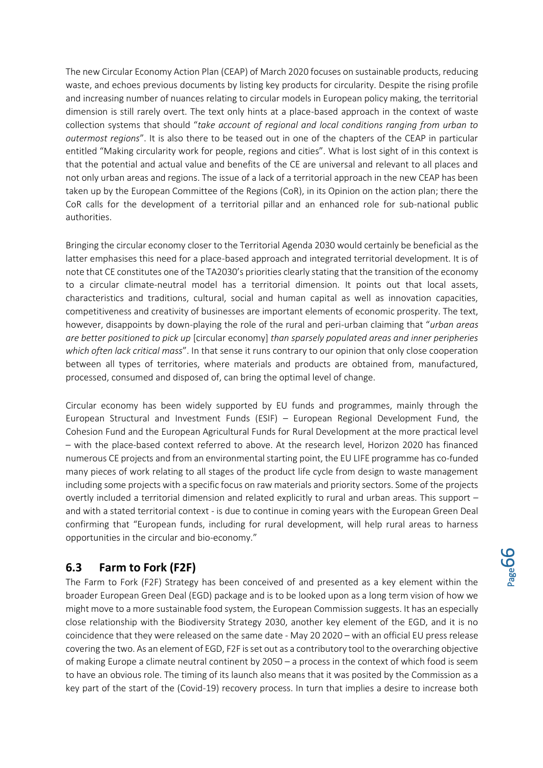The new Circular Economy Action Plan (CEAP) of March 2020 focuses on sustainable products, reducing waste, and echoes previous documents by listing key products for circularity. Despite the rising profile and increasing number of nuances relating to circular models in European policy making, the territorial dimension is still rarely overt. The text only hints at a place-based approach in the context of waste collection systems that should "*take account of regional and local conditions ranging from urban to outermost regions*". It is also there to be teased out in one of the chapters of the CEAP in particular entitled "Making circularity work for people, regions and cities". What is lost sight of in this context is that the potential and actual value and benefits of the CE are universal and relevant to all places and not only urban areas and regions. The issue of a lack of a territorial approach in the new CEAP has been taken up by the European Committee of the Regions (CoR), in its Opinion on the action plan; there the CoR calls for the development of a territorial pillar and an enhanced role for sub-national public authorities.

Bringing the circular economy closer to the Territorial Agenda 2030 would certainly be beneficial as the latter emphasises this need for a place-based approach and integrated territorial development. It is of note that CE constitutes one of the TA2030's priorities clearly stating that the transition of the economy to a circular climate-neutral model has a territorial dimension. It points out that local assets, characteristics and traditions, cultural, social and human capital as well as innovation capacities, competitiveness and creativity of businesses are important elements of economic prosperity. The text, however, disappoints by down-playing the role of the rural and peri-urban claiming that "*urban areas are better positioned to pick up* [circular economy] *than sparsely populated areas and inner peripheries which often lack critical mass*". In that sense it runs contrary to our opinion that only close cooperation between all types of territories, where materials and products are obtained from, manufactured, processed, consumed and disposed of, can bring the optimal level of change.

Circular economy has been widely supported by EU funds and programmes, mainly through the European Structural and Investment Funds (ESIF) – European Regional Development Fund, the Cohesion Fund and the European Agricultural Funds for Rural Development at the more practical level – with the place-based context referred to above. At the research level, Horizon 2020 has financed numerous CE projects and from an environmental starting point, the EU LIFE programme has co-funded many pieces of work relating to all stages of the product life cycle from design to waste management including some projects with a specific focus on raw materials and priority sectors. Some of the projects overtly included a territorial dimension and related explicitly to rural and urban areas. This support – and with a stated territorial context - is due to continue in coming years with the European Green Deal confirming that "European funds, including for rural development, will help rural areas to harness opportunities in the circular and bio-economy."

## <span id="page-65-0"></span>**6.3 Farm to Fork (F2F)**

The Farm to Fork (F2F) Strategy has been conceived of and presented as a key element within the broader European Green Deal (EGD) package and is to be looked upon as a long term vision of how we might move to a more sustainable food system, the European Commission suggests. It has an especially close relationship with the Biodiversity Strategy 2030, another key element of the EGD, and it is no coincidence that they were released on the same date - May 20 2020 – with an official EU press release covering the two. As an element of EGD, F2F is set out as a contributory tool to the overarching objective of making Europe a climate neutral continent by 2050 – a process in the context of which food is seem to have an obvious role. The timing of its launch also means that it was posited by the Commission as a key part of the start of the (Covid-19) recovery process. In turn that implies a desire to increase both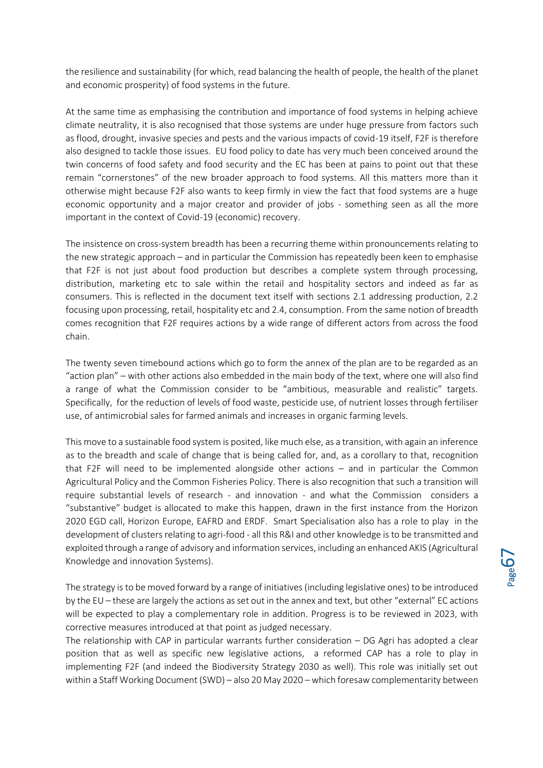the resilience and sustainability (for which, read balancing the health of people, the health of the planet and economic prosperity) of food systems in the future.

At the same time as emphasising the contribution and importance of food systems in helping achieve climate neutrality, it is also recognised that those systems are under huge pressure from factors such as flood, drought, invasive species and pests and the various impacts of covid-19 itself, F2F is therefore also designed to tackle those issues. EU food policy to date has very much been conceived around the twin concerns of food safety and food security and the EC has been at pains to point out that these remain "cornerstones" of the new broader approach to food systems. All this matters more than it otherwise might because F2F also wants to keep firmly in view the fact that food systems are a huge economic opportunity and a major creator and provider of jobs - something seen as all the more important in the context of Covid-19 (economic) recovery.

The insistence on cross-system breadth has been a recurring theme within pronouncements relating to the new strategic approach – and in particular the Commission has repeatedly been keen to emphasise that F2F is not just about food production but describes a complete system through processing, distribution, marketing etc to sale within the retail and hospitality sectors and indeed as far as consumers. This is reflected in the document text itself with sections 2.1 addressing production, 2.2 focusing upon processing, retail, hospitality etc and 2.4, consumption. From the same notion of breadth comes recognition that F2F requires actions by a wide range of different actors from across the food chain.

The twenty seven timebound actions which go to form the annex of the plan are to be regarded as an "action plan" – with other actions also embedded in the main body of the text, where one will also find a range of what the Commission consider to be "ambitious, measurable and realistic" targets. Specifically, for the reduction of levels of food waste, pesticide use, of nutrient losses through fertiliser use, of antimicrobial sales for farmed animals and increases in organic farming levels.

This move to a sustainable food system is posited, like much else, as a transition, with again an inference as to the breadth and scale of change that is being called for, and, as a corollary to that, recognition that F2F will need to be implemented alongside other actions – and in particular the Common Agricultural Policy and the Common Fisheries Policy. There is also recognition that such a transition will require substantial levels of research - and innovation - and what the Commission considers a "substantive" budget is allocated to make this happen, drawn in the first instance from the Horizon 2020 EGD call, Horizon Europe, EAFRD and ERDF. Smart Specialisation also has a role to play in the development of clusters relating to agri-food - all this R&I and other knowledge is to be transmitted and exploited through a range of advisory and information services, including an enhanced AKIS (Agricultural Knowledge and innovation Systems).

The strategy is to be moved forward by a range of initiatives (including legislative ones) to be introduced by the EU – these are largely the actions as set out in the annex and text, but other "external" EC actions will be expected to play a complementary role in addition. Progress is to be reviewed in 2023, with corrective measures introduced at that point as judged necessary.

The relationship with CAP in particular warrants further consideration – DG Agri has adopted a clear position that as well as specific new legislative actions, a reformed CAP has a role to play in implementing F2F (and indeed the Biodiversity Strategy 2030 as well). This role was initially set out within a Staff Working Document (SWD) – also 20 May 2020 – which foresaw complementarity between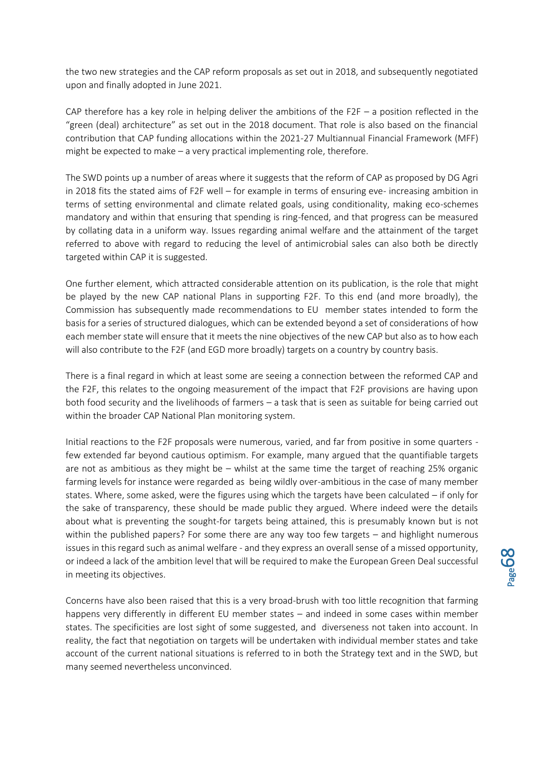the two new strategies and the CAP reform proposals as set out in 2018, and subsequently negotiated upon and finally adopted in June 2021.

CAP therefore has a key role in helping deliver the ambitions of the F2F  $-$  a position reflected in the "green (deal) architecture" as set out in the 2018 document. That role is also based on the financial contribution that CAP funding allocations within the 2021-27 Multiannual Financial Framework (MFF) might be expected to make – a very practical implementing role, therefore.

The SWD points up a number of areas where it suggests that the reform of CAP as proposed by DG Agri in 2018 fits the stated aims of F2F well – for example in terms of ensuring eve- increasing ambition in terms of setting environmental and climate related goals, using conditionality, making eco-schemes mandatory and within that ensuring that spending is ring-fenced, and that progress can be measured by collating data in a uniform way. Issues regarding animal welfare and the attainment of the target referred to above with regard to reducing the level of antimicrobial sales can also both be directly targeted within CAP it is suggested.

One further element, which attracted considerable attention on its publication, is the role that might be played by the new CAP national Plans in supporting F2F. To this end (and more broadly), the Commission has subsequently made recommendations to EU member states intended to form the basis for a series of structured dialogues, which can be extended beyond a set of considerations of how each member state will ensure that it meets the nine objectives of the new CAP but also as to how each will also contribute to the F2F (and EGD more broadly) targets on a country by country basis.

There is a final regard in which at least some are seeing a connection between the reformed CAP and the F2F, this relates to the ongoing measurement of the impact that F2F provisions are having upon both food security and the livelihoods of farmers – a task that is seen as suitable for being carried out within the broader CAP National Plan monitoring system.

Initial reactions to the F2F proposals were numerous, varied, and far from positive in some quarters few extended far beyond cautious optimism. For example, many argued that the quantifiable targets are not as ambitious as they might be – whilst at the same time the target of reaching 25% organic farming levels for instance were regarded as being wildly over-ambitious in the case of many member states. Where, some asked, were the figures using which the targets have been calculated – if only for the sake of transparency, these should be made public they argued. Where indeed were the details about what is preventing the sought-for targets being attained, this is presumably known but is not within the published papers? For some there are any way too few targets – and highlight numerous issues in this regard such as animal welfare - and they express an overall sense of a missed opportunity, or indeed a lack of the ambition level that will be required to make the European Green Deal successful in meeting its objectives.

Concerns have also been raised that this is a very broad-brush with too little recognition that farming happens very differently in different EU member states – and indeed in some cases within member states. The specificities are lost sight of some suggested, and diverseness not taken into account. In reality, the fact that negotiation on targets will be undertaken with individual member states and take account of the current national situations is referred to in both the Strategy text and in the SWD, but many seemed nevertheless unconvinced.